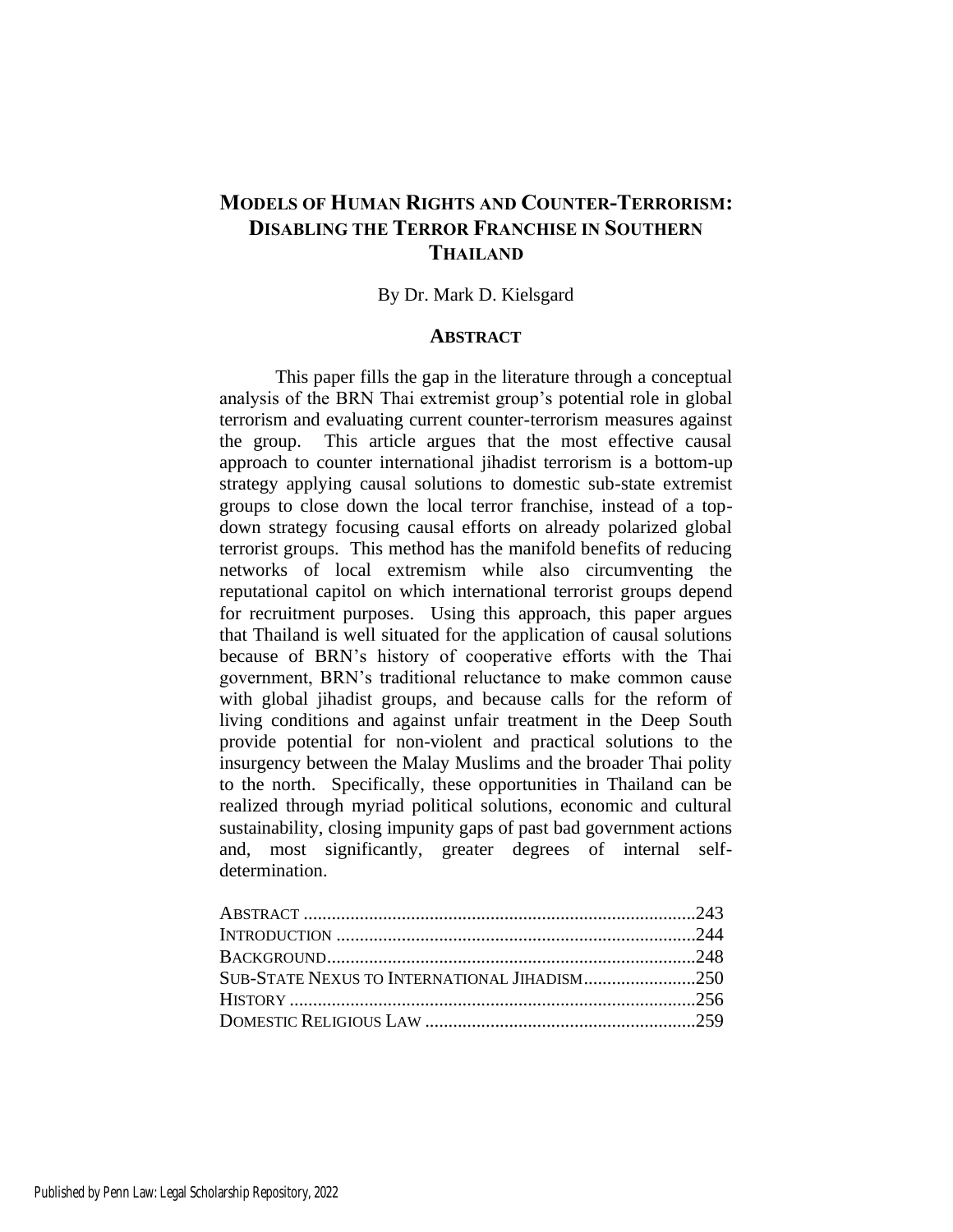# **MODELS OF HUMAN RIGHTS AND COUNTER-TERRORISM: DISABLING THE TERROR FRANCHISE IN SOUTHERN THAILAND**

# By Dr. Mark D. Kielsgard

# **ABSTRACT**

This paper fills the gap in the literature through a conceptual analysis of the BRN Thai extremist group's potential role in global terrorism and evaluating current counter-terrorism measures against the group. This article argues that the most effective causal approach to counter international jihadist terrorism is a bottom-up strategy applying causal solutions to domestic sub-state extremist groups to close down the local terror franchise, instead of a topdown strategy focusing causal efforts on already polarized global terrorist groups. This method has the manifold benefits of reducing networks of local extremism while also circumventing the reputational capitol on which international terrorist groups depend for recruitment purposes. Using this approach, this paper argues that Thailand is well situated for the application of causal solutions because of BRN's history of cooperative efforts with the Thai government, BRN's traditional reluctance to make common cause with global jihadist groups, and because calls for the reform of living conditions and against unfair treatment in the Deep South provide potential for non-violent and practical solutions to the insurgency between the Malay Muslims and the broader Thai polity to the north. Specifically, these opportunities in Thailand can be realized through myriad political solutions, economic and cultural sustainability, closing impunity gaps of past bad government actions and, most significantly, greater degrees of internal selfdetermination.

| SUB-STATE NEXUS TO INTERNATIONAL JIHADISM250 |  |
|----------------------------------------------|--|
|                                              |  |
|                                              |  |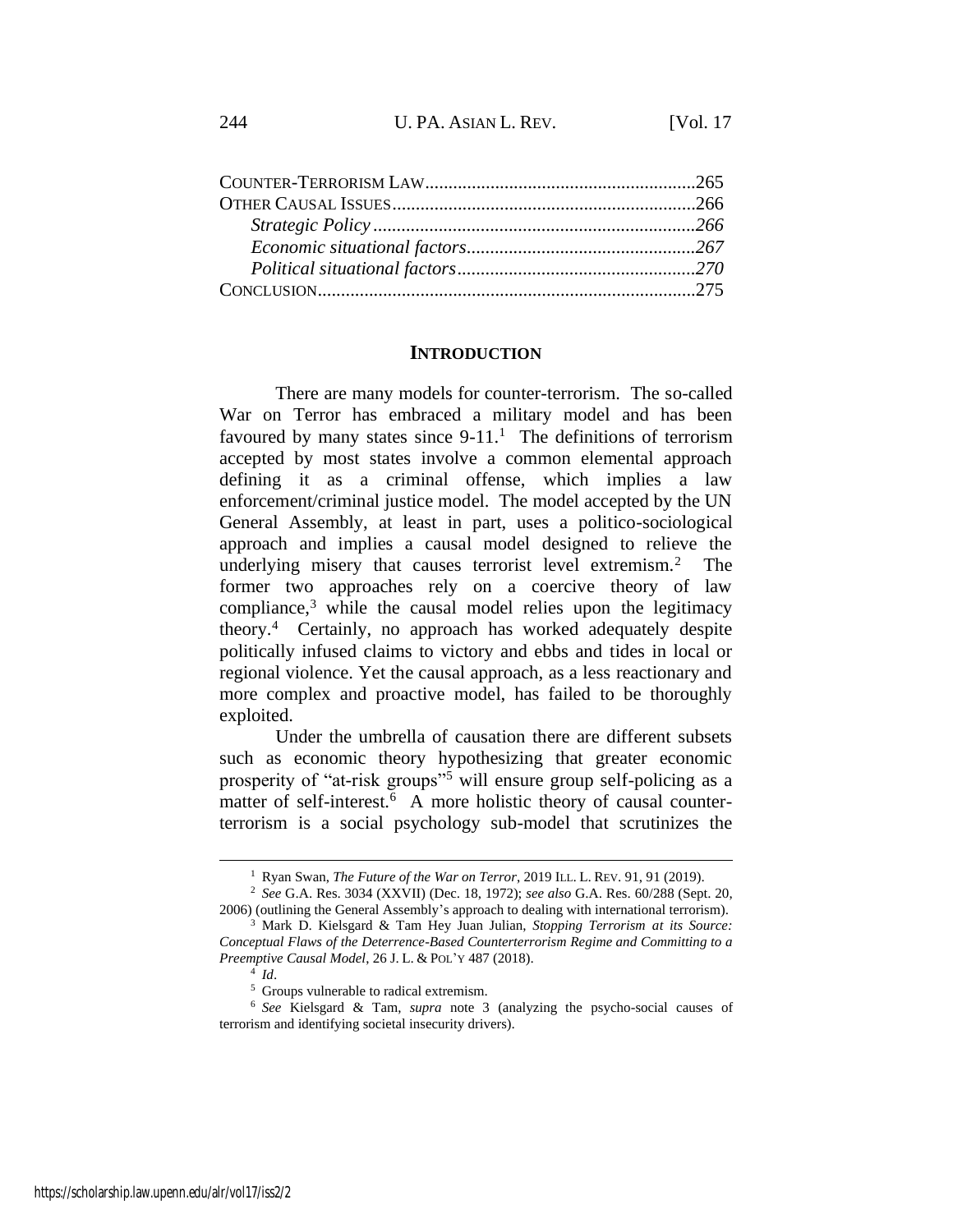### **INTRODUCTION**

There are many models for counter-terrorism. The so-called War on Terror has embraced a military model and has been favoured by many states since  $9-11$ .<sup>1</sup> The definitions of terrorism accepted by most states involve a common elemental approach defining it as a criminal offense, which implies a law enforcement/criminal justice model. The model accepted by the UN General Assembly, at least in part, uses a politico-sociological approach and implies a causal model designed to relieve the underlying misery that causes terrorist level extremism.<sup>2</sup> The former two approaches rely on a coercive theory of law compliance, $3$  while the causal model relies upon the legitimacy theory.<sup>4</sup> Certainly, no approach has worked adequately despite politically infused claims to victory and ebbs and tides in local or regional violence. Yet the causal approach, as a less reactionary and more complex and proactive model, has failed to be thoroughly exploited.

<span id="page-1-0"></span>Under the umbrella of causation there are different subsets such as economic theory hypothesizing that greater economic prosperity of "at-risk groups"<sup>5</sup> will ensure group self-policing as a matter of self-interest.<sup>6</sup> A more holistic theory of causal counterterrorism is a social psychology sub-model that scrutinizes the

<sup>1</sup> Ryan Swan, *The Future of the War on Terror*, 2019 ILL. L. REV. 91, 91 (2019).

<sup>2</sup> *See* G.A. Res. 3034 (XXVII) (Dec. 18, 1972); *see also* G.A. Res. 60/288 (Sept. 20, 2006) (outlining the General Assembly's approach to dealing with international terrorism).

<sup>3</sup> Mark D. Kielsgard & Tam Hey Juan Julian, *Stopping Terrorism at its Source: Conceptual Flaws of the Deterrence-Based Counterterrorism Regime and Committing to a Preemptive Causal Model*, 26 J. L. & POL'Y 487 (2018).

<sup>4</sup> *Id*.

<sup>5</sup> Groups vulnerable to radical extremism.

<sup>6</sup> *See* Kielsgard & Tam, *supra* note [3](#page-1-0) (analyzing the psycho-social causes of terrorism and identifying societal insecurity drivers).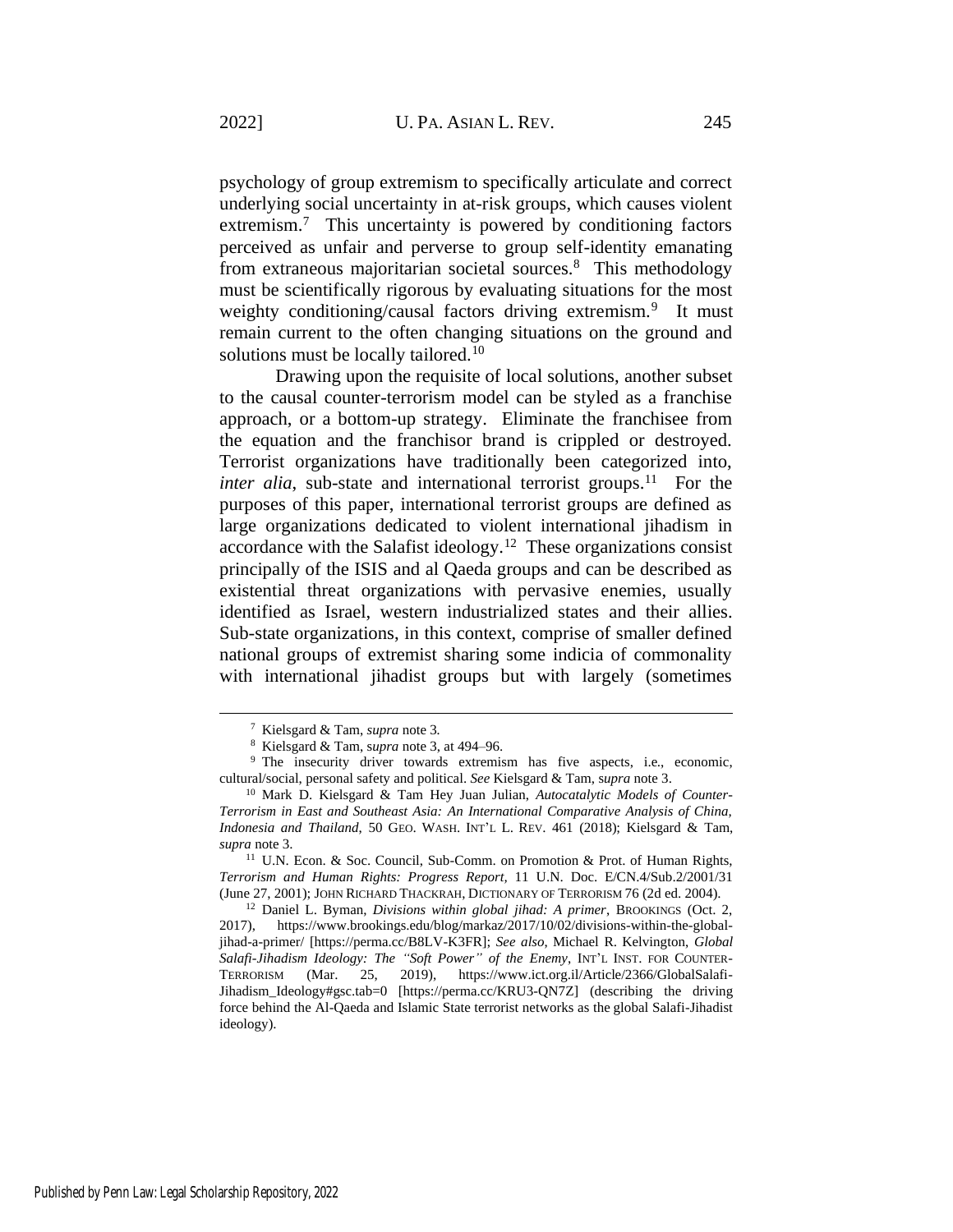psychology of group extremism to specifically articulate and correct underlying social uncertainty in at-risk groups, which causes violent extremism.<sup>7</sup> This uncertainty is powered by conditioning factors perceived as unfair and perverse to group self-identity emanating from extraneous majoritarian societal sources.<sup>8</sup> This methodology must be scientifically rigorous by evaluating situations for the most weighty conditioning/causal factors driving extremism.<sup>9</sup> It must remain current to the often changing situations on the ground and solutions must be locally tailored.<sup>10</sup>

<span id="page-2-0"></span>Drawing upon the requisite of local solutions, another subset to the causal counter-terrorism model can be styled as a franchise approach, or a bottom-up strategy. Eliminate the franchisee from the equation and the franchisor brand is crippled or destroyed. Terrorist organizations have traditionally been categorized into, *inter alia*, sub-state and international terrorist groups.<sup>11</sup> For the purposes of this paper, international terrorist groups are defined as large organizations dedicated to violent international jihadism in accordance with the Salafist ideology.<sup>12</sup> These organizations consist principally of the ISIS and al Qaeda groups and can be described as existential threat organizations with pervasive enemies, usually identified as Israel, western industrialized states and their allies. Sub-state organizations, in this context, comprise of smaller defined national groups of extremist sharing some indicia of commonality with international jihadist groups but with largely (sometimes

<sup>11</sup> U.N. Econ. & Soc. Council, Sub-Comm. on Promotion & Prot. of Human Rights, *Terrorism and Human Rights: Progress Report,* 11 U.N. Doc. E/CN.4/Sub.2/2001/31 (June 27, 2001); JOHN RICHARD THACKRAH, DICTIONARY OF TERRORISM 76 (2d ed. 2004).

<sup>12</sup> Daniel L. Byman, *Divisions within global jihad: A primer*, BROOKINGS (Oct. 2, 2017), https://www.brookings.edu/blog/markaz/2017/10/02/divisions-within-the-globaljihad-a-primer/ [https://perma.cc/B8LV-K3FR]; *See also*, Michael R. Kelvington, *Global Salafi-Jihadism Ideology: The "Soft Power" of the Enemy*, INT'L INST. FOR COUNTER-TERRORISM (Mar. 25, 2019), https://www.ict.org.il/Article/2366/GlobalSalafi-Jihadism\_Ideology#gsc.tab=0 [https://perma.cc/KRU3-QN7Z] (describing the driving force behind the Al-Qaeda and Islamic State terrorist networks as the global Salafi-Jihadist ideology).

<sup>7</sup> Kielsgard & Tam, *supra* not[e 3](#page-1-0)*.*

<sup>8</sup> Kielsgard & Tam, s*upra* not[e 3,](#page-1-0) at 494–96.

<sup>&</sup>lt;sup>9</sup> The insecurity driver towards extremism has five aspects, i.e., economic, cultural/social, personal safety and political. *See* Kielsgard & Tam, s*upra* note [3.](#page-1-0)

<sup>10</sup> Mark D. Kielsgard & Tam Hey Juan Julian, *Autocatalytic Models of Counter-Terrorism in East and Southeast Asia: An International Comparative Analysis of China, Indonesia and Thailand*, 50 GEO. WASH. INT'L L. REV. 461 (2018); Kielsgard & Tam, *supra* not[e 3.](#page-1-0)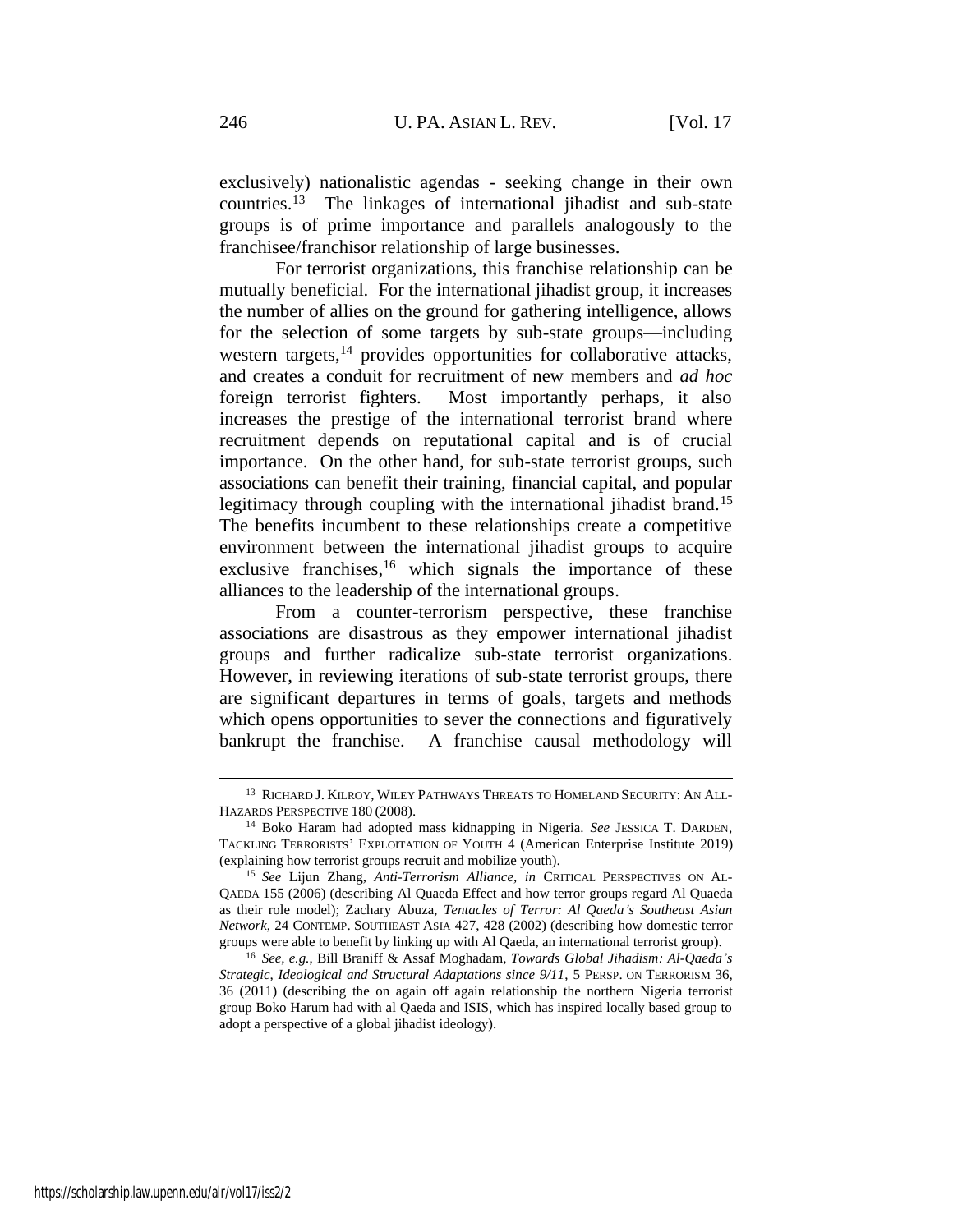exclusively) nationalistic agendas - seeking change in their own countries.<sup>13</sup> The linkages of international jihadist and sub-state groups is of prime importance and parallels analogously to the franchisee/franchisor relationship of large businesses.

For terrorist organizations, this franchise relationship can be mutually beneficial. For the international jihadist group, it increases the number of allies on the ground for gathering intelligence, allows for the selection of some targets by sub-state groups—including western targets,<sup>14</sup> provides opportunities for collaborative attacks, and creates a conduit for recruitment of new members and *ad hoc* foreign terrorist fighters. Most importantly perhaps, it also increases the prestige of the international terrorist brand where recruitment depends on reputational capital and is of crucial importance. On the other hand, for sub-state terrorist groups, such associations can benefit their training, financial capital, and popular legitimacy through coupling with the international jihadist brand.<sup>15</sup> The benefits incumbent to these relationships create a competitive environment between the international jihadist groups to acquire exclusive franchises,  $16$  which signals the importance of these alliances to the leadership of the international groups.

From a counter-terrorism perspective, these franchise associations are disastrous as they empower international jihadist groups and further radicalize sub-state terrorist organizations. However, in reviewing iterations of sub-state terrorist groups, there are significant departures in terms of goals, targets and methods which opens opportunities to sever the connections and figuratively bankrupt the franchise. A franchise causal methodology will

<sup>13</sup> RICHARD J. KILROY, WILEY PATHWAYS THREATS TO HOMELAND SECURITY: AN ALL-HAZARDS PERSPECTIVE 180 (2008).

<sup>14</sup> Boko Haram had adopted mass kidnapping in Nigeria. *See* JESSICA T. DARDEN, TACKLING TERRORISTS' EXPLOITATION OF YOUTH 4 (American Enterprise Institute 2019) (explaining how terrorist groups recruit and mobilize youth).

<sup>15</sup> *See* Lijun Zhang, *Anti-Terrorism Alliance, in* CRITICAL PERSPECTIVES ON AL-QAEDA 155 (2006) (describing Al Quaeda Effect and how terror groups regard Al Quaeda as their role model); Zachary Abuza, *Tentacles of Terror: Al Qaeda's Southeast Asian Network*, 24 CONTEMP. SOUTHEAST ASIA 427, 428 (2002) (describing how domestic terror groups were able to benefit by linking up with Al Qaeda, an international terrorist group).

<sup>16</sup> *See, e.g.*, Bill Braniff & Assaf Moghadam, *Towards Global Jihadism: Al-Qaeda's Strategic, Ideological and Structural Adaptations since 9/11*, 5 PERSP. ON TERRORISM 36, 36 (2011) (describing the on again off again relationship the northern Nigeria terrorist group Boko Harum had with al Qaeda and ISIS, which has inspired locally based group to adopt a perspective of a global jihadist ideology).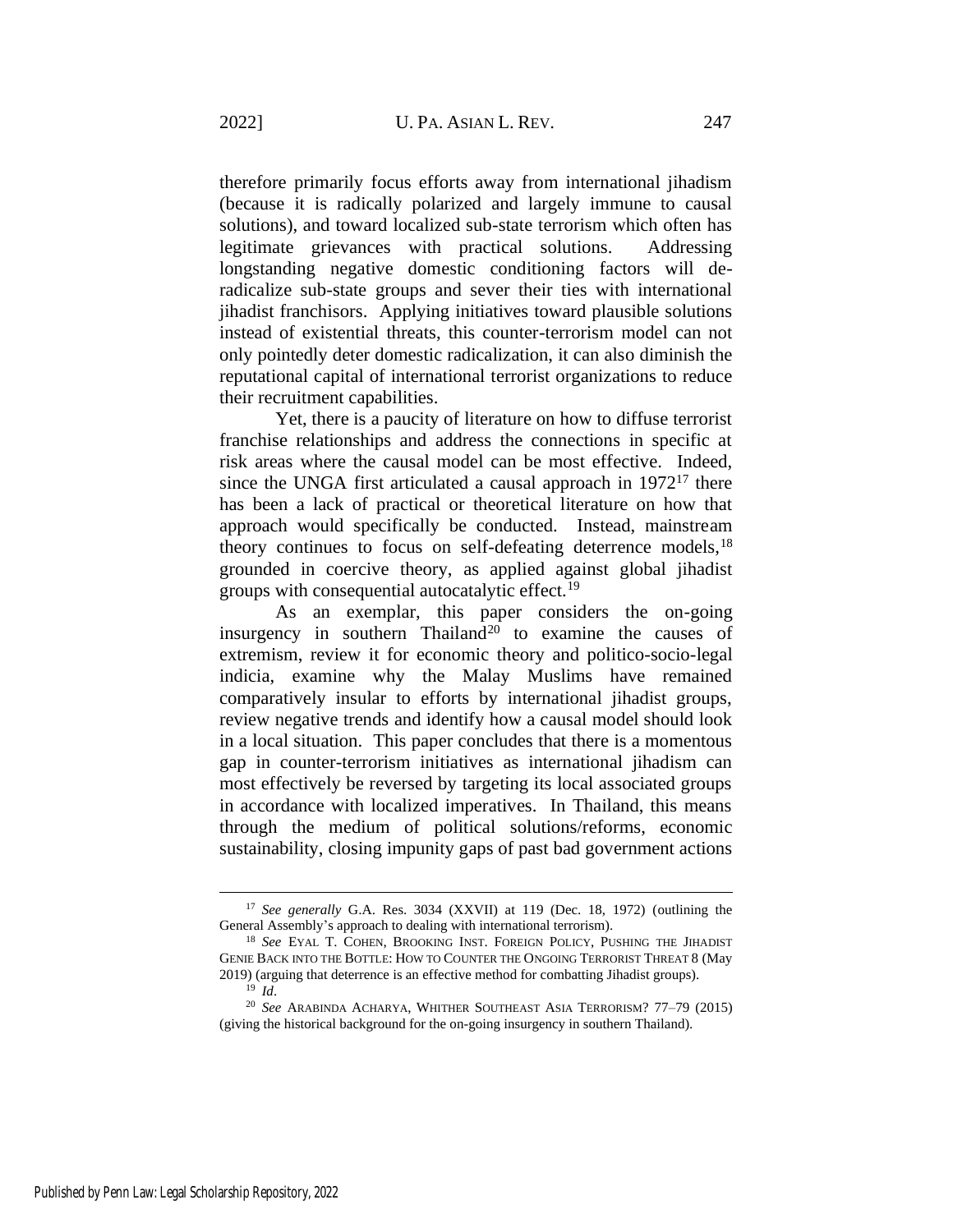therefore primarily focus efforts away from international jihadism (because it is radically polarized and largely immune to causal solutions), and toward localized sub-state terrorism which often has legitimate grievances with practical solutions. Addressing longstanding negative domestic conditioning factors will deradicalize sub-state groups and sever their ties with international jihadist franchisors. Applying initiatives toward plausible solutions instead of existential threats, this counter-terrorism model can not only pointedly deter domestic radicalization, it can also diminish the reputational capital of international terrorist organizations to reduce their recruitment capabilities.

Yet, there is a paucity of literature on how to diffuse terrorist franchise relationships and address the connections in specific at risk areas where the causal model can be most effective. Indeed, since the UNGA first articulated a causal approach in  $1972<sup>17</sup>$  there has been a lack of practical or theoretical literature on how that approach would specifically be conducted. Instead, mainstream theory continues to focus on self-defeating deterrence models,<sup>18</sup> grounded in coercive theory, as applied against global jihadist groups with consequential autocatalytic effect.<sup>19</sup>

<span id="page-4-0"></span>As an exemplar, this paper considers the on-going insurgency in southern Thailand<sup>20</sup> to examine the causes of extremism, review it for economic theory and politico-socio-legal indicia, examine why the Malay Muslims have remained comparatively insular to efforts by international jihadist groups, review negative trends and identify how a causal model should look in a local situation. This paper concludes that there is a momentous gap in counter-terrorism initiatives as international jihadism can most effectively be reversed by targeting its local associated groups in accordance with localized imperatives. In Thailand, this means through the medium of political solutions/reforms, economic sustainability, closing impunity gaps of past bad government actions

<sup>17</sup> *See generally* G.A. Res. 3034 (XXVII) at 119 (Dec. 18, 1972) (outlining the General Assembly's approach to dealing with international terrorism).

<sup>18</sup> *See* EYAL T. COHEN, BROOKING INST. FOREIGN POLICY, PUSHING THE JIHADIST GENIE BACK INTO THE BOTTLE: HOW TO COUNTER THE ONGOING TERRORIST THREAT 8 (May 2019) (arguing that deterrence is an effective method for combatting Jihadist groups).  $19$  *Id.* 

<sup>20</sup> *See* ARABINDA ACHARYA, WHITHER SOUTHEAST ASIA TERRORISM? 77–79 (2015) (giving the historical background for the on-going insurgency in southern Thailand).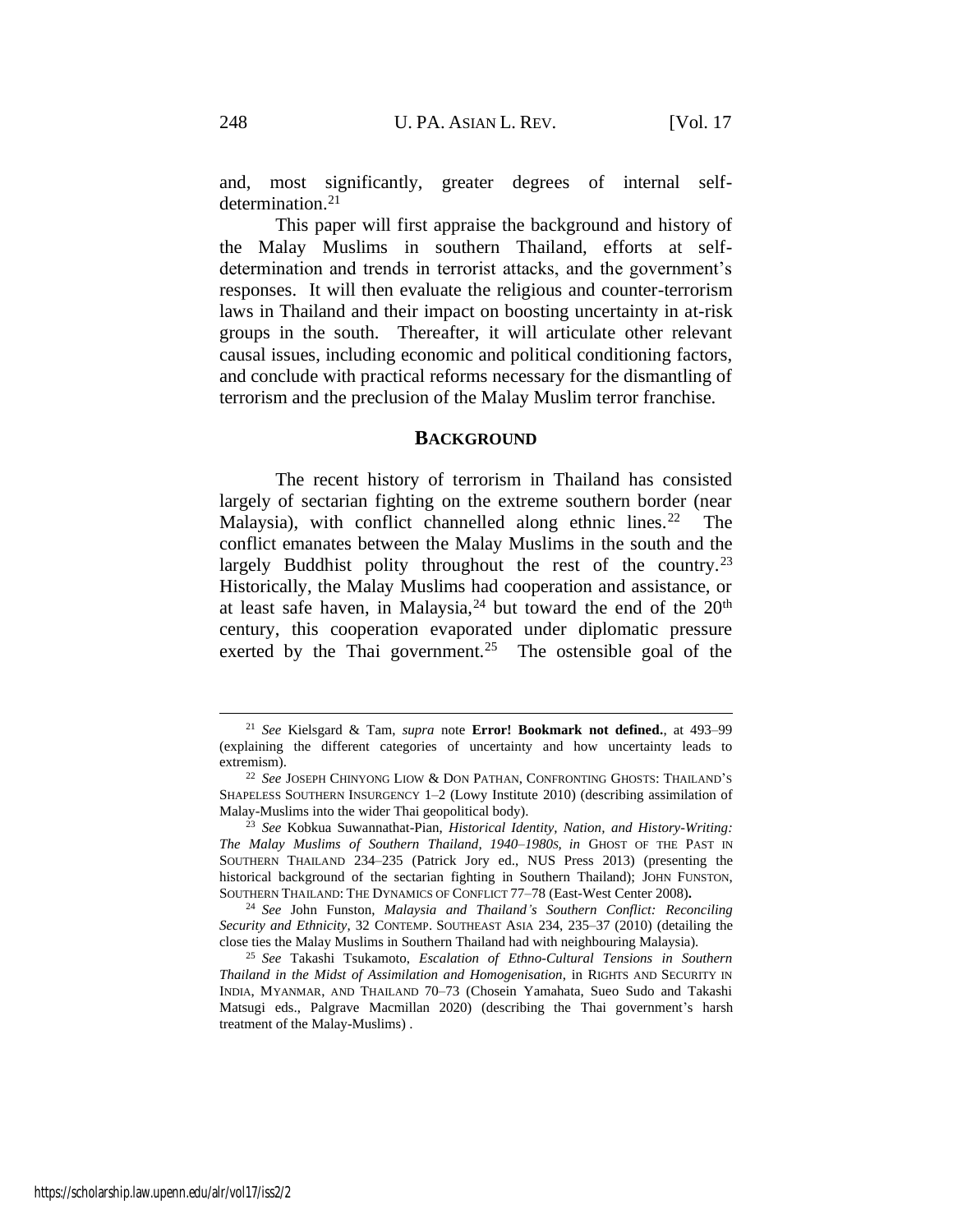and, most significantly, greater degrees of internal selfdetermination.<sup>21</sup>

This paper will first appraise the background and history of the Malay Muslims in southern Thailand, efforts at selfdetermination and trends in terrorist attacks, and the government's responses. It will then evaluate the religious and counter-terrorism laws in Thailand and their impact on boosting uncertainty in at-risk groups in the south. Thereafter, it will articulate other relevant causal issues, including economic and political conditioning factors, and conclude with practical reforms necessary for the dismantling of terrorism and the preclusion of the Malay Muslim terror franchise.

### **BACKGROUND**

The recent history of terrorism in Thailand has consisted largely of sectarian fighting on the extreme southern border (near Malaysia), with conflict channelled along ethnic lines.<sup>22</sup> The conflict emanates between the Malay Muslims in the south and the largely Buddhist polity throughout the rest of the country.<sup>23</sup> Historically, the Malay Muslims had cooperation and assistance, or at least safe haven, in Malaysia,  $24$  but toward the end of the  $20<sup>th</sup>$ century, this cooperation evaporated under diplomatic pressure exerted by the Thai government.<sup>25</sup> The ostensible goal of the

<sup>21</sup> *See* Kielsgard & Tam, *supra* note **Error! Bookmark not defined.**, at 493–99 (explaining the different categories of uncertainty and how uncertainty leads to extremism).

<sup>22</sup> *See* JOSEPH CHINYONG LIOW & DON PATHAN, CONFRONTING GHOSTS: THAILAND'S SHAPELESS SOUTHERN INSURGENCY 1–2 (Lowy Institute 2010) (describing assimilation of Malay-Muslims into the wider Thai geopolitical body).

<sup>23</sup> *See* Kobkua Suwannathat-Pian, *Historical Identity, Nation, and History-Writing: The Malay Muslims of Southern Thailand, 1940*–*1980S, in* GHOST OF THE PAST IN SOUTHERN THAILAND 234–235 (Patrick Jory ed., NUS Press 2013) (presenting the historical background of the sectarian fighting in Southern Thailand); JOHN FUNSTON, SOUTHERN THAILAND: THE DYNAMICS OF CONFLICT 77–78 (East-West Center 2008)**.**

<sup>24</sup> *See* John Funston, *Malaysia and Thailand's Southern Conflict: Reconciling Security and Ethnicity*, 32 CONTEMP. SOUTHEAST ASIA 234, 235–37 (2010) (detailing the close ties the Malay Muslims in Southern Thailand had with neighbouring Malaysia).

<sup>25</sup> *See* Takashi Tsukamoto, *Escalation of Ethno-Cultural Tensions in Southern Thailand in the Midst of Assimilation and Homogenisation*, in RIGHTS AND SECURITY IN INDIA, MYANMAR, AND THAILAND 70–73 (Chosein Yamahata, Sueo Sudo and Takashi Matsugi eds., Palgrave Macmillan 2020) (describing the Thai government's harsh treatment of the Malay-Muslims) .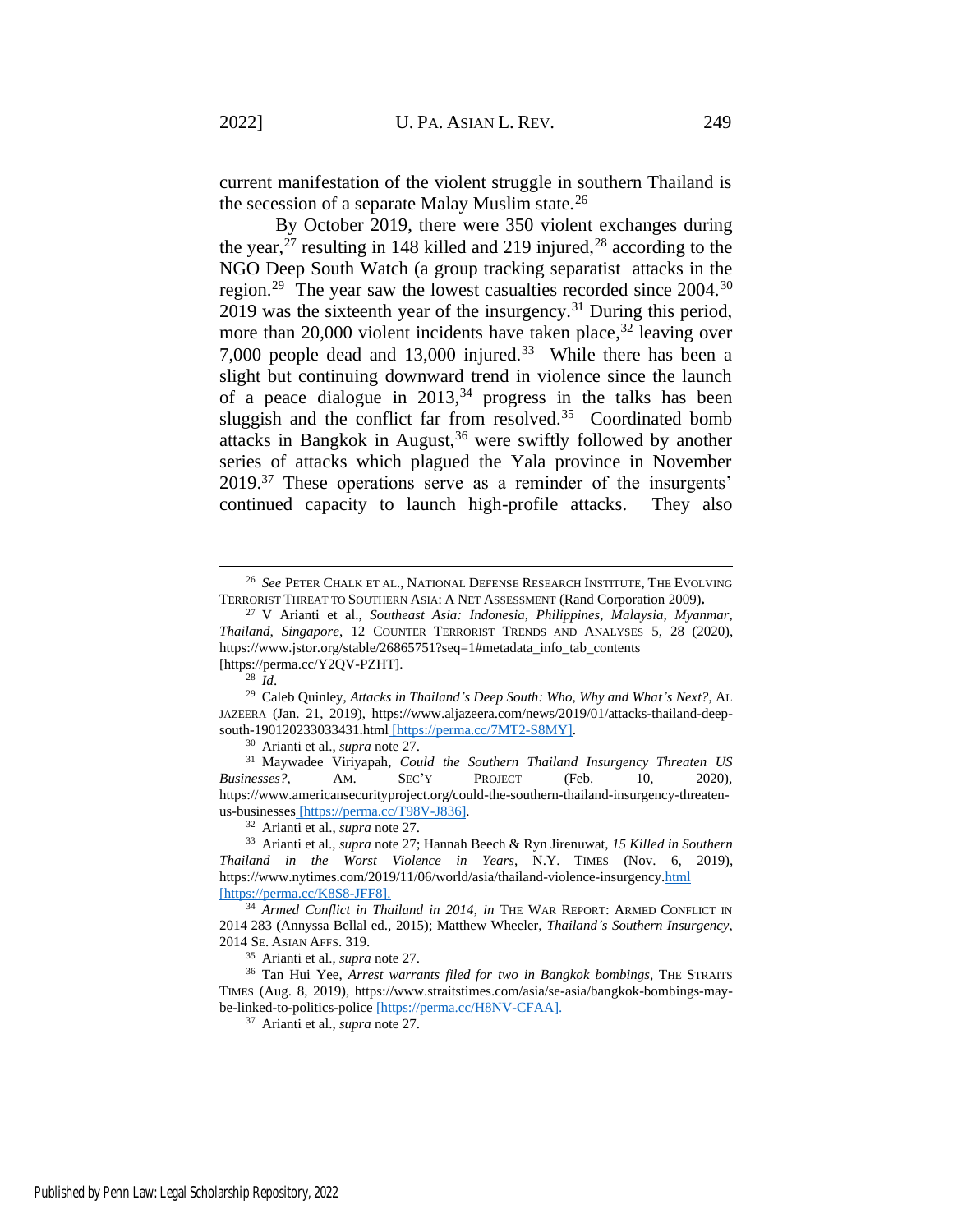<span id="page-6-1"></span>current manifestation of the violent struggle in southern Thailand is the secession of a separate Malay Muslim state.<sup>26</sup>

<span id="page-6-0"></span>By October 2019, there were 350 violent exchanges during the year,<sup>27</sup> resulting in 148 killed and 219 injured,<sup>28</sup> according to the NGO Deep South Watch (a group tracking separatist attacks in the region.<sup>29</sup> The year saw the lowest casualties recorded since 2004.<sup>30</sup> 2019 was the sixteenth year of the insurgency.<sup>31</sup> During this period, more than 20,000 violent incidents have taken place, $32$  leaving over 7,000 people dead and 13,000 injured.<sup>33</sup> While there has been a slight but continuing downward trend in violence since the launch of a peace dialogue in  $2013$ ,<sup>34</sup> progress in the talks has been sluggish and the conflict far from resolved. $35$  Coordinated bomb attacks in Bangkok in August,<sup>36</sup> were swiftly followed by another series of attacks which plagued the Yala province in November 2019.<sup>37</sup> These operations serve as a reminder of the insurgents' continued capacity to launch high-profile attacks. They also

<sup>30</sup> Arianti et al., *supra* not[e 27.](#page-6-0)

<sup>31</sup> Maywadee Viriyapah, *Could the Southern Thailand Insurgency Threaten US Businesses?*, AM. SEC'Y PROJECT (Feb. 10, 2020), https://www.americansecurityproject.org/could-the-southern-thailand-insurgency-threatenus-businesses [https://perma.cc/T98V-J836].

<sup>35</sup> Arianti et al., *supra* not[e 27.](#page-6-0)

<sup>26</sup> *See* PETER CHALK ET AL., NATIONAL DEFENSE RESEARCH INSTITUTE, THE EVOLVING TERRORIST THREAT TO SOUTHERN ASIA: A NET ASSESSMENT (Rand Corporation 2009)**.**

<sup>27</sup> V Arianti et al., *Southeast Asia: Indonesia, Philippines, Malaysia, Myanmar, Thailand, Singapore*, 12 COUNTER TERRORIST TRENDS AND ANALYSES 5, 28 (2020), https://www.jstor.org/stable/26865751?seq=1#metadata\_info\_tab\_contents [https://perma.cc/Y2QV-PZHT].

<sup>28</sup> *Id*.

<sup>29</sup> Caleb Quinley, *Attacks in Thailand's Deep South: Who, Why and What's Next?*, AL JAZEERA (Jan. 21, 2019), https://www.aljazeera.com/news/2019/01/attacks-thailand-deepsouth-190120233033431.html [https://perma.cc/7MT2-S8MY].

<sup>32</sup> Arianti et al., *supra* not[e 27.](#page-6-0)

<sup>33</sup> Arianti et al., *supra* note [27;](#page-6-0) Hannah Beech & Ryn Jirenuwat, *15 Killed in Southern Thailand in the Worst Violence in Years*, N.Y. TIMES (Nov. 6, 2019), https://www.nytimes.com/2019/11/06/world/asia/thailand-violence-insurgency.html [https://perma.cc/K8S8-JFF8].

<sup>34</sup> *Armed Conflict in Thailand in 2014*, *in* THE WAR REPORT: ARMED CONFLICT IN 2014 283 (Annyssa Bellal ed., 2015); Matthew Wheeler, *Thailand's Southern Insurgency*, 2014 SE. ASIAN AFFS. 319.

<sup>&</sup>lt;sup>36</sup> Tan Hui Yee, *Arrest warrants filed for two in Bangkok bombings*, THE STRAITS TIMES (Aug. 8, 2019), https://www.straitstimes.com/asia/se-asia/bangkok-bombings-maybe-linked-to-politics-police [https://perma.cc/H8NV-CFAA].

<sup>37</sup> Arianti et al., *supra* not[e 27.](#page-6-0)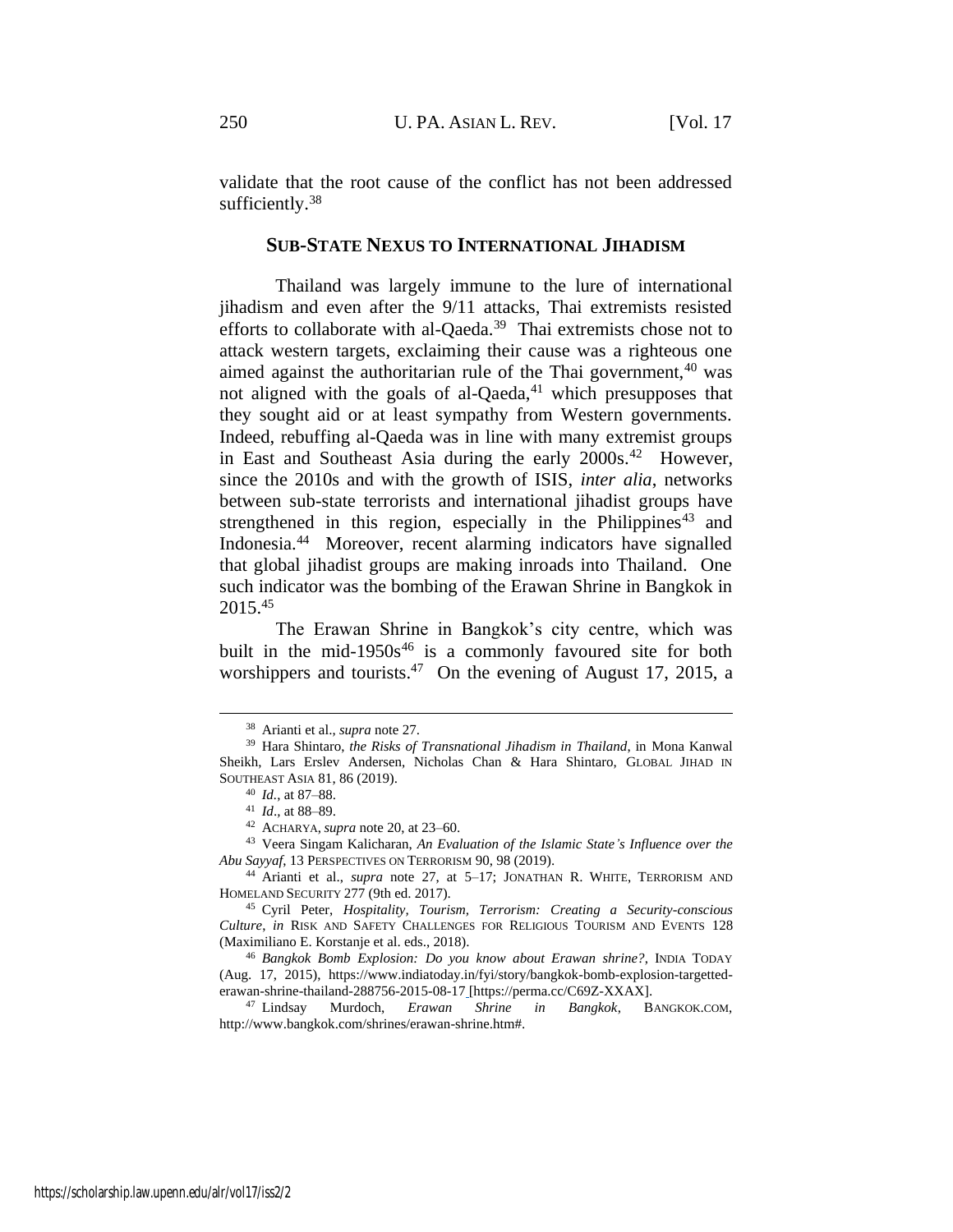validate that the root cause of the conflict has not been addressed sufficiently.<sup>38</sup>

### <span id="page-7-0"></span>**SUB-STATE NEXUS TO INTERNATIONAL JIHADISM**

Thailand was largely immune to the lure of international jihadism and even after the 9/11 attacks, Thai extremists resisted efforts to collaborate with al-Qaeda.<sup>39</sup> Thai extremists chose not to attack western targets, exclaiming their cause was a righteous one aimed against the authoritarian rule of the Thai government, $40$  was not aligned with the goals of al-Qaeda, $41$  which presupposes that they sought aid or at least sympathy from Western governments. Indeed, rebuffing al-Qaeda was in line with many extremist groups in East and Southeast Asia during the early 2000s.<sup>42</sup> However, since the 2010s and with the growth of ISIS, *inter alia*, networks between sub-state terrorists and international jihadist groups have strengthened in this region, especially in the Philippines<sup>43</sup> and Indonesia.<sup>44</sup> Moreover, recent alarming indicators have signalled that global jihadist groups are making inroads into Thailand. One such indicator was the bombing of the Erawan Shrine in Bangkok in 2015.<sup>45</sup>

The Erawan Shrine in Bangkok's city centre, which was built in the mid-1950 $s^{46}$  is a commonly favoured site for both worshippers and tourists.<sup>47</sup> On the evening of August 17, 2015, a

<sup>38</sup> Arianti et al., *supra* not[e 27.](#page-6-0)

<sup>39</sup> Hara Shintaro, *the Risks of Transnational Jihadism in Thailand*, in Mona Kanwal Sheikh, Lars Erslev Andersen, Nicholas Chan & Hara Shintaro, GLOBAL JIHAD IN SOUTHEAST ASIA 81, 86 (2019).

<sup>40</sup> *Id.*, at 87–88.

<sup>41</sup> *Id*.*,* at 88–89.

<sup>42</sup> ACHARYA,*supra* note [20,](#page-4-0) at 23–60.

<sup>43</sup> Veera Singam Kalicharan, *An Evaluation of the Islamic State's Influence over the Abu Sayyaf*, 13 PERSPECTIVES ON TERRORISM 90, 98 (2019).

<sup>44</sup> Arianti et al., *supra* note [27,](#page-6-0) at 5–17; JONATHAN R. WHITE, TERRORISM AND HOMELAND SECURITY 277 (9th ed. 2017).

<sup>45</sup> Cyril Peter, *Hospitality, Tourism, Terrorism: Creating a Security-conscious Culture*, *in* RISK AND SAFETY CHALLENGES FOR RELIGIOUS TOURISM AND EVENTS 128 (Maximiliano E. Korstanje et al. eds., 2018).

<sup>46</sup> *Bangkok Bomb Explosion: Do you know about Erawan shrine?*, INDIA TODAY (Aug. 17, 2015), https://www.indiatoday.in/fyi/story/bangkok-bomb-explosion-targettederawan-shrine-thailand-288756-2015-08-17 [https://perma.cc/C69Z-XXAX].

<sup>47</sup> Lindsay Murdoch, *Erawan Shrine in Bangkok*, BANGKOK.COM, http://www.bangkok.com/shrines/erawan-shrine.htm#.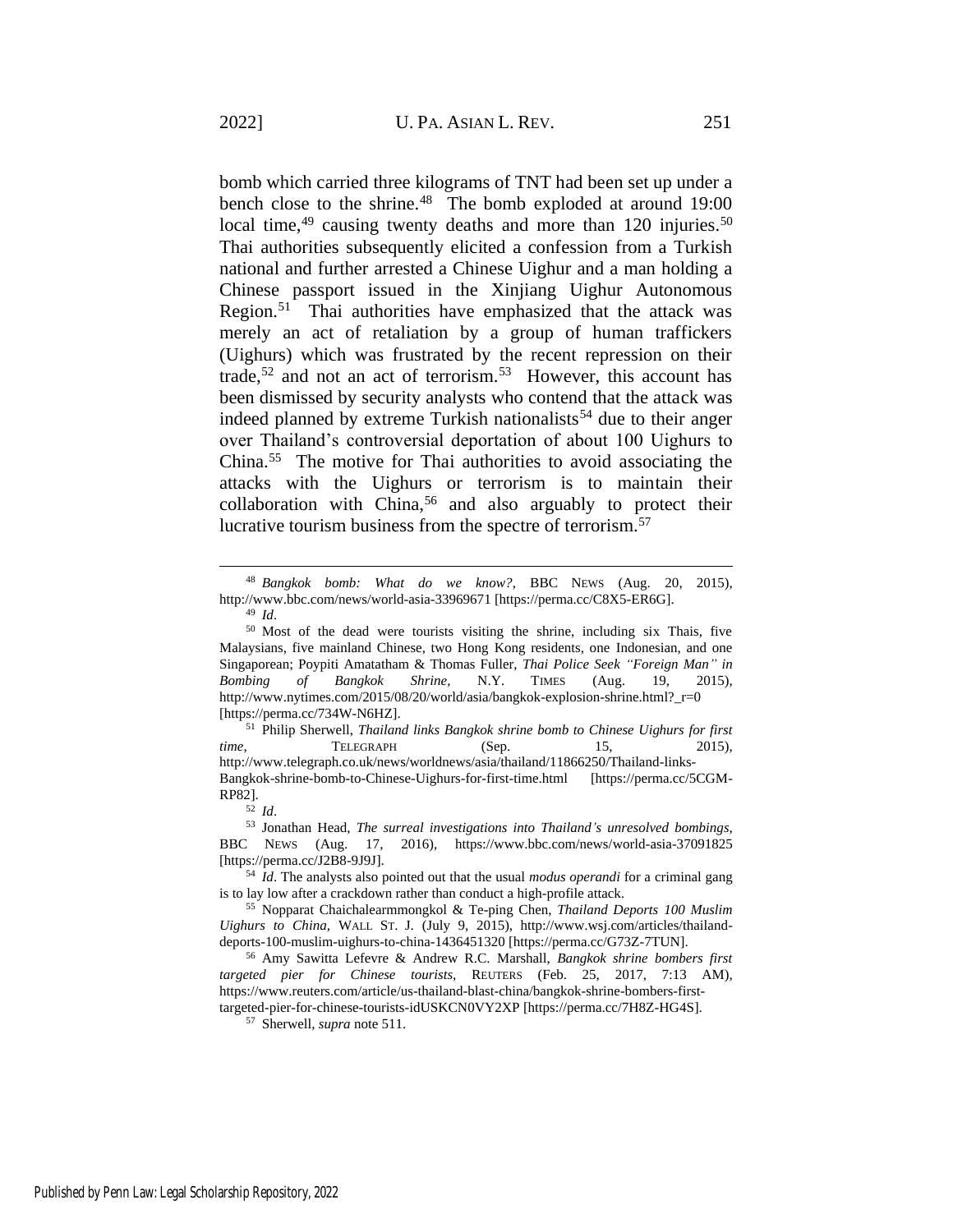<span id="page-8-2"></span><span id="page-8-0"></span>bomb which carried three kilograms of TNT had been set up under a bench close to the shrine.<sup>48</sup> The bomb exploded at around 19:00 local time,<sup>49</sup> causing twenty deaths and more than 120 injuries.<sup>50</sup> Thai authorities subsequently elicited a confession from a Turkish national and further arrested a Chinese Uighur and a man holding a Chinese passport issued in the Xinjiang Uighur Autonomous Region.<sup>51</sup> Thai authorities have emphasized that the attack was merely an act of retaliation by a group of human traffickers (Uighurs) which was frustrated by the recent repression on their trade,<sup>52</sup> and not an act of terrorism.<sup>53</sup> However, this account has been dismissed by security analysts who contend that the attack was indeed planned by extreme Turkish nationalists<sup>54</sup> due to their anger over Thailand's controversial deportation of about 100 Uighurs to China.<sup>55</sup> The motive for Thai authorities to avoid associating the attacks with the Uighurs or terrorism is to maintain their  $collaboration$  with China,<sup>56</sup> and also arguably to protect their lucrative tourism business from the spectre of terrorism.<sup>57</sup>

<span id="page-8-1"></span><sup>48</sup> *Bangkok bomb: What do we know?*, BBC NEWS (Aug. 20, 2015), http://www.bbc.com/news/world-asia-33969671 [https://perma.cc/C8X5-ER6G].

<sup>49</sup> *Id*.

<sup>50</sup> Most of the dead were tourists visiting the shrine, including six Thais, five Malaysians, five mainland Chinese, two Hong Kong residents, one Indonesian, and one Singaporean; Poypiti Amatatham & Thomas Fuller, *Thai Police Seek "Foreign Man" in Bombing of Bangkok Shrine*, N.Y. TIMES (Aug. 19, 2015), http://www.nytimes.com/2015/08/20/world/asia/bangkok-explosion-shrine.html?\_r=0 [https://perma.cc/734W-N6HZ].

<sup>51</sup> Philip Sherwell, *Thailand links Bangkok shrine bomb to Chinese Uighurs for first time*, **TELEGRAPH** (Sep. 15, 2015), http://www.telegraph.co.uk/news/worldnews/asia/thailand/11866250/Thailand-links-Bangkok-shrine-bomb-to-Chinese-Uighurs-for-first-time.html [https://perma.cc/5CGM-RP82].

<sup>52</sup> *Id*.

<sup>53</sup> Jonathan Head, *The surreal investigations into Thailand's unresolved bombings*, BBC NEWS (Aug. 17, 2016), https://www.bbc.com/news/world-asia-37091825 [https://perma.cc/J2B8-9J9J].

<sup>54</sup> *Id*. The analysts also pointed out that the usual *modus operandi* for a criminal gang is to lay low after a crackdown rather than conduct a high-profile attack.

<sup>55</sup> Nopparat Chaichalearmmongkol & Te-ping Chen, *Thailand Deports 100 Muslim Uighurs to China,* WALL ST. J. (July 9, 2015), http://www.wsj.com/articles/thailanddeports-100-muslim-uighurs-to-china-1436451320 [https://perma.cc/G73Z-7TUN].

<sup>56</sup> Amy Sawitta Lefevre & Andrew R.C. Marshall, *Bangkok shrine bombers first targeted pier for Chinese tourists,* REUTERS (Feb. 25, 2017, 7:13 AM), https://www.reuters.com/article/us-thailand-blast-china/bangkok-shrine-bombers-first-

targeted-pier-for-chinese-tourists-idUSKCN0VY2XP [https://perma.cc/7H8Z-HG4S].

<sup>57</sup> Sherwell, *supra* not[e 511](#page-8-0).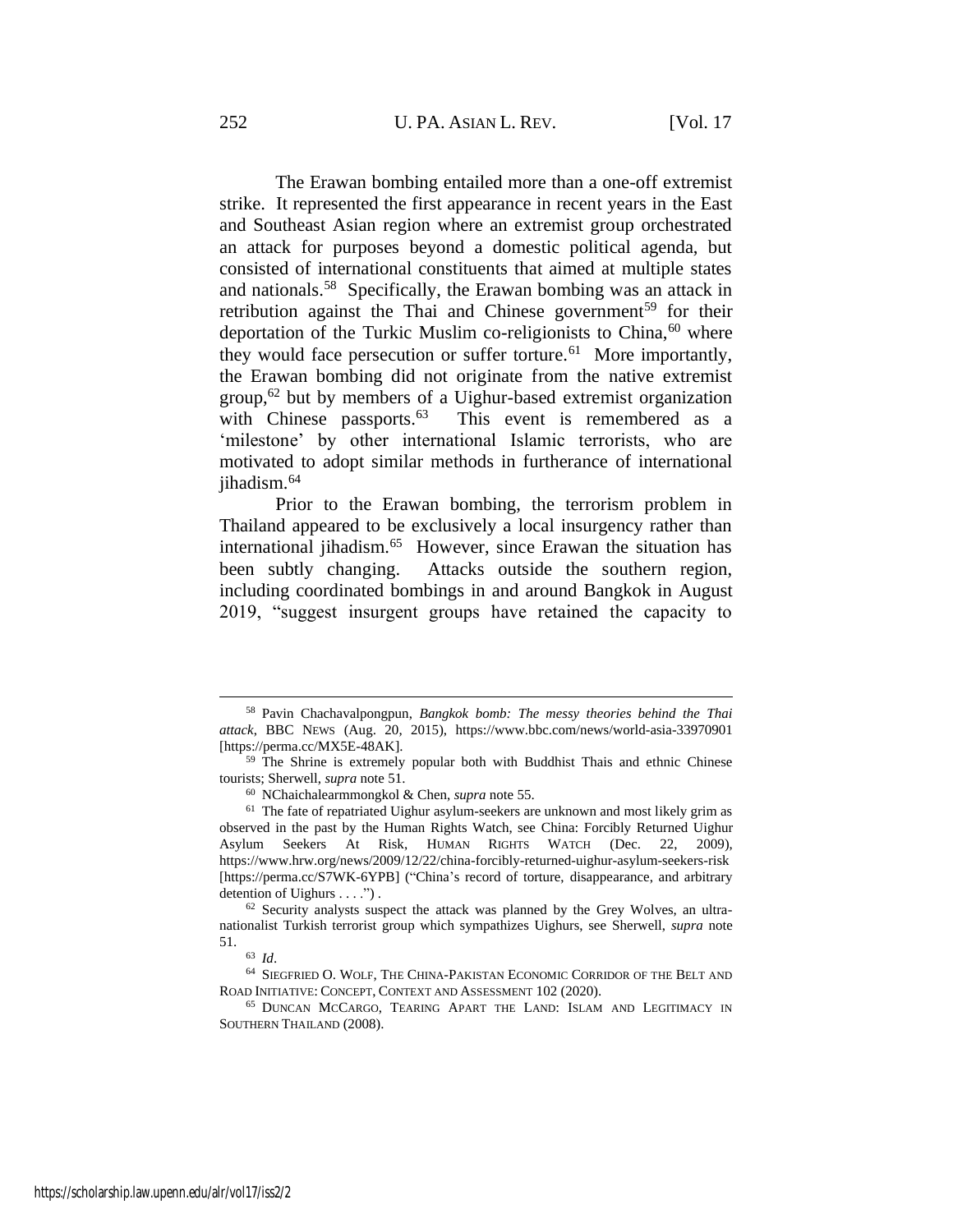The Erawan bombing entailed more than a one-off extremist strike. It represented the first appearance in recent years in the East and Southeast Asian region where an extremist group orchestrated an attack for purposes beyond a domestic political agenda, but consisted of international constituents that aimed at multiple states and nationals.<sup>58</sup> Specifically, the Erawan bombing was an attack in retribution against the Thai and Chinese government<sup>59</sup> for their deportation of the Turkic Muslim co-religionists to China,  $60$  where they would face persecution or suffer torture.<sup>61</sup> More importantly, the Erawan bombing did not originate from the native extremist group,<sup>62</sup> but by members of a Uighur-based extremist organization with Chinese passports.<sup>63</sup> This event is remembered as a 'milestone' by other international Islamic terrorists, who are motivated to adopt similar methods in furtherance of international jihadism.<sup>64</sup>

<span id="page-9-0"></span>Prior to the Erawan bombing, the terrorism problem in Thailand appeared to be exclusively a local insurgency rather than international jihadism.<sup>65</sup> However, since Erawan the situation has been subtly changing. Attacks outside the southern region, including coordinated bombings in and around Bangkok in August 2019, "suggest insurgent groups have retained the capacity to

<sup>65</sup> DUNCAN MCCARGO, TEARING APART THE LAND: ISLAM AND LEGITIMACY IN SOUTHERN THAILAND (2008).

<sup>58</sup> Pavin Chachavalpongpun, *Bangkok bomb: The messy theories behind the Thai attack*, BBC NEWS (Aug. 20, 2015), <https://www.bbc.com/news/world-asia-33970901> [https://perma.cc/MX5E-48AK].

<sup>&</sup>lt;sup>59</sup> The Shrine is extremely popular both with Buddhist Thais and ethnic Chinese tourists; Sherwell, *supra* not[e 51.](#page-8-0)

<sup>60</sup> NChaichalearmmongkol & Chen, *supra* not[e 55.](#page-8-1)

 $61$  The fate of repatriated Uighur asylum-seekers are unknown and most likely grim as observed in the past by the Human Rights Watch, see China: Forcibly Returned Uighur Asylum Seekers At Risk, HUMAN RIGHTS WATCH (Dec. 22, 2009), https://www.hrw.org/news/2009/12/22/china-forcibly-returned-uighur-asylum-seekers-risk [https://perma.cc/S7WK-6YPB] ("China's record of torture, disappearance, and arbitrary detention of Uighurs . . . .") .

 $62$  Security analysts suspect the attack was planned by the Grey Wolves, an ultranationalist Turkish terrorist group which sympathizes Uighurs, see Sherwell, *supra* note [51.](#page-8-0)

<sup>63</sup> *Id*.

<sup>64</sup> SIEGFRIED O. WOLF, THE CHINA-PAKISTAN ECONOMIC CORRIDOR OF THE BELT AND ROAD INITIATIVE: CONCEPT, CONTEXT AND ASSESSMENT 102 (2020).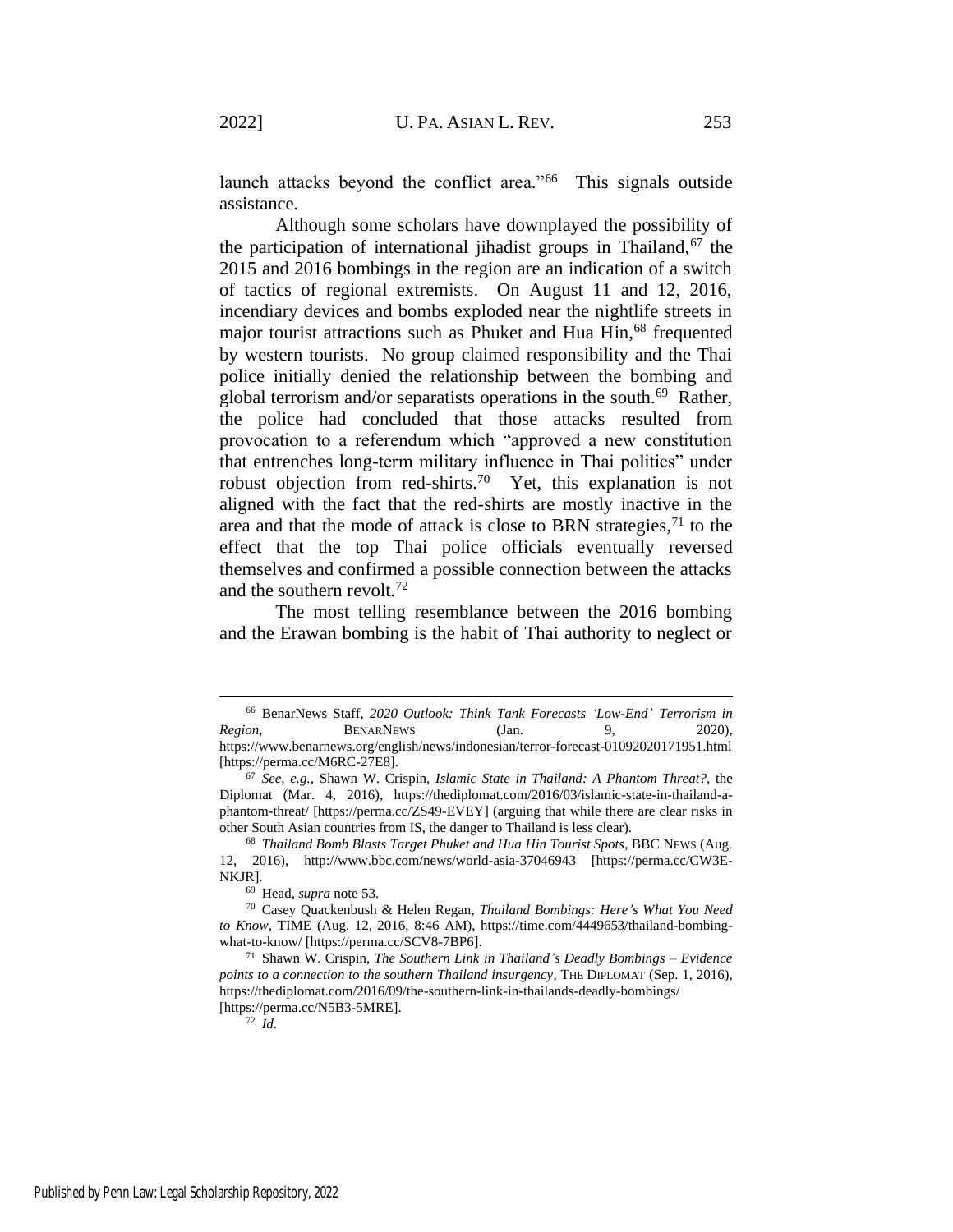launch attacks beyond the conflict area."<sup>66</sup> This signals outside assistance.

<span id="page-10-0"></span>Although some scholars have downplayed the possibility of the participation of international jihadist groups in Thailand,  $67$  the 2015 and 2016 bombings in the region are an indication of a switch of tactics of regional extremists. On August 11 and 12, 2016, incendiary devices and bombs exploded near the nightlife streets in major tourist attractions such as Phuket and Hua Hin,<sup>68</sup> frequented by western tourists. No group claimed responsibility and the Thai police initially denied the relationship between the bombing and global terrorism and/or separatists operations in the south.<sup>69</sup> Rather, the police had concluded that those attacks resulted from provocation to a referendum which "approved a new constitution that entrenches long-term military influence in Thai politics" under robust objection from red-shirts.<sup>70</sup> Yet, this explanation is not aligned with the fact that the red-shirts are mostly inactive in the area and that the mode of attack is close to BRN strategies,  $71$  to the effect that the top Thai police officials eventually reversed themselves and confirmed a possible connection between the attacks and the southern revolt.<sup>72</sup>

The most telling resemblance between the 2016 bombing and the Erawan bombing is the habit of Thai authority to neglect or

<sup>66</sup> BenarNews Staff, *2020 Outlook: Think Tank Forecasts 'Low-End' Terrorism in Region*, **BENARNEWS** (Jan. 9, 2020), https://www.benarnews.org/english/news/indonesian/terror-forecast-01092020171951.html [https://perma.cc/M6RC-27E8].

<sup>67</sup> *See, e.g.*, Shawn W. Crispin, *Islamic State in Thailand: A Phantom Threat?*, the Diplomat (Mar. 4, 2016), https://thediplomat.com/2016/03/islamic-state-in-thailand-aphantom-threat/ [https://perma.cc/ZS49-EVEY] (arguing that while there are clear risks in other South Asian countries from IS, the danger to Thailand is less clear).

<sup>68</sup> *Thailand Bomb Blasts Target Phuket and Hua Hin Tourist Spots*, BBC NEWS (Aug. 12, 2016), http://www.bbc.com/news/world-asia-37046943 [https://perma.cc/CW3E-NKJR].

<sup>69</sup> Head, *supra* not[e 53.](#page-8-2)

<sup>70</sup> Casey Quackenbush & Helen Regan*, Thailand Bombings: Here's What You Need to Know,* TIME (Aug. 12, 2016, 8:46 AM), https://time.com/4449653/thailand-bombingwhat-to-know/ [https://perma.cc/SCV8-7BP6].

<sup>71</sup> Shawn W. Crispin, *The Southern Link in Thailand's Deadly Bombings – Evidence points to a connection to the southern Thailand insurgency*, THE DIPLOMAT (Sep. 1, 2016), https://thediplomat.com/2016/09/the-southern-link-in-thailands-deadly-bombings/ [https://perma.cc/N5B3-5MRE].

<sup>72</sup> *Id.*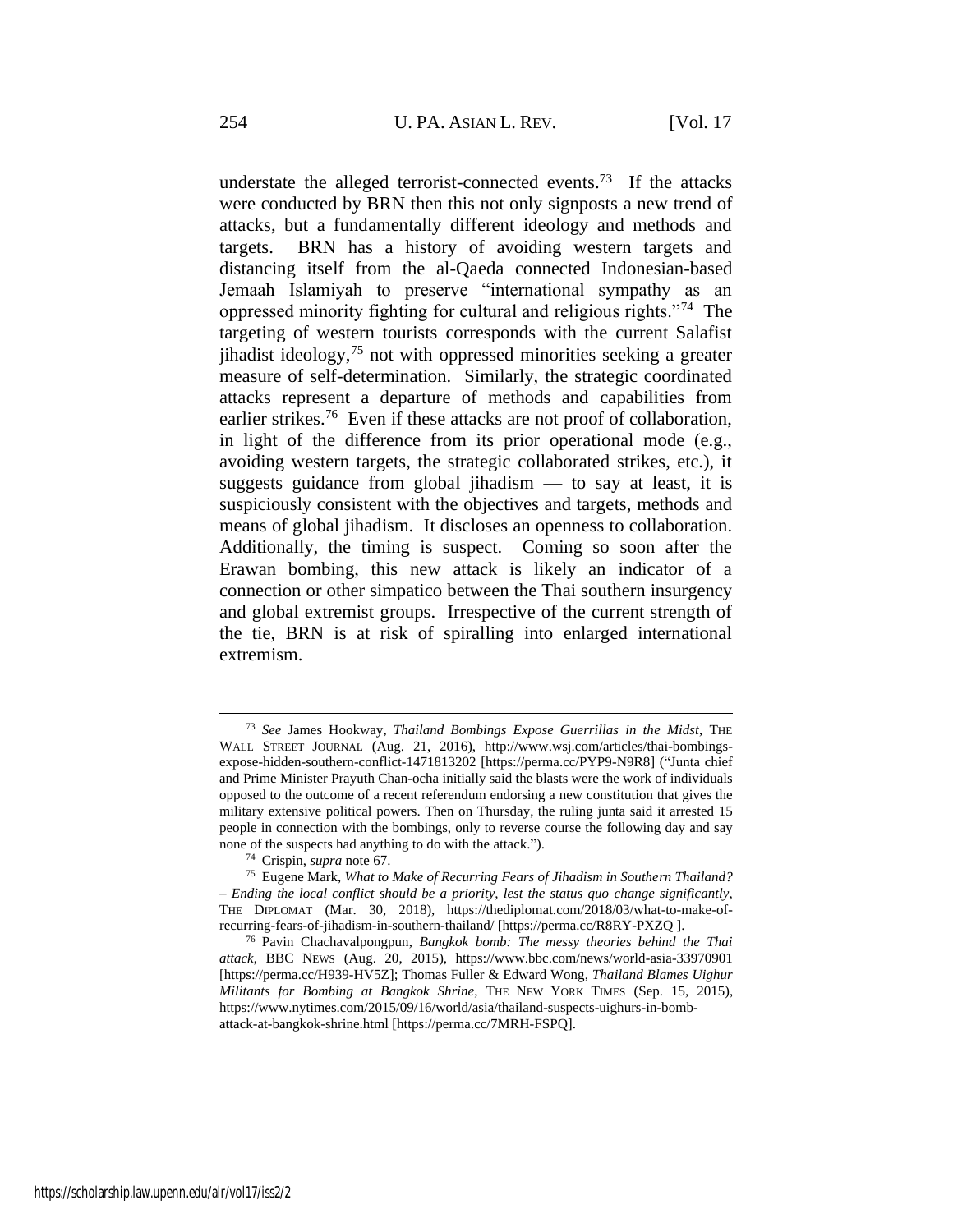<span id="page-11-0"></span>understate the alleged terrorist-connected events.<sup>73</sup> If the attacks were conducted by BRN then this not only signposts a new trend of attacks, but a fundamentally different ideology and methods and targets. BRN has a history of avoiding western targets and distancing itself from the al-Qaeda connected Indonesian-based Jemaah Islamiyah to preserve "international sympathy as an oppressed minority fighting for cultural and religious rights."<sup>74</sup> The targeting of western tourists corresponds with the current Salafist jihadist ideology,  $75$  not with oppressed minorities seeking a greater measure of self-determination. Similarly, the strategic coordinated attacks represent a departure of methods and capabilities from earlier strikes.<sup>76</sup> Even if these attacks are not proof of collaboration, in light of the difference from its prior operational mode (e.g., avoiding western targets, the strategic collaborated strikes, etc.), it suggests guidance from global jihadism — to say at least, it is suspiciously consistent with the objectives and targets, methods and means of global jihadism. It discloses an openness to collaboration. Additionally, the timing is suspect. Coming so soon after the Erawan bombing, this new attack is likely an indicator of a connection or other simpatico between the Thai southern insurgency and global extremist groups. Irrespective of the current strength of the tie, BRN is at risk of spiralling into enlarged international extremism.

<sup>73</sup> *See* James Hookway, *Thailand Bombings Expose Guerrillas in the Midst*, THE WALL STREET JOURNAL (Aug. 21, 2016), http://www.wsj.com/articles/thai-bombingsexpose-hidden-southern-conflict-1471813202 [https://perma.cc/PYP9-N9R8] ("Junta chief and Prime Minister Prayuth Chan-ocha initially said the blasts were the work of individuals opposed to the outcome of a recent referendum endorsing a new constitution that gives the military extensive political powers. Then on Thursday, the ruling junta said it arrested 15 people in connection with the bombings, only to reverse course the following day and say none of the suspects had anything to do with the attack.").

<sup>74</sup> Crispin, *supra* note [67.](#page-10-0)

<sup>75</sup> Eugene Mark, *What to Make of Recurring Fears of Jihadism in Southern Thailand? – Ending the local conflict should be a priority, lest the status quo change significantly*, THE DIPLOMAT (Mar. 30, 2018), https://thediplomat.com/2018/03/what-to-make-ofrecurring-fears-of-jihadism-in-southern-thailand/ [https://perma.cc/R8RY-PXZQ ].

<sup>76</sup> Pavin Chachavalpongpun, *Bangkok bomb: The messy theories behind the Thai attack*, BBC NEWS (Aug. 20, 2015), https://www.bbc.com/news/world-asia-33970901 [https://perma.cc/H939-HV5Z]; Thomas Fuller & Edward Wong, *Thailand Blames Uighur Militants for Bombing at Bangkok Shrine*, THE NEW YORK TIMES (Sep. 15, 2015), https://www.nytimes.com/2015/09/16/world/asia/thailand-suspects-uighurs-in-bombattack-at-bangkok-shrine.html [https://perma.cc/7MRH-FSPQ].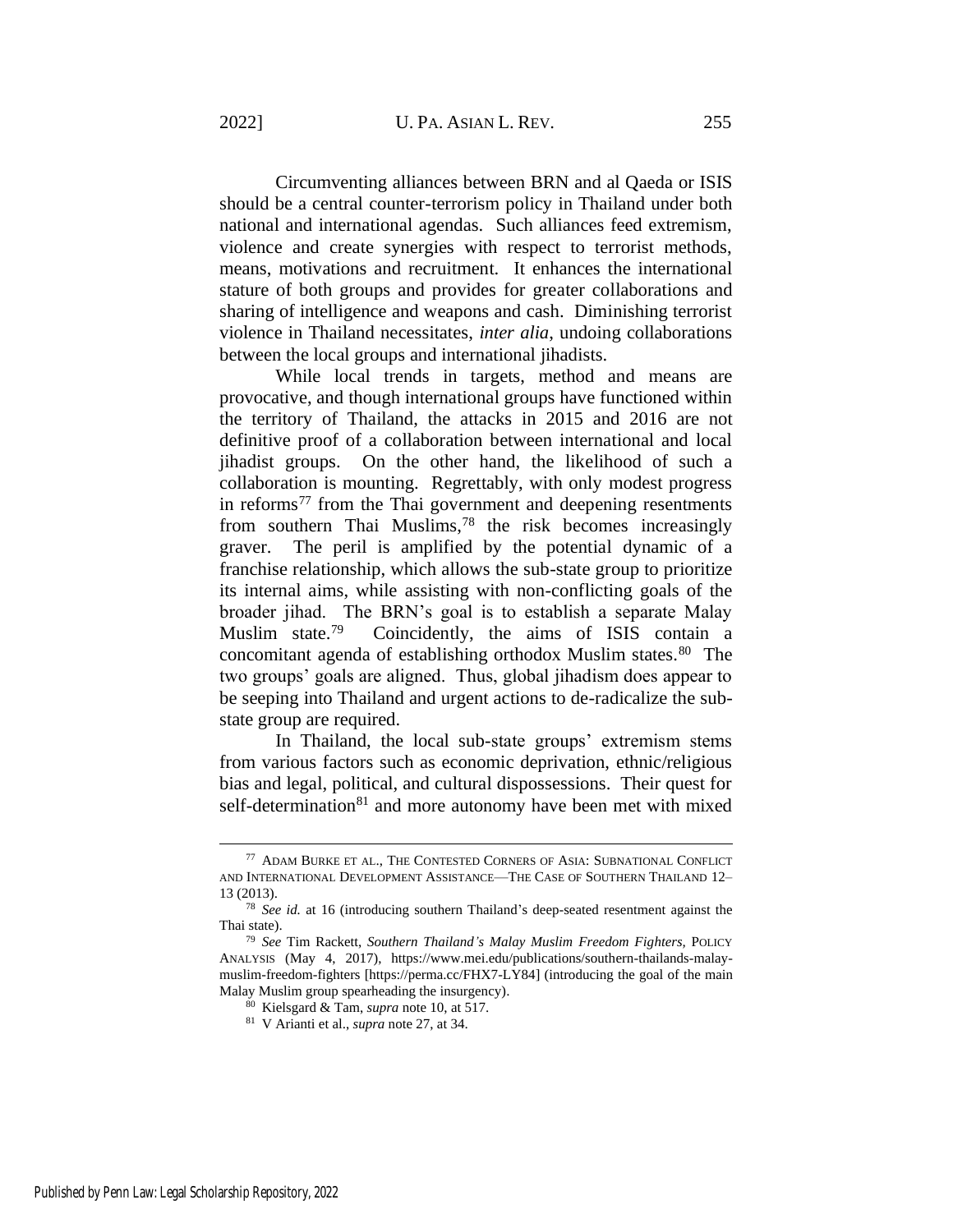Circumventing alliances between BRN and al Qaeda or ISIS should be a central counter-terrorism policy in Thailand under both national and international agendas. Such alliances feed extremism, violence and create synergies with respect to terrorist methods, means, motivations and recruitment. It enhances the international stature of both groups and provides for greater collaborations and sharing of intelligence and weapons and cash. Diminishing terrorist violence in Thailand necessitates, *inter alia*, undoing collaborations between the local groups and international jihadists.

While local trends in targets, method and means are provocative, and though international groups have functioned within the territory of Thailand, the attacks in 2015 and 2016 are not definitive proof of a collaboration between international and local jihadist groups. On the other hand, the likelihood of such a collaboration is mounting. Regrettably, with only modest progress in reforms $^{77}$  from the Thai government and deepening resentments from southern Thai Muslims,<sup>78</sup> the risk becomes increasingly graver. The peril is amplified by the potential dynamic of a franchise relationship, which allows the sub-state group to prioritize its internal aims, while assisting with non-conflicting goals of the broader jihad. The BRN's goal is to establish a separate Malay Muslim state.<sup>79</sup> Coincidently, the aims of ISIS contain a concomitant agenda of establishing orthodox Muslim states.<sup>80</sup> The two groups' goals are aligned. Thus, global jihadism does appear to be seeping into Thailand and urgent actions to de-radicalize the substate group are required.

In Thailand, the local sub-state groups' extremism stems from various factors such as economic deprivation, ethnic/religious bias and legal, political, and cultural dispossessions. Their quest for self-determination<sup>81</sup> and more autonomy have been met with mixed

<sup>77</sup> ADAM BURKE ET AL., THE CONTESTED CORNERS OF ASIA: SUBNATIONAL CONFLICT AND INTERNATIONAL DEVELOPMENT ASSISTANCE—THE CASE OF SOUTHERN THAILAND 12– 13 (2013).

<sup>78</sup> *See id.* at 16 (introducing southern Thailand's deep-seated resentment against the Thai state).

<sup>79</sup> *See* Tim Rackett, *Southern Thailand's Malay Muslim Freedom Fighters,* POLICY ANALYSIS (May 4, 2017), https://www.mei.edu/publications/southern-thailands-malaymuslim-freedom-fighters [https://perma.cc/FHX7-LY84] (introducing the goal of the main Malay Muslim group spearheading the insurgency).

<sup>80</sup> Kielsgard & Tam, *supra* not[e 10,](#page-2-0) at 517.

<sup>81</sup> V Arianti et al., *supra* not[e 27,](#page-6-0) at 34.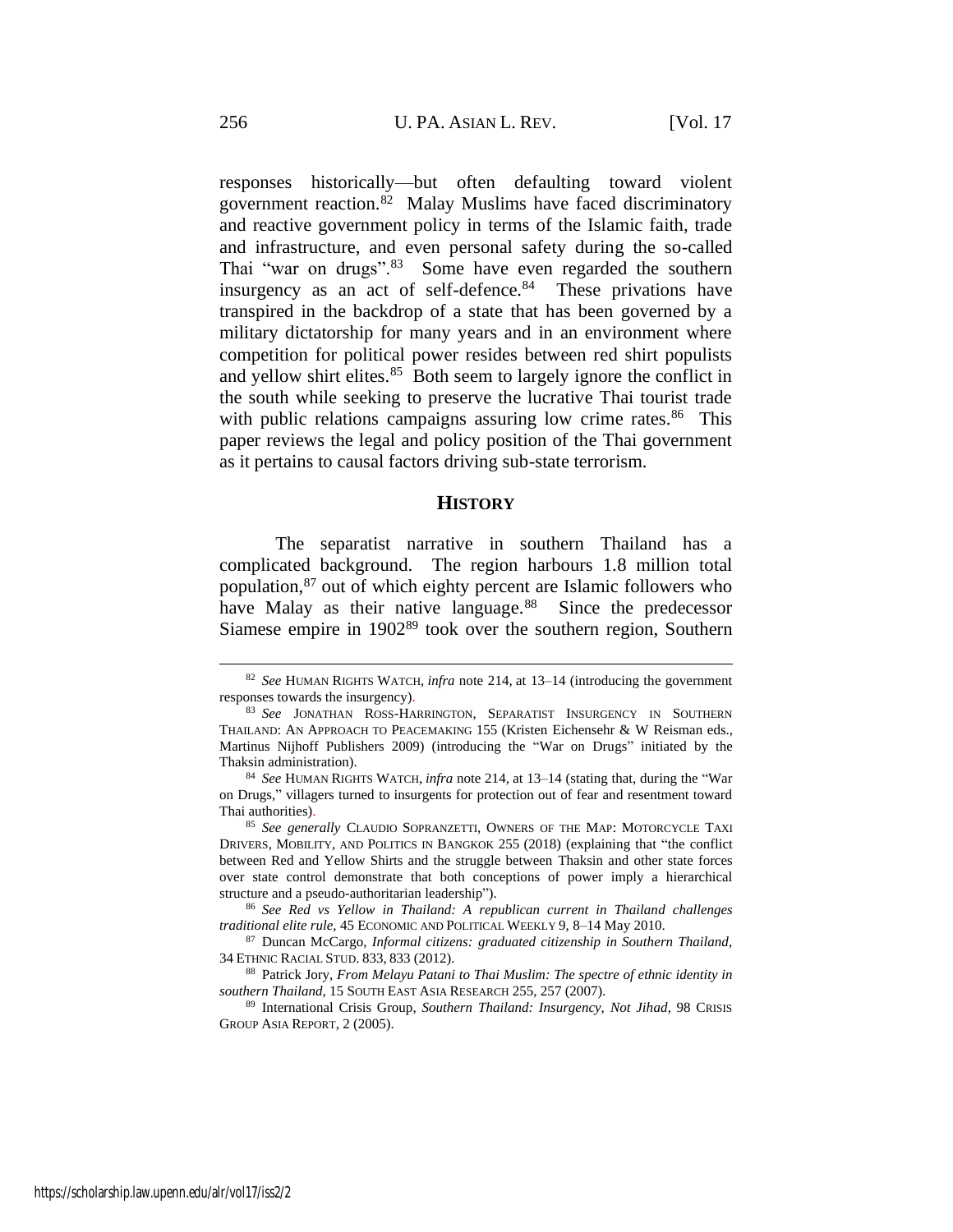<span id="page-13-1"></span>responses historically—but often defaulting toward violent government reaction.<sup>82</sup> Malay Muslims have faced discriminatory and reactive government policy in terms of the Islamic faith, trade and infrastructure, and even personal safety during the so-called Thai "war on drugs".<sup>83</sup> Some have even regarded the southern insurgency as an act of self-defence.<sup>84</sup> These privations have transpired in the backdrop of a state that has been governed by a military dictatorship for many years and in an environment where competition for political power resides between red shirt populists and yellow shirt elites.<sup>85</sup> Both seem to largely ignore the conflict in the south while seeking to preserve the lucrative Thai tourist trade with public relations campaigns assuring low crime rates.<sup>86</sup> This paper reviews the legal and policy position of the Thai government as it pertains to causal factors driving sub-state terrorism.

#### **HISTORY**

<span id="page-13-0"></span>The separatist narrative in southern Thailand has a complicated background. The region harbours 1.8 million total population,<sup>87</sup> out of which eighty percent are Islamic followers who have Malay as their native language.<sup>88</sup> Since the predecessor Siamese empire in 1902<sup>89</sup> took over the southern region, Southern

<sup>82</sup> *See* HUMAN RIGHTS WATCH, *infra* note [214,](#page-29-0) at 13–14 (introducing the government responses towards the insurgency).

<sup>83</sup> *See* JONATHAN ROSS-HARRINGTON, SEPARATIST INSURGENCY IN SOUTHERN THAILAND: AN APPROACH TO PEACEMAKING 155 (Kristen Eichensehr & W Reisman eds., Martinus Nijhoff Publishers 2009) (introducing the "War on Drugs" initiated by the Thaksin administration).

<sup>84</sup> *See* HUMAN RIGHTS WATCH, *infra* note [214,](#page-29-0) at 13–14 (stating that, during the "War on Drugs," villagers turned to insurgents for protection out of fear and resentment toward Thai authorities).

<sup>85</sup> *See generally* CLAUDIO SOPRANZETTI, OWNERS OF THE MAP: MOTORCYCLE TAXI DRIVERS, MOBILITY, AND POLITICS IN BANGKOK 255 (2018) (explaining that "the conflict between Red and Yellow Shirts and the struggle between Thaksin and other state forces over state control demonstrate that both conceptions of power imply a hierarchical structure and a pseudo-authoritarian leadership").

<sup>86</sup> *See Red vs Yellow in Thailand: A republican current in Thailand challenges traditional elite rule*, 45 ECONOMIC AND POLITICAL WEEKLY 9, 8–14 May 2010.

<sup>87</sup> Duncan McCargo, *Informal citizens: graduated citizenship in Southern Thailand*, 34 ETHNIC RACIAL STUD. 833, 833 (2012).

<sup>88</sup> Patrick Jory, *From Melayu Patani to Thai Muslim: The spectre of ethnic identity in southern Thailand*, 15 SOUTH EAST ASIA RESEARCH 255, 257 (2007).

<sup>89</sup> International Crisis Group, *Southern Thailand: Insurgency, Not Jihad*, 98 CRISIS GROUP ASIA REPORT, 2 (2005).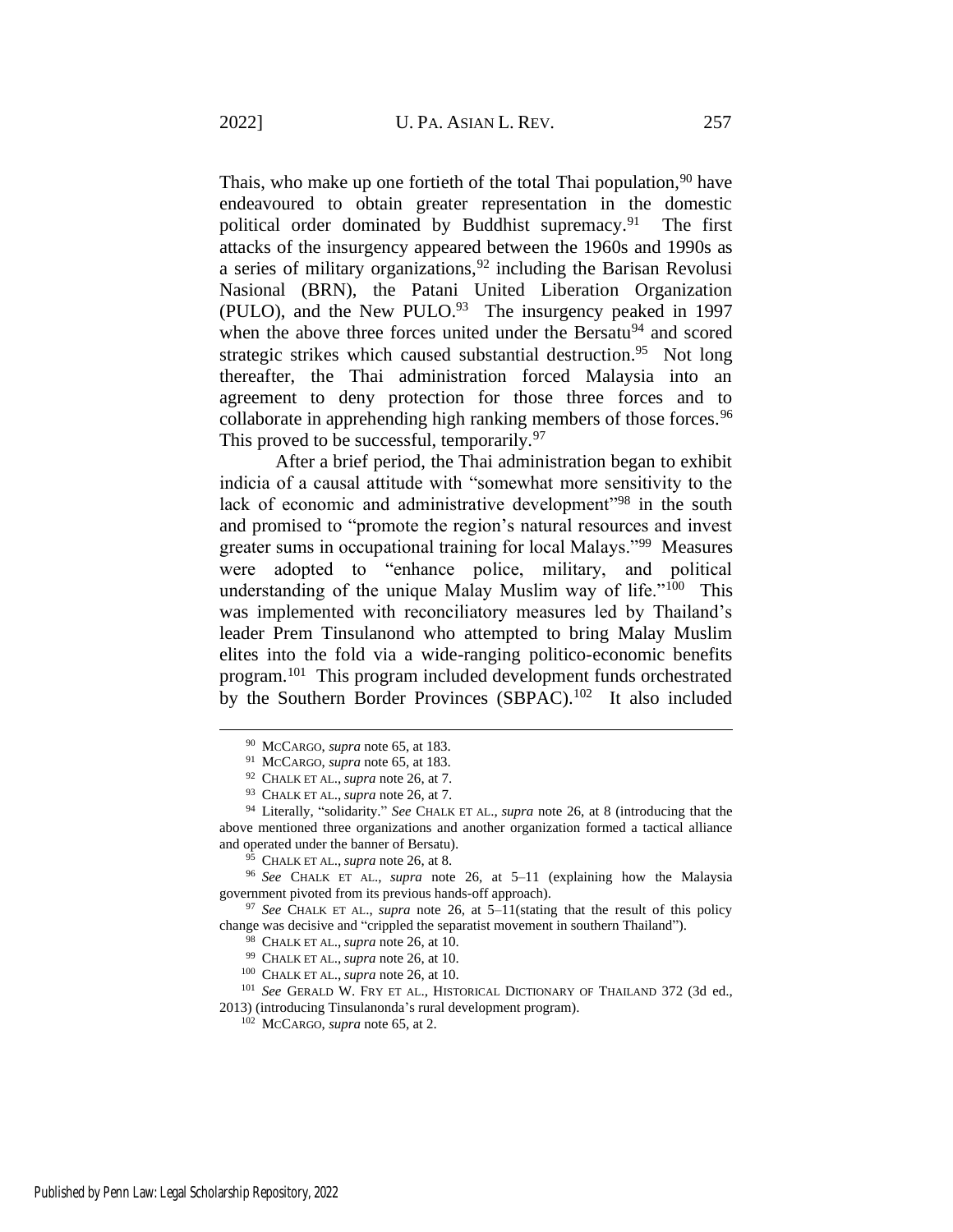Thais, who make up one fortieth of the total Thai population,  $90$  have endeavoured to obtain greater representation in the domestic political order dominated by Buddhist supremacy.<sup>91</sup> The first attacks of the insurgency appeared between the 1960s and 1990s as a series of military organizations,  $92$  including the Barisan Revolusi Nasional (BRN), the Patani United Liberation Organization (PULO), and the New PULO. $93$  The insurgency peaked in 1997 when the above three forces united under the Bersatu<sup>94</sup> and scored strategic strikes which caused substantial destruction.<sup>95</sup> Not long thereafter, the Thai administration forced Malaysia into an agreement to deny protection for those three forces and to collaborate in apprehending high ranking members of those forces.<sup>96</sup> This proved to be successful, temporarily.<sup>97</sup>

After a brief period, the Thai administration began to exhibit indicia of a causal attitude with "somewhat more sensitivity to the lack of economic and administrative development<sup>"98</sup> in the south and promised to "promote the region's natural resources and invest greater sums in occupational training for local Malays."<sup>99</sup> Measures were adopted to "enhance police, military, and political understanding of the unique Malay Muslim way of life."<sup>100</sup> This was implemented with reconciliatory measures led by Thailand's leader Prem Tinsulanond who attempted to bring Malay Muslim elites into the fold via a wide-ranging politico-economic benefits program.<sup>101</sup> This program included development funds orchestrated by the Southern Border Provinces (SBPAC).<sup>102</sup> It also included

<sup>90</sup> MCCARGO, *supra* note [65,](#page-9-0) at 183.

<sup>91</sup> MCCARGO, *supra* note [65,](#page-9-0) at 183.

<sup>92</sup> CHALK ET AL.,*supra* note [26,](#page-6-1) at 7.

<sup>93</sup> CHALK ET AL.,*supra* note [26,](#page-6-1) at 7.

<sup>94</sup> Literally, "solidarity." *See* CHALK ET AL., *supra* note [26,](#page-6-1) at 8 (introducing that the above mentioned three organizations and another organization formed a tactical alliance and operated under the banner of Bersatu).

<sup>95</sup> CHALK ET AL.,*supra* note [26,](#page-6-1) at 8.

<sup>96</sup> *See* CHALK ET AL., *supra* note [26,](#page-6-1) at 5–11 (explaining how the Malaysia government pivoted from its previous hands-off approach).

<sup>97</sup> *See* CHALK ET AL., *supra* note [26,](#page-6-1) at 5–11(stating that the result of this policy change was decisive and "crippled the separatist movement in southern Thailand").

<sup>98</sup> CHALK ET AL.,*supra* note [26,](#page-6-1) at 10.

<sup>99</sup> CHALK ET AL.,*supra* note [26,](#page-6-1) at 10.

<sup>100</sup> CHALK ET AL.,*supra* note [26,](#page-6-1) at 10.

<sup>101</sup> *See* GERALD W. FRY ET AL., HISTORICAL DICTIONARY OF THAILAND 372 (3d ed.,

<sup>2013) (</sup>introducing Tinsulanonda's rural development program).

<sup>102</sup> MCCARGO, *supra* note [65,](#page-9-0) at 2.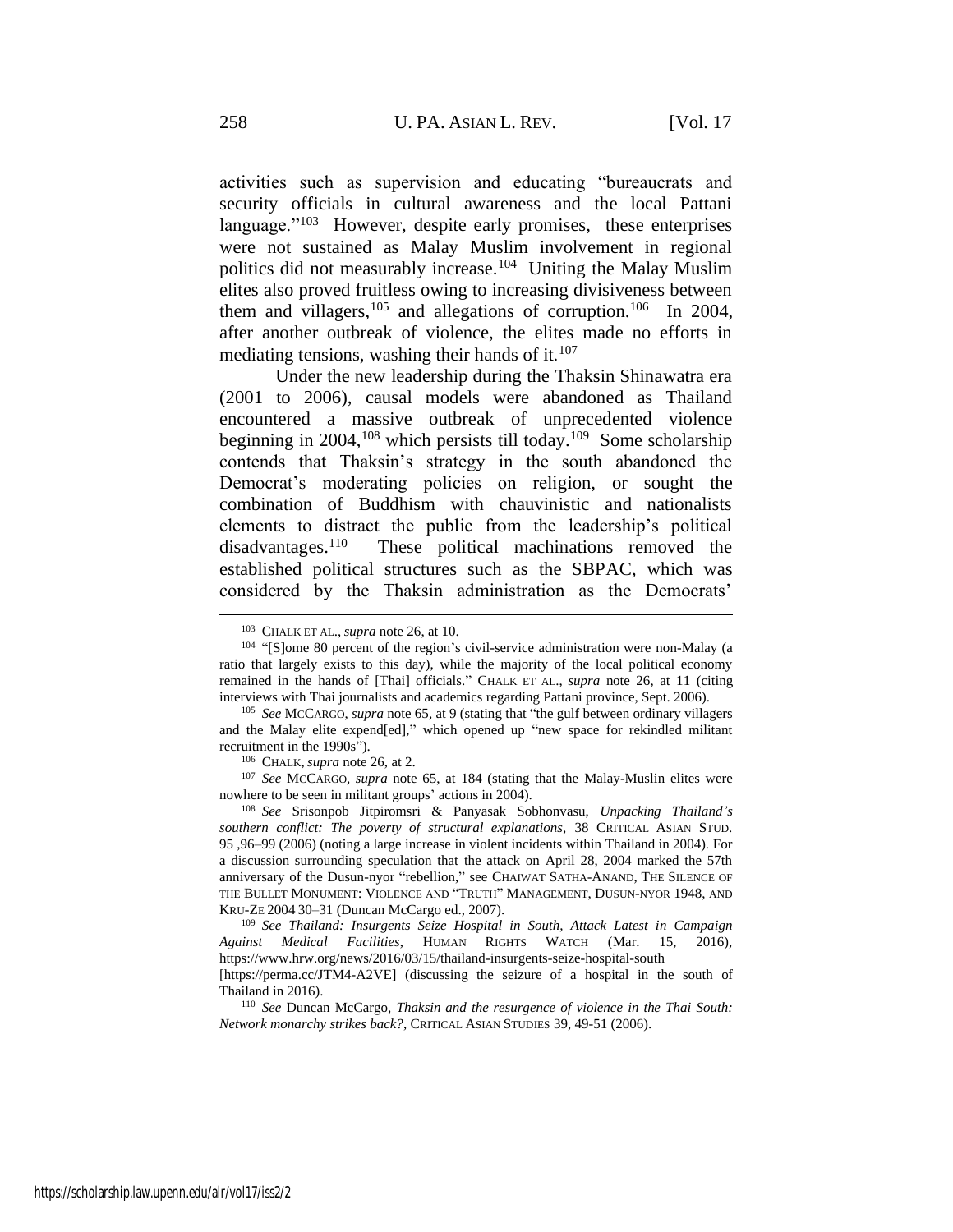activities such as supervision and educating "bureaucrats and security officials in cultural awareness and the local Pattani language."<sup>103</sup> However, despite early promises, these enterprises were not sustained as Malay Muslim involvement in regional politics did not measurably increase.<sup>104</sup> Uniting the Malay Muslim elites also proved fruitless owing to increasing divisiveness between them and villagers,  $105$  and allegations of corruption.  $106$  In 2004, after another outbreak of violence, the elites made no efforts in mediating tensions, washing their hands of it. $107$ 

<span id="page-15-0"></span>Under the new leadership during the Thaksin Shinawatra era (2001 to 2006), causal models were abandoned as Thailand encountered a massive outbreak of unprecedented violence beginning in 2004,<sup>108</sup> which persists till today.<sup>109</sup> Some scholarship contends that Thaksin's strategy in the south abandoned the Democrat's moderating policies on religion, or sought the combination of Buddhism with chauvinistic and nationalists elements to distract the public from the leadership's political disadvantages.<sup>110</sup> These political machinations removed the established political structures such as the SBPAC, which was considered by the Thaksin administration as the Democrats'

<sup>107</sup> *See* MCCARGO, *supra* note [65,](#page-9-0) at 184 (stating that the Malay-Muslin elites were nowhere to be seen in militant groups' actions in 2004).

<sup>108</sup> *See* Srisonpob Jitpiromsri & Panyasak Sobhonvasu, *Unpacking Thailand's southern conflict: The poverty of structural explanations,* 38 CRITICAL ASIAN STUD. 95 ,96–99 (2006) (noting a large increase in violent incidents within Thailand in 2004). For a discussion surrounding speculation that the attack on April 28, 2004 marked the 57th anniversary of the Dusun-nyor "rebellion," see CHAIWAT SATHA-ANAND, THE SILENCE OF THE BULLET MONUMENT: VIOLENCE AND "TRUTH" MANAGEMENT, DUSUN-NYOR 1948, AND KRU-ZE 2004 30–31 (Duncan McCargo ed., 2007).

<sup>109</sup> *See Thailand: Insurgents Seize Hospital in South, Attack Latest in Campaign Against Medical Facilities*, HUMAN RIGHTS WATCH (Mar. 15, 2016), https://www.hrw.org/news/2016/03/15/thailand-insurgents-seize-hospital-south

<sup>103</sup> CHALK ET AL.,*supra* note [26,](#page-6-1) at 10.

<sup>&</sup>lt;sup>104</sup> "[S]ome 80 percent of the region's civil-service administration were non-Malay (a ratio that largely exists to this day), while the majority of the local political economy remained in the hands of [Thai] officials." CHALK ET AL., *supra* note [26,](#page-6-1) at 11 (citing interviews with Thai journalists and academics regarding Pattani province, Sept. 2006).

<sup>105</sup> *See* MCCARGO, *supra* note [65,](#page-9-0) at 9 (stating that "the gulf between ordinary villagers and the Malay elite expend[ed]," which opened up "new space for rekindled militant recruitment in the 1990s").

<sup>106</sup> CHALK,*supra* note [26,](#page-6-1) at 2.

<sup>[</sup>https://perma.cc/JTM4-A2VE] (discussing the seizure of a hospital in the south of Thailand in 2016).

<sup>110</sup> *See* Duncan McCargo, *Thaksin and the resurgence of violence in the Thai South: Network monarchy strikes back?*, CRITICAL ASIAN STUDIES 39, 49-51 (2006).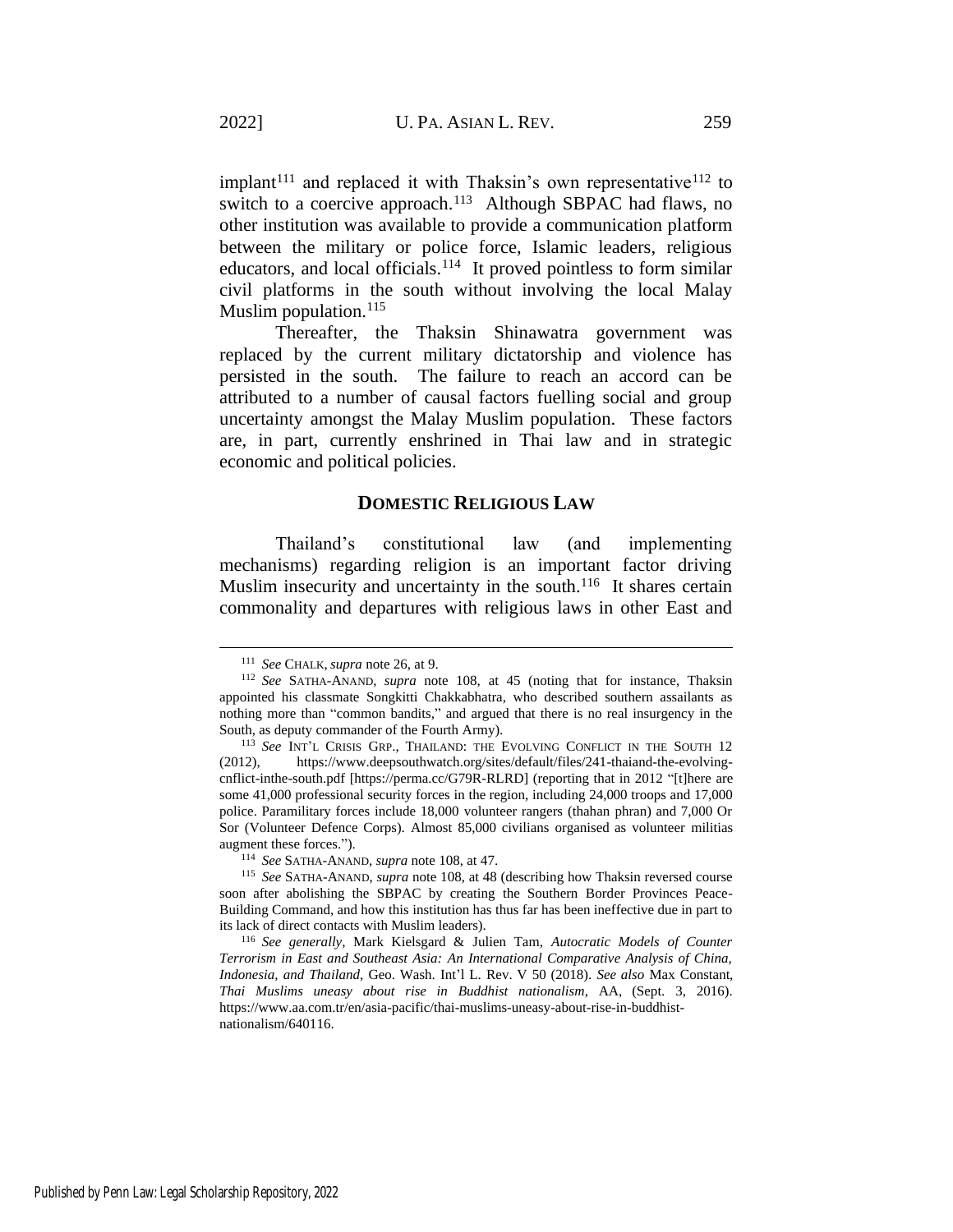<span id="page-16-0"></span>implant<sup>111</sup> and replaced it with Thaksin's own representative<sup>112</sup> to switch to a coercive approach.<sup>113</sup> Although SBPAC had flaws, no other institution was available to provide a communication platform between the military or police force, Islamic leaders, religious educators, and local officials.<sup>114</sup> It proved pointless to form similar civil platforms in the south without involving the local Malay Muslim population. $115$ 

Thereafter, the Thaksin Shinawatra government was replaced by the current military dictatorship and violence has persisted in the south. The failure to reach an accord can be attributed to a number of causal factors fuelling social and group uncertainty amongst the Malay Muslim population. These factors are, in part, currently enshrined in Thai law and in strategic economic and political policies.

# **DOMESTIC RELIGIOUS LAW**

Thailand's constitutional law (and implementing mechanisms) regarding religion is an important factor driving Muslim insecurity and uncertainty in the south.<sup>116</sup> It shares certain commonality and departures with religious laws in other East and

<sup>111</sup> *See* CHALK, *supra* note [26,](#page-6-1) at 9.

<sup>112</sup> *See* SATHA-ANAND, *supra* note [108,](#page-15-0) at 45 (noting that for instance, Thaksin appointed his classmate Songkitti Chakkabhatra, who described southern assailants as nothing more than "common bandits," and argued that there is no real insurgency in the South, as deputy commander of the Fourth Army).

<sup>&</sup>lt;sup>113</sup> See INT'L CRISIS GRP., THAILAND: THE EVOLVING CONFLICT IN THE SOUTH 12 (2012), https://www.deepsouthwatch.org/sites/default/files/241-thaiand-the-evolvingcnflict-inthe-south.pdf [https://perma.cc/G79R-RLRD] (reporting that in 2012 "[t]here are some 41,000 professional security forces in the region, including 24,000 troops and 17,000 police. Paramilitary forces include 18,000 volunteer rangers (thahan phran) and 7,000 Or Sor (Volunteer Defence Corps). Almost 85,000 civilians organised as volunteer militias augment these forces.").

<sup>114</sup> *See* SATHA-ANAND, *supra* note [108,](#page-15-0) at 47.

<sup>115</sup> *See* SATHA-ANAND, *supra* note [108,](#page-15-0) at 48 (describing how Thaksin reversed course soon after abolishing the SBPAC by creating the Southern Border Provinces Peace-Building Command, and how this institution has thus far has been ineffective due in part to its lack of direct contacts with Muslim leaders).

<sup>116</sup> *See generally,* Mark Kielsgard & Julien Tam, *Autocratic Models of Counter Terrorism in East and Southeast Asia: An International Comparative Analysis of China, Indonesia, and Thailand*, Geo. Wash. Int'l L. Rev. V 50 (2018). *See also* Max Constant, *Thai Muslims uneasy about rise in Buddhist nationalism*, AA, (Sept. 3, 2016). https://www.aa.com.tr/en/asia-pacific/thai-muslims-uneasy-about-rise-in-buddhistnationalism/640116.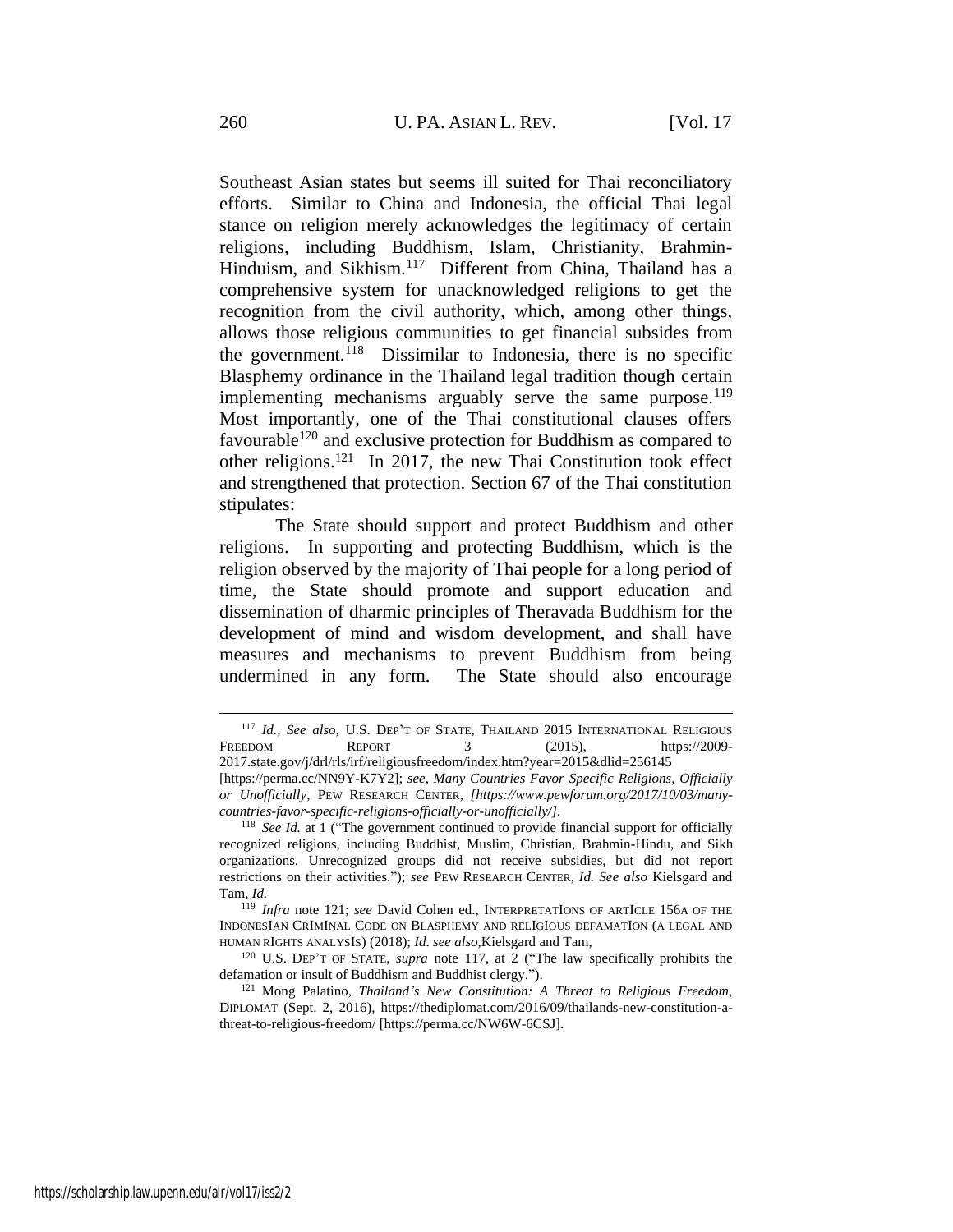<span id="page-17-1"></span>Southeast Asian states but seems ill suited for Thai reconciliatory efforts. Similar to China and Indonesia, the official Thai legal stance on religion merely acknowledges the legitimacy of certain religions, including Buddhism, Islam, Christianity, Brahmin-Hinduism, and Sikhism.<sup>117</sup> Different from China, Thailand has a comprehensive system for unacknowledged religions to get the recognition from the civil authority, which, among other things, allows those religious communities to get financial subsides from the government.<sup>118</sup> Dissimilar to Indonesia, there is no specific Blasphemy ordinance in the Thailand legal tradition though certain implementing mechanisms arguably serve the same purpose.<sup>119</sup> Most importantly, one of the Thai constitutional clauses offers favourable<sup>120</sup> and exclusive protection for Buddhism as compared to other religions.<sup>121</sup> In 2017, the new Thai Constitution took effect and strengthened that protection. Section 67 of the Thai constitution stipulates:

<span id="page-17-0"></span>The State should support and protect Buddhism and other religions. In supporting and protecting Buddhism, which is the religion observed by the majority of Thai people for a long period of time, the State should promote and support education and dissemination of dharmic principles of Theravada Buddhism for the development of mind and wisdom development, and shall have measures and mechanisms to prevent Buddhism from being undermined in any form. The State should also encourage

<sup>117</sup> *Id., See also,* U.S. DEP'T OF STATE, THAILAND 2015 INTERNATIONAL RELIGIOUS FREEDOM REPORT 3 (2015), https://2009-

<sup>2017.</sup>state.gov/j/drl/rls/irf/religiousfreedom/index.htm?year=2015&dlid=256145 [https://perma.cc/NN9Y-K7Y2]; *see*, *Many Countries Favor Specific Religions, Officially or Unofficially,* PEW RESEARCH CENTER*, [https://www.pewforum.org/2017/10/03/manycountries-favor-specific-religions-officially-or-unofficially/].*

<sup>&</sup>lt;sup>118</sup> See Id. at 1 ("The government continued to provide financial support for officially recognized religions, including Buddhist, Muslim, Christian, Brahmin-Hindu, and Sikh organizations. Unrecognized groups did not receive subsidies, but did not report restrictions on their activities."); *see* PEW RESEARCH CENTER*, Id. See also* Kielsgard and Tam, *Id.*

<sup>119</sup> *Infra* note [121;](#page-17-0) *see* David Cohen ed., INTERPRETATIONS OF ARTICLE 156A OF THE INDONESIAN CRIMINAL CODE ON BLASPHEMY AND RELIGIOUS DEFAMATION (A LEGAL AND HUMAN RIGHTS ANALYSIS) (2018); *Id*. *see also,*Kielsgard and Tam,

<sup>120</sup> U.S. DEP'T OF STATE, *supra* note [117,](#page-17-1) at 2 ("The law specifically prohibits the defamation or insult of Buddhism and Buddhist clergy.").

<sup>121</sup> Mong Palatino, *Thailand's New Constitution: A Threat to Religious Freedom*, DIPLOMAT (Sept. 2, 2016), https://thediplomat.com/2016/09/thailands-new-constitution-athreat-to-religious-freedom/ [https://perma.cc/NW6W-6CSJ].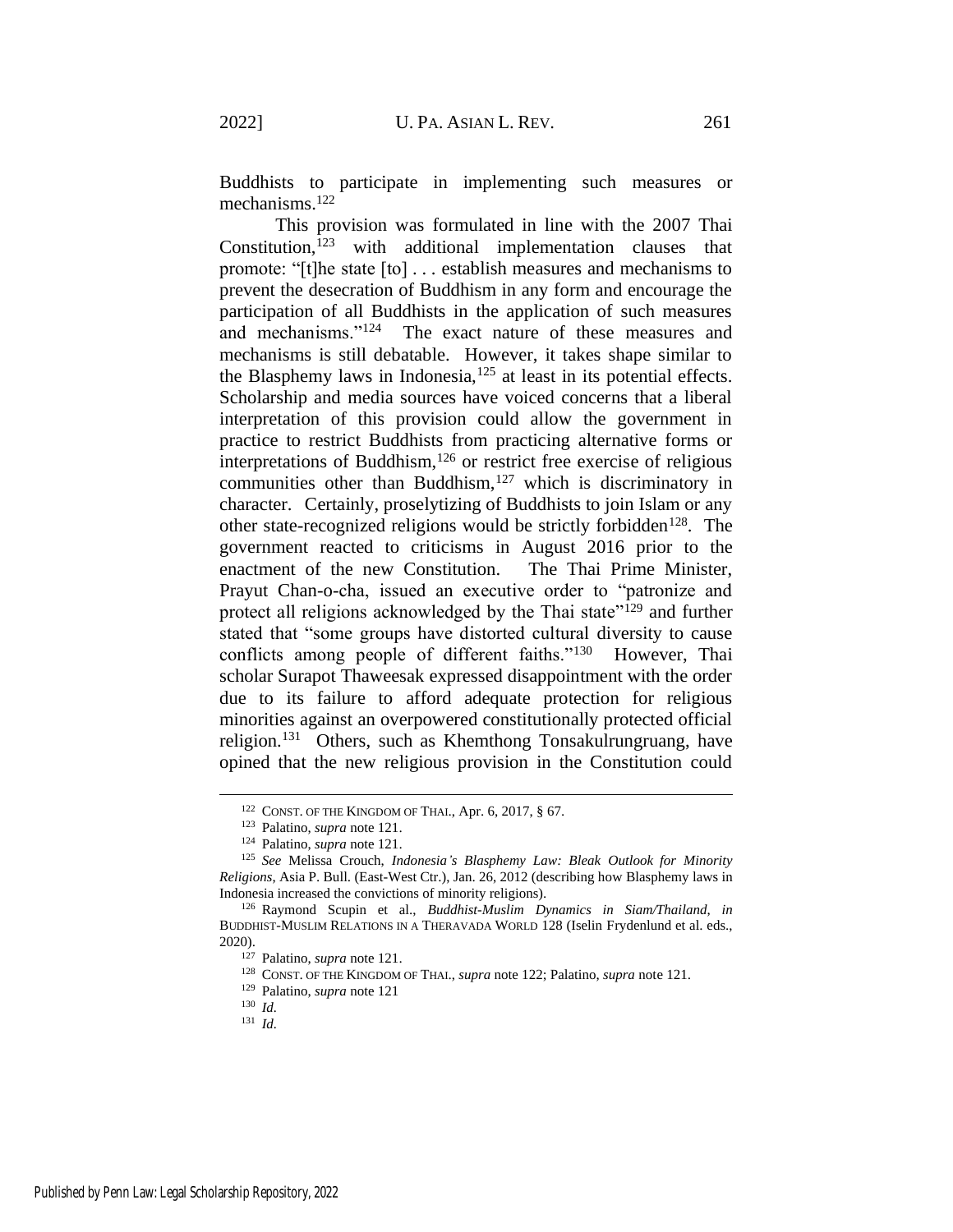<span id="page-18-0"></span>Buddhists to participate in implementing such measures or mechanisms.<sup>122</sup>

This provision was formulated in line with the 2007 Thai Constitution, $123$  with additional implementation clauses that promote: "[t]he state [to] . . . establish measures and mechanisms to prevent the desecration of Buddhism in any form and encourage the participation of all Buddhists in the application of such measures and mechanisms."<sup>124</sup> The exact nature of these measures and mechanisms is still debatable. However, it takes shape similar to the Blasphemy laws in Indonesia,  $125$  at least in its potential effects. Scholarship and media sources have voiced concerns that a liberal interpretation of this provision could allow the government in practice to restrict Buddhists from practicing alternative forms or interpretations of Buddhism, $126$  or restrict free exercise of religious communities other than Buddhism, $127$  which is discriminatory in character. Certainly, proselytizing of Buddhists to join Islam or any other state-recognized religions would be strictly forbidden<sup>128</sup>. The government reacted to criticisms in August 2016 prior to the enactment of the new Constitution. The Thai Prime Minister, Prayut Chan-o-cha, issued an executive order to "patronize and protect all religions acknowledged by the Thai state"<sup>129</sup> and further stated that "some groups have distorted cultural diversity to cause conflicts among people of different faiths."<sup>130</sup> However, Thai scholar Surapot Thaweesak expressed disappointment with the order due to its failure to afford adequate protection for religious minorities against an overpowered constitutionally protected official religion.<sup>131</sup> Others, such as Khemthong Tonsakulrungruang, have opined that the new religious provision in the Constitution could

<sup>122</sup> CONST. OF THE KINGDOM OF THAI., Apr. 6, 2017, § 67.

<sup>123</sup> Palatino, *supra* note [121.](#page-17-0)

<sup>124</sup> Palatino, *supra* note [121.](#page-17-0)

<sup>125</sup> *See* Melissa Crouch, *Indonesia's Blasphemy Law: Bleak Outlook for Minority Religions*, Asia P. Bull. (East-West Ctr.), Jan. 26, 2012 (describing how Blasphemy laws in Indonesia increased the convictions of minority religions).

<sup>126</sup> Raymond Scupin et al., *Buddhist-Muslim Dynamics in Siam/Thailand*, *in* BUDDHIST-MUSLIM RELATIONS IN A THERAVADA WORLD 128 (Iselin Frydenlund et al. eds., 2020).

<sup>127</sup> Palatino, *supra* note [121.](#page-17-0)

<sup>128</sup> CONST. OF THE KINGDOM OF THAI., *supra* not[e 122;](#page-18-0) Palatino, *supra* not[e 121.](#page-17-0)

<sup>129</sup> Palatino, *supra* note [121](#page-17-0)

<sup>130</sup> *Id.*

<sup>131</sup> *Id.*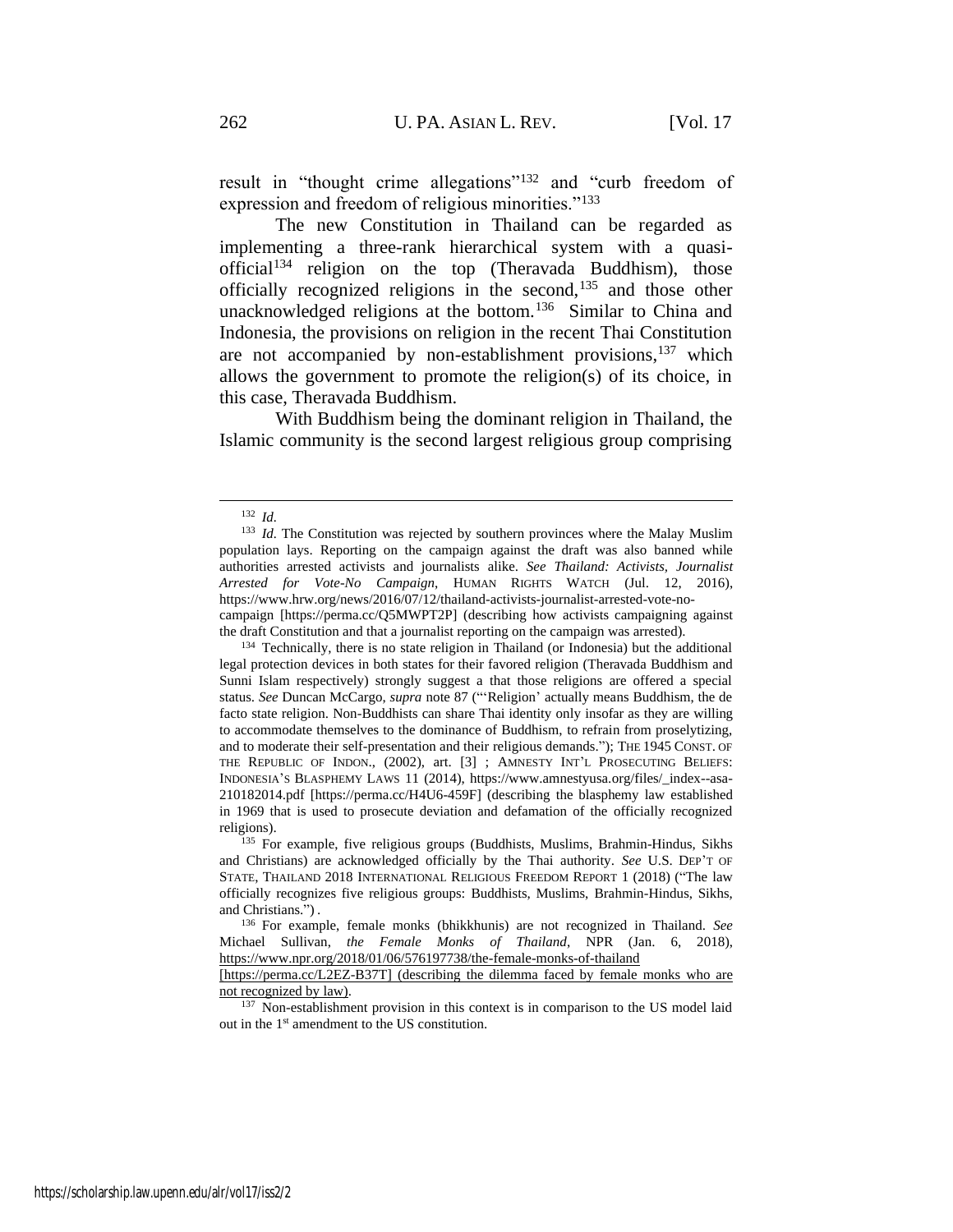result in "thought crime allegations"<sup>132</sup> and "curb freedom of expression and freedom of religious minorities."<sup>133</sup>

The new Constitution in Thailand can be regarded as implementing a three-rank hierarchical system with a quasiofficial<sup>134</sup> religion on the top (Theravada Buddhism), those officially recognized religions in the second,<sup>135</sup> and those other unacknowledged religions at the bottom.<sup>136</sup> Similar to China and Indonesia, the provisions on religion in the recent Thai Constitution are not accompanied by non-establishment provisions,<sup>137</sup> which allows the government to promote the religion(s) of its choice, in this case, Theravada Buddhism.

With Buddhism being the dominant religion in Thailand, the Islamic community is the second largest religious group comprising

<sup>132</sup> *Id.*

<sup>&</sup>lt;sup>133</sup> *Id.* The Constitution was rejected by southern provinces where the Malay Muslim population lays. Reporting on the campaign against the draft was also banned while authorities arrested activists and journalists alike. *See Thailand: Activists, Journalist Arrested for Vote-No Campaign*, HUMAN RIGHTS WATCH (Jul. 12, 2016), https://www.hrw.org/news/2016/07/12/thailand-activists-journalist-arrested-vote-no-

campaign [https://perma.cc/Q5MWPT2P] (describing how activists campaigning against the draft Constitution and that a journalist reporting on the campaign was arrested).

<sup>&</sup>lt;sup>134</sup> Technically, there is no state religion in Thailand (or Indonesia) but the additional legal protection devices in both states for their favored religion (Theravada Buddhism and Sunni Islam respectively) strongly suggest a that those religions are offered a special status. *See* Duncan McCargo, *supra* note [87](#page-13-0) ("'Religion' actually means Buddhism, the de facto state religion. Non-Buddhists can share Thai identity only insofar as they are willing to accommodate themselves to the dominance of Buddhism, to refrain from proselytizing, and to moderate their self-presentation and their religious demands."); THE 1945 CONST. OF THE REPUBLIC OF INDON., (2002), art. [3] ; AMNESTY INT'L PROSECUTING BELIEFS: INDONESIA'S BLASPHEMY LAWS 11 (2014), https://www.amnestyusa.org/files/\_index--asa-210182014.pdf [https://perma.cc/H4U6-459F] (describing the blasphemy law established in 1969 that is used to prosecute deviation and defamation of the officially recognized religions).

<sup>&</sup>lt;sup>135</sup> For example, five religious groups (Buddhists, Muslims, Brahmin-Hindus, Sikhs and Christians) are acknowledged officially by the Thai authority. *See* U.S. DEP'T OF STATE, THAILAND 2018 INTERNATIONAL RELIGIOUS FREEDOM REPORT 1 (2018) ("The law officially recognizes five religious groups: Buddhists, Muslims, Brahmin-Hindus, Sikhs, and Christians.") .

<sup>136</sup> For example, female monks (bhikkhunis) are not recognized in Thailand. *See* Michael Sullivan, *the Female Monks of Thailand*, NPR (Jan. 6, 2018), <https://www.npr.org/2018/01/06/576197738/the-female-monks-of-thailand>

<sup>[</sup>https://perma.cc/L2EZ-B37T] (describing the dilemma faced by female monks who are not recognized by law).

<sup>&</sup>lt;sup>137</sup> Non-establishment provision in this context is in comparison to the US model laid out in the 1st amendment to the US constitution.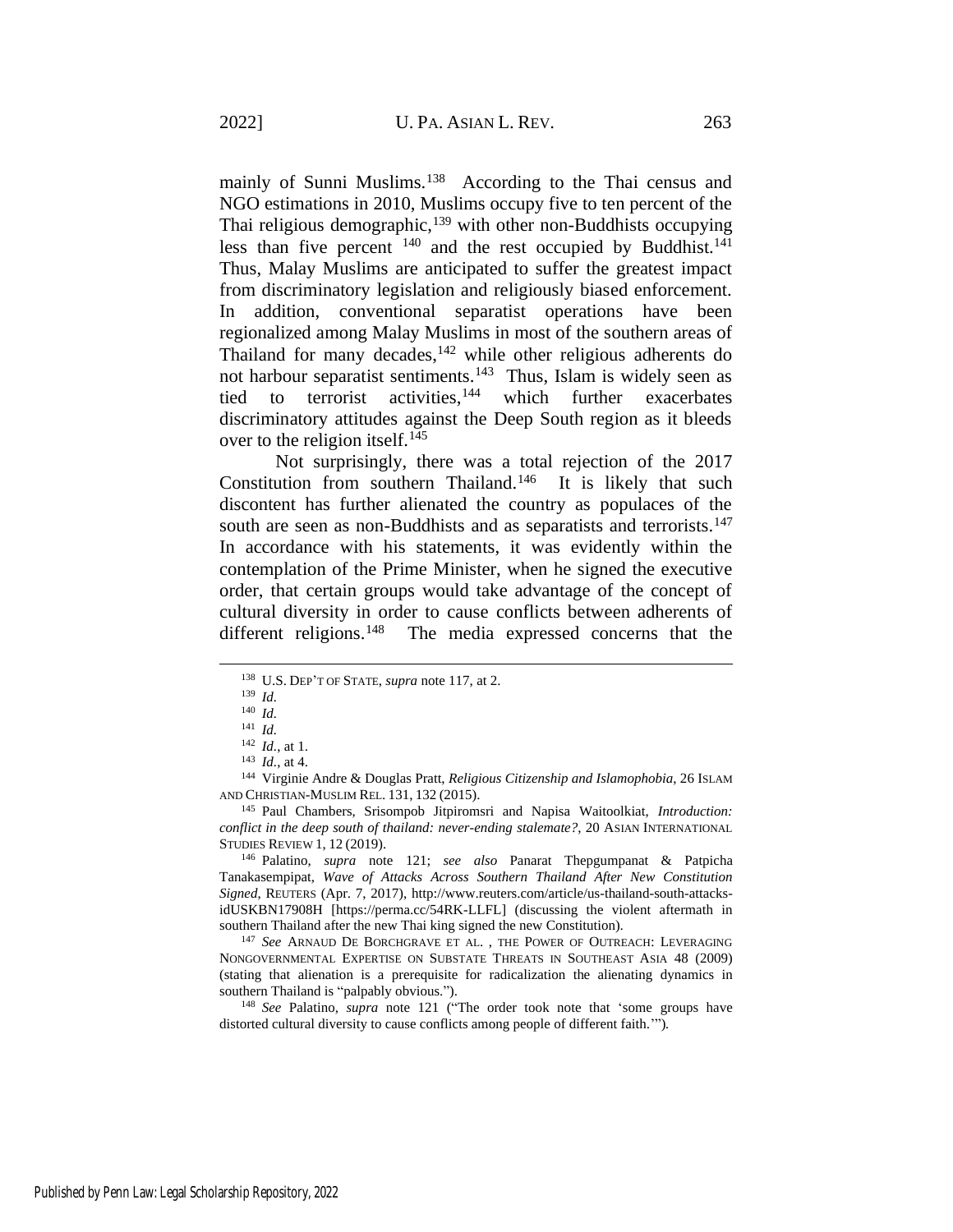mainly of Sunni Muslims.<sup>138</sup> According to the Thai census and NGO estimations in 2010, Muslims occupy five to ten percent of the Thai religious demographic, $139$  with other non-Buddhists occupying less than five percent  $140$  and the rest occupied by Buddhist.<sup>141</sup> Thus, Malay Muslims are anticipated to suffer the greatest impact from discriminatory legislation and religiously biased enforcement. In addition, conventional separatist operations have been regionalized among Malay Muslims in most of the southern areas of Thailand for many decades,  $142$  while other religious adherents do not harbour separatist sentiments.<sup>143</sup> Thus, Islam is widely seen as tied to terrorist activities,  $144$  which further exacerbates discriminatory attitudes against the Deep South region as it bleeds over to the religion itself.<sup>145</sup>

Not surprisingly, there was a total rejection of the 2017 Constitution from southern Thailand.<sup>146</sup> It is likely that such discontent has further alienated the country as populaces of the south are seen as non-Buddhists and as separatists and terrorists.<sup>147</sup> In accordance with his statements, it was evidently within the contemplation of the Prime Minister, when he signed the executive order, that certain groups would take advantage of the concept of cultural diversity in order to cause conflicts between adherents of different religions.<sup>148</sup> The media expressed concerns that the

<sup>144</sup> Virginie Andre & Douglas Pratt, *Religious Citizenship and Islamophobia*, 26 ISLAM AND CHRISTIAN-MUSLIM REL. 131, 132 (2015).

<sup>145</sup> Paul Chambers, Srisompob Jitpiromsri and Napisa Waitoolkiat, *Introduction: conflict in the deep south of thailand: never-ending stalemate?*, 20 ASIAN INTERNATIONAL STUDIES REVIEW 1, 12 (2019).

<sup>146</sup> Palatino, *supra* note [121;](#page-17-0) *see also* Panarat Thepgumpanat & Patpicha Tanakasempipat, *Wave of Attacks Across Southern Thailand After New Constitution Signed*, REUTERS (Apr. 7, 2017), http://www.reuters.com/article/us-thailand-south-attacksidUSKBN17908H [https://perma.cc/54RK-LLFL] (discussing the violent aftermath in southern Thailand after the new Thai king signed the new Constitution).

<sup>147</sup> *See* ARNAUD DE BORCHGRAVE ET AL. , THE POWER OF OUTREACH: LEVERAGING NONGOVERNMENTAL EXPERTISE ON SUBSTATE THREATS IN SOUTHEAST ASIA 48 (2009) (stating that alienation is a prerequisite for radicalization the alienating dynamics in southern Thailand is "palpably obvious.").

<sup>148</sup> *See* Palatino, *supra* note [121](#page-17-0) ("The order took note that 'some groups have distorted cultural diversity to cause conflicts among people of different faith.'")*.*

<sup>138</sup> U.S. DEP'T OF STATE, *supra* not[e 117,](#page-17-1) at 2.

<sup>139</sup> *Id.*

<sup>140</sup> *Id.* <sup>141</sup> *Id.*

<sup>142</sup> *Id.*, at 1.

<sup>143</sup> *Id.*, at 4.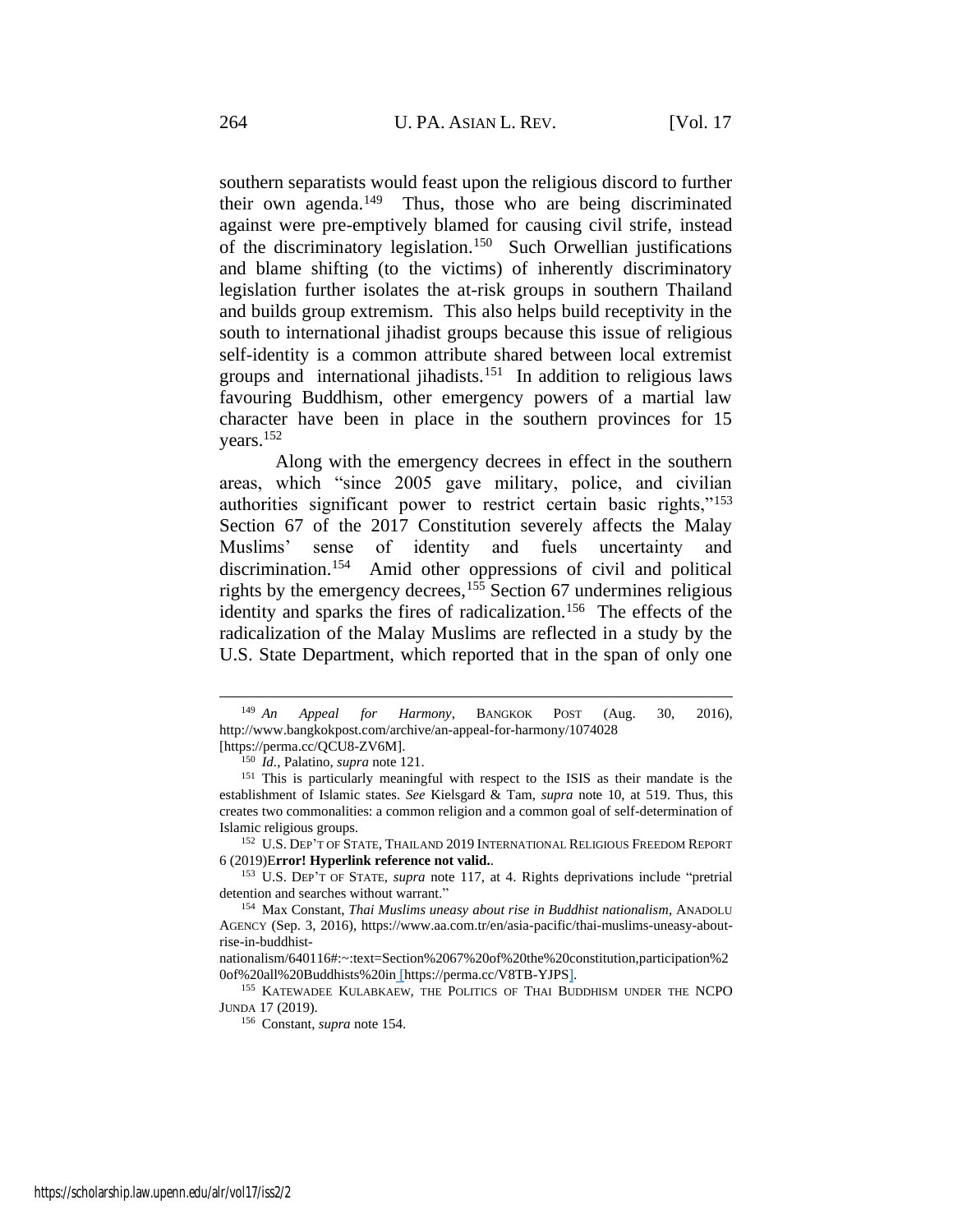<span id="page-21-2"></span>southern separatists would feast upon the religious discord to further their own agenda.<sup>149</sup> Thus, those who are being discriminated against were pre-emptively blamed for causing civil strife, instead of the discriminatory legislation.<sup>150</sup> Such Orwellian justifications and blame shifting (to the victims) of inherently discriminatory legislation further isolates the at-risk groups in southern Thailand and builds group extremism. This also helps build receptivity in the south to international jihadist groups because this issue of religious self-identity is a common attribute shared between local extremist groups and international jihadists.<sup>151</sup> In addition to religious laws favouring Buddhism, other emergency powers of a martial law character have been in place in the southern provinces for 15 years.<sup>152</sup>

<span id="page-21-1"></span><span id="page-21-0"></span>Along with the emergency decrees in effect in the southern areas, which "since 2005 gave military, police, and civilian authorities significant power to restrict certain basic rights,"<sup>153</sup> Section 67 of the 2017 Constitution severely affects the Malay Muslims' sense of identity and fuels uncertainty and discrimination.<sup>154</sup> Amid other oppressions of civil and political rights by the emergency decrees,  $155$  Section 67 undermines religious identity and sparks the fires of radicalization.<sup>156</sup> The effects of the radicalization of the Malay Muslims are reflected in a study by the U.S. State Department, which reported that in the span of only one

<sup>152</sup> U.S. DEP'T OF STATE, THAILAND 2019 INTERNATIONAL RELIGIOUS FREEDOM REPORT 6 (2019)E**rror! Hyperlink reference not valid.**.

155 KATEWADEE KULABKAEW, THE POLITICS OF THAI BUDDHISM UNDER THE NCPO JUNDA 17 (2019).

<sup>149</sup> *An Appeal for Harmony*, BANGKOK POST (Aug. 30, 2016), http://www.bangkokpost.com/archive/an-appeal-for-harmony/1074028 [https://perma.cc/QCU8-ZV6M].

<sup>150</sup> *Id.*, Palatino, *supra* note [121.](#page-17-0)

<sup>151</sup> This is particularly meaningful with respect to the ISIS as their mandate is the establishment of Islamic states. *See* Kielsgard & Tam, *supra* note [10,](#page-2-0) at 519. Thus, this creates two commonalities: a common religion and a common goal of self-determination of Islamic religious groups.

<sup>153</sup> U.S. DEP'T OF STATE, *supra* note [117,](#page-17-1) at 4. Rights deprivations include "pretrial detention and searches without warrant."

<sup>154</sup> Max Constant, *Thai Muslims uneasy about rise in Buddhist nationalism*, ANADOLU AGENCY (Sep. 3, 2016), https://www.aa.com.tr/en/asia-pacific/thai-muslims-uneasy-aboutrise-in-buddhist-

nationalism/640116#:~:text=Section%2067%20of%20the%20constitution,participation%2 0of%20all%20Buddhists%20in [https://perma.cc/V8TB-YJPS].

<sup>156</sup> Constant, *supra* not[e 154.](#page-21-0)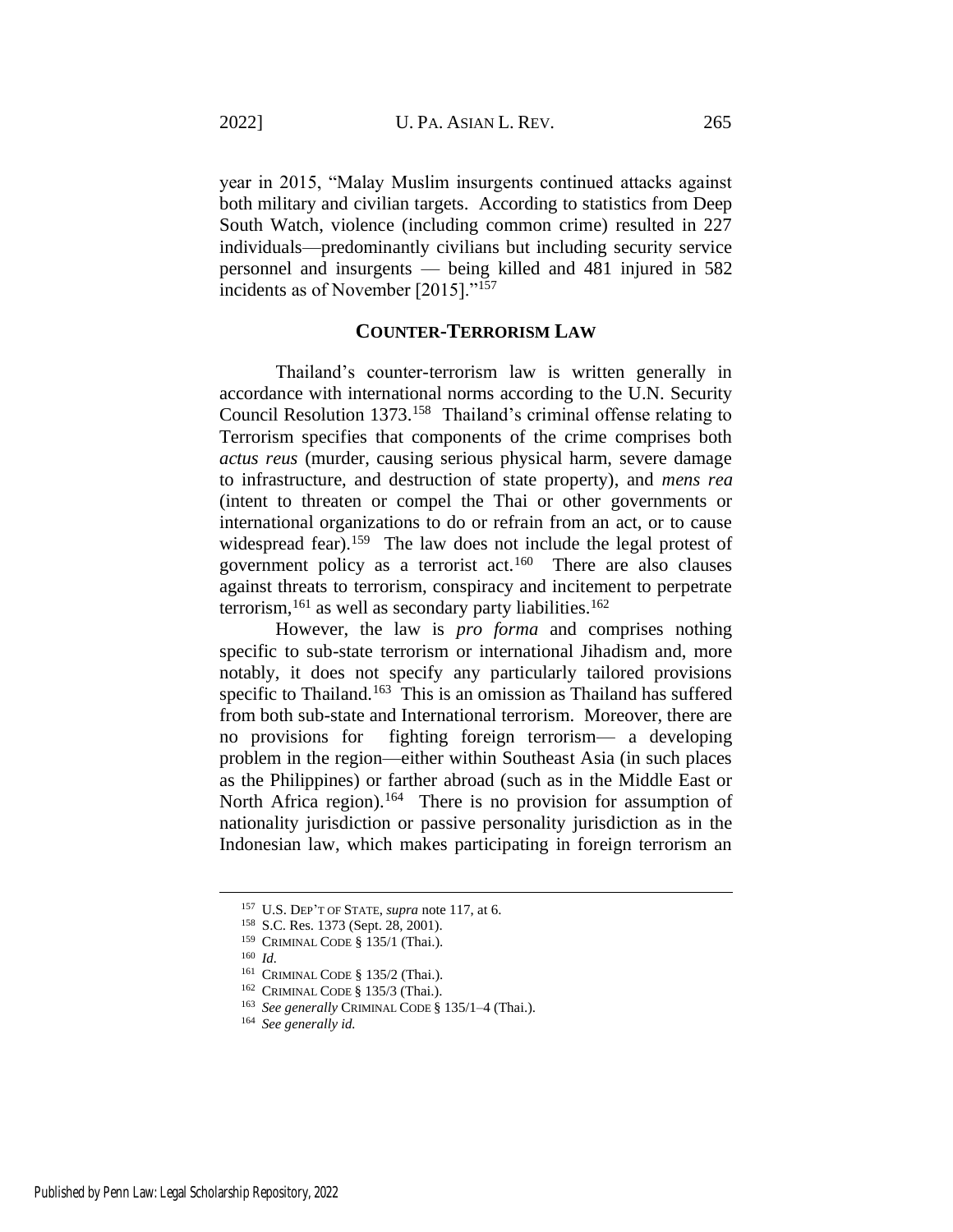year in 2015, "Malay Muslim insurgents continued attacks against both military and civilian targets. According to statistics from Deep South Watch, violence (including common crime) resulted in 227 individuals—predominantly civilians but including security service personnel and insurgents — being killed and 481 injured in 582 incidents as of November [2015]."<sup>157</sup>

# **COUNTER-TERRORISM LAW**

Thailand's counter-terrorism law is written generally in accordance with international norms according to the U.N. Security Council Resolution 1373.<sup>158</sup> Thailand's criminal offense relating to Terrorism specifies that components of the crime comprises both *actus reus* (murder, causing serious physical harm, severe damage to infrastructure, and destruction of state property), and *mens rea* (intent to threaten or compel the Thai or other governments or international organizations to do or refrain from an act, or to cause widespread fear).<sup>159</sup> The law does not include the legal protest of government policy as a terrorist act.<sup>160</sup> There are also clauses against threats to terrorism, conspiracy and incitement to perpetrate terrorism,<sup>161</sup> as well as secondary party liabilities.<sup>162</sup>

<span id="page-22-0"></span>However, the law is *pro forma* and comprises nothing specific to sub-state terrorism or international Jihadism and, more notably, it does not specify any particularly tailored provisions specific to Thailand.<sup>163</sup> This is an omission as Thailand has suffered from both sub-state and International terrorism. Moreover, there are no provisions for fighting foreign terrorism— a developing problem in the region—either within Southeast Asia (in such places as the Philippines) or farther abroad (such as in the Middle East or North Africa region).<sup>164</sup> There is no provision for assumption of nationality jurisdiction or passive personality jurisdiction as in the Indonesian law, which makes participating in foreign terrorism an

<sup>157</sup> U.S. DEP'T OF STATE, *supra* note [117,](#page-17-1) at 6.

<sup>158</sup> S.C. Res. 1373 (Sept. 28, 2001).

<sup>159</sup> CRIMINAL CODE § 135/1 (Thai.).

<sup>160</sup> *Id.*

<sup>161</sup> CRIMINAL CODE § 135/2 (Thai.).

<sup>162</sup> CRIMINAL CODE § 135/3 (Thai.).

<sup>163</sup> *See generally* CRIMINAL CODE § 135/1–4 (Thai.).

<sup>164</sup> *See generally id.*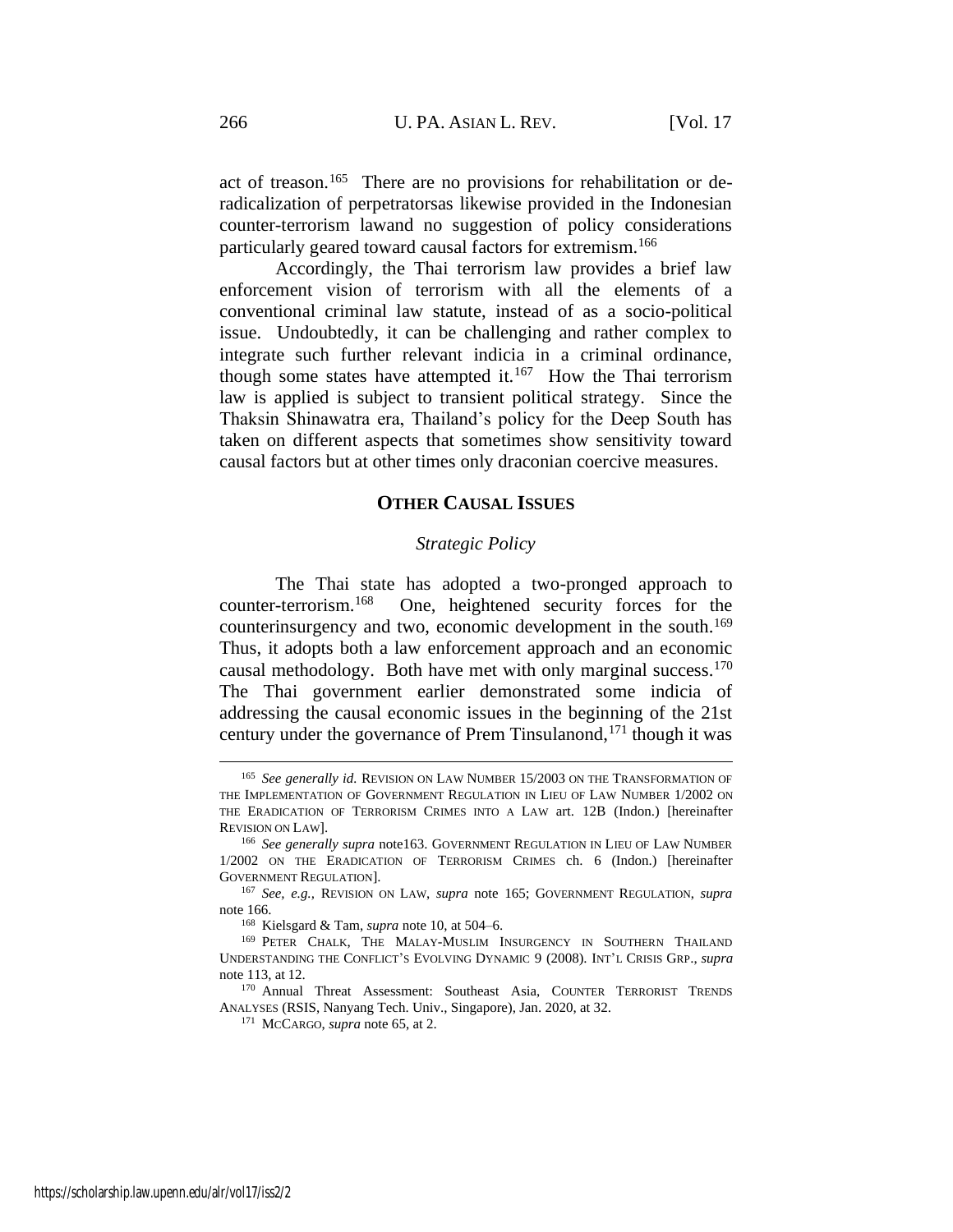<span id="page-23-0"></span>act of treason.<sup>165</sup> There are no provisions for rehabilitation or deradicalization of perpetratorsas likewise provided in the Indonesian counter-terrorism lawand no suggestion of policy considerations particularly geared toward causal factors for extremism.<sup>166</sup>

Accordingly, the Thai terrorism law provides a brief law enforcement vision of terrorism with all the elements of a conventional criminal law statute, instead of as a socio-political issue. Undoubtedly, it can be challenging and rather complex to integrate such further relevant indicia in a criminal ordinance, though some states have attempted it.<sup>167</sup> How the Thai terrorism law is applied is subject to transient political strategy. Since the Thaksin Shinawatra era, Thailand's policy for the Deep South has taken on different aspects that sometimes show sensitivity toward causal factors but at other times only draconian coercive measures.

# <span id="page-23-1"></span>**OTHER CAUSAL ISSUES**

#### *Strategic Policy*

The Thai state has adopted a two-pronged approach to counter-terrorism.<sup>168</sup> One, heightened security forces for the counterinsurgency and two, economic development in the south.<sup>169</sup> Thus, it adopts both a law enforcement approach and an economic causal methodology. Both have met with only marginal success.<sup>170</sup> The Thai government earlier demonstrated some indicia of addressing the causal economic issues in the beginning of the 21st century under the governance of Prem Tinsulanond,<sup>171</sup> though it was

<sup>165</sup> *See generally id.* REVISION ON LAW NUMBER 15/2003 ON THE TRANSFORMATION OF THE IMPLEMENTATION OF GOVERNMENT REGULATION IN LIEU OF LAW NUMBER 1/2002 ON THE ERADICATION OF TERRORISM CRIMES INTO A LAW art. 12B (Indon.) [hereinafter REVISION ON LAW].

<sup>&</sup>lt;sup>166</sup> See generally supra not[e163.](#page-22-0) GOVERNMENT REGULATION IN LIEU OF LAW NUMBER 1/2002 ON THE ERADICATION OF TERRORISM CRIMES ch. 6 (Indon.) [hereinafter GOVERNMENT REGULATION].

<sup>167</sup> *See, e.g.,* REVISION ON LAW, *supra* note [165;](#page-23-0) GOVERNMENT REGULATION, *supra*  note [166.](#page-23-1)

<sup>168</sup> Kielsgard & Tam, *supra* not[e 10,](#page-2-0) at 504–6.

<sup>169</sup> PETER CHALK, THE MALAY-MUSLIM INSURGENCY IN SOUTHERN THAILAND UNDERSTANDING THE CONFLICT'S EVOLVING DYNAMIC 9 (2008). INT'L CRISIS GRP., *supra* note [113,](#page-16-0) at 12.

<sup>170</sup> Annual Threat Assessment: Southeast Asia, COUNTER TERRORIST TRENDS ANALYSES (RSIS, Nanyang Tech. Univ., Singapore), Jan. 2020, at 32.

<sup>171</sup> MCCARGO, *supra* note [65,](#page-9-0) at 2.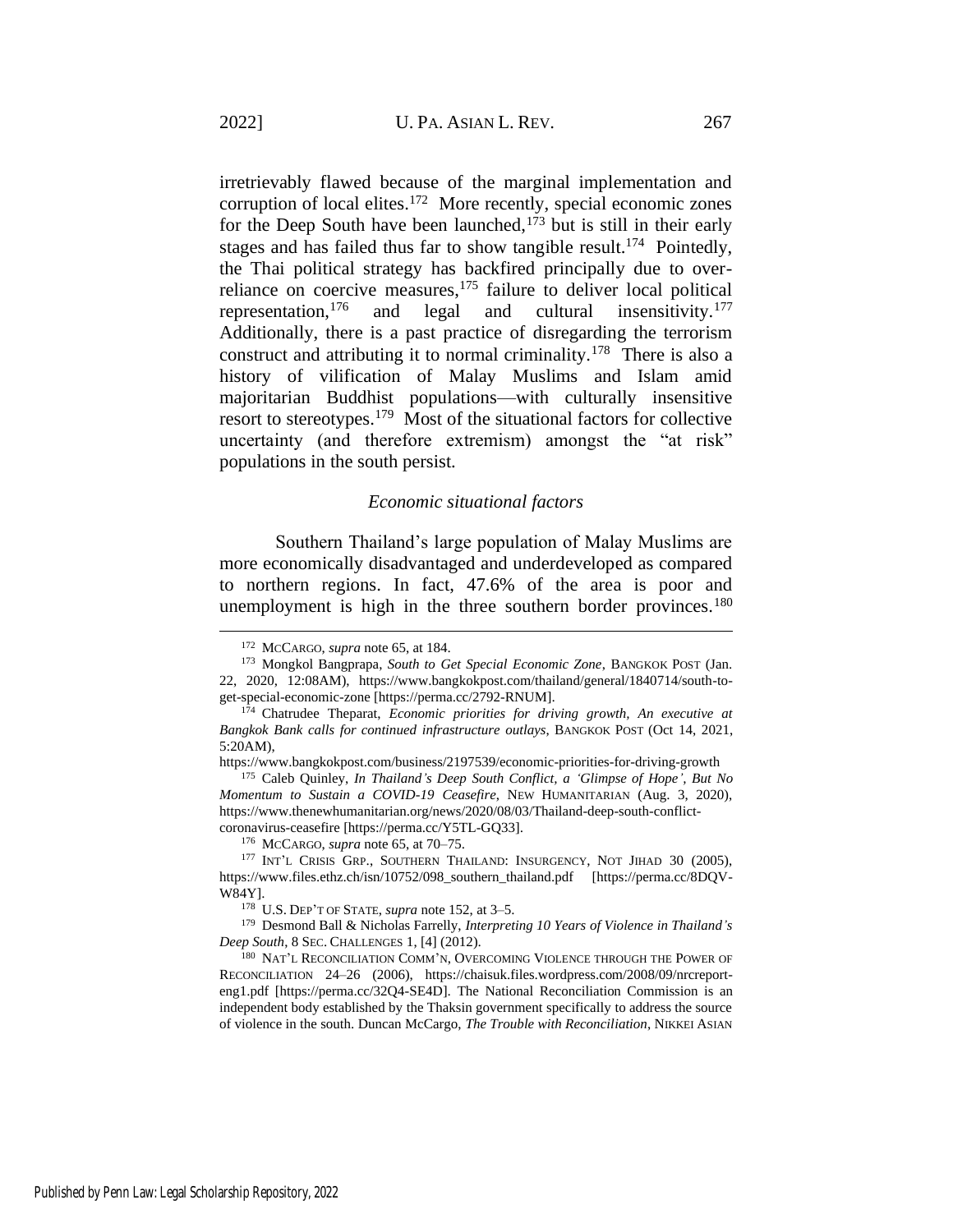irretrievably flawed because of the marginal implementation and corruption of local elites. $172$  More recently, special economic zones for the Deep South have been launched,  $1^{73}$  but is still in their early stages and has failed thus far to show tangible result.<sup>174</sup> Pointedly, the Thai political strategy has backfired principally due to overreliance on coercive measures, $175$  failure to deliver local political representation,<sup>176</sup> and legal and cultural insensitivity.<sup>177</sup> Additionally, there is a past practice of disregarding the terrorism construct and attributing it to normal criminality.<sup>178</sup> There is also a history of vilification of Malay Muslims and Islam amid majoritarian Buddhist populations—with culturally insensitive resort to stereotypes.<sup>179</sup> Most of the situational factors for collective uncertainty (and therefore extremism) amongst the "at risk" populations in the south persist.

#### *Economic situational factors*

Southern Thailand's large population of Malay Muslims are more economically disadvantaged and underdeveloped as compared to northern regions. In fact, 47.6% of the area is poor and unemployment is high in the three southern border provinces.<sup>180</sup>

<sup>178</sup> U.S. DEP'T OF STATE, *supra* not[e 152,](#page-21-1) at 3–5.

<sup>172</sup> MCCARGO, *supra* note [65,](#page-9-0) at 184.

<sup>173</sup> Mongkol Bangprapa, *South to Get Special Economic Zone*, BANGKOK POST (Jan. 22, 2020, 12:08AM), https://www.bangkokpost.com/thailand/general/1840714/south-toget-special-economic-zone [https://perma.cc/2792-RNUM].

<sup>174</sup> Chatrudee Theparat, *Economic priorities for driving growth, An executive at Bangkok Bank calls for continued infrastructure outlays*, BANGKOK POST (Oct 14, 2021, 5:20AM),

https://www.bangkokpost.com/business/2197539/economic-priorities-for-driving-growth

<sup>175</sup> Caleb Quinley, *In Thailand's Deep South Conflict, a 'Glimpse of Hope', But No Momentum to Sustain a COVID-19 Ceasefire*, NEW HUMANITARIAN (Aug. 3, 2020), https://www.thenewhumanitarian.org/news/2020/08/03/Thailand-deep-south-conflictcoronavirus-ceasefire [https://perma.cc/Y5TL-GQ33].

<sup>176</sup> MCCARGO, *supra* note [65,](#page-9-0) at 70–75.

<sup>&</sup>lt;sup>177</sup> INT'L CRISIS GRP., SOUTHERN THAILAND: INSURGENCY, NOT JIHAD 30 (2005), https://www.files.ethz.ch/isn/10752/098\_southern\_thailand.pdf [https://perma.cc/8DQV-W84Y].

<sup>179</sup> Desmond Ball & Nicholas Farrelly, *Interpreting 10 Years of Violence in Thailand's Deep South*, 8 SEC. CHALLENGES 1, [4] (2012).

<sup>180</sup> NAT'L RECONCILIATION COMM'N, OVERCOMING VIOLENCE THROUGH THE POWER OF RECONCILIATION 24–26 (2006), https://chaisuk.files.wordpress.com/2008/09/nrcreporteng1.pdf [https://perma.cc/32Q4-SE4D]. The National Reconciliation Commission is an independent body established by the Thaksin government specifically to address the source of violence in the south. Duncan McCargo, *The Trouble with Reconciliation*, NIKKEI ASIAN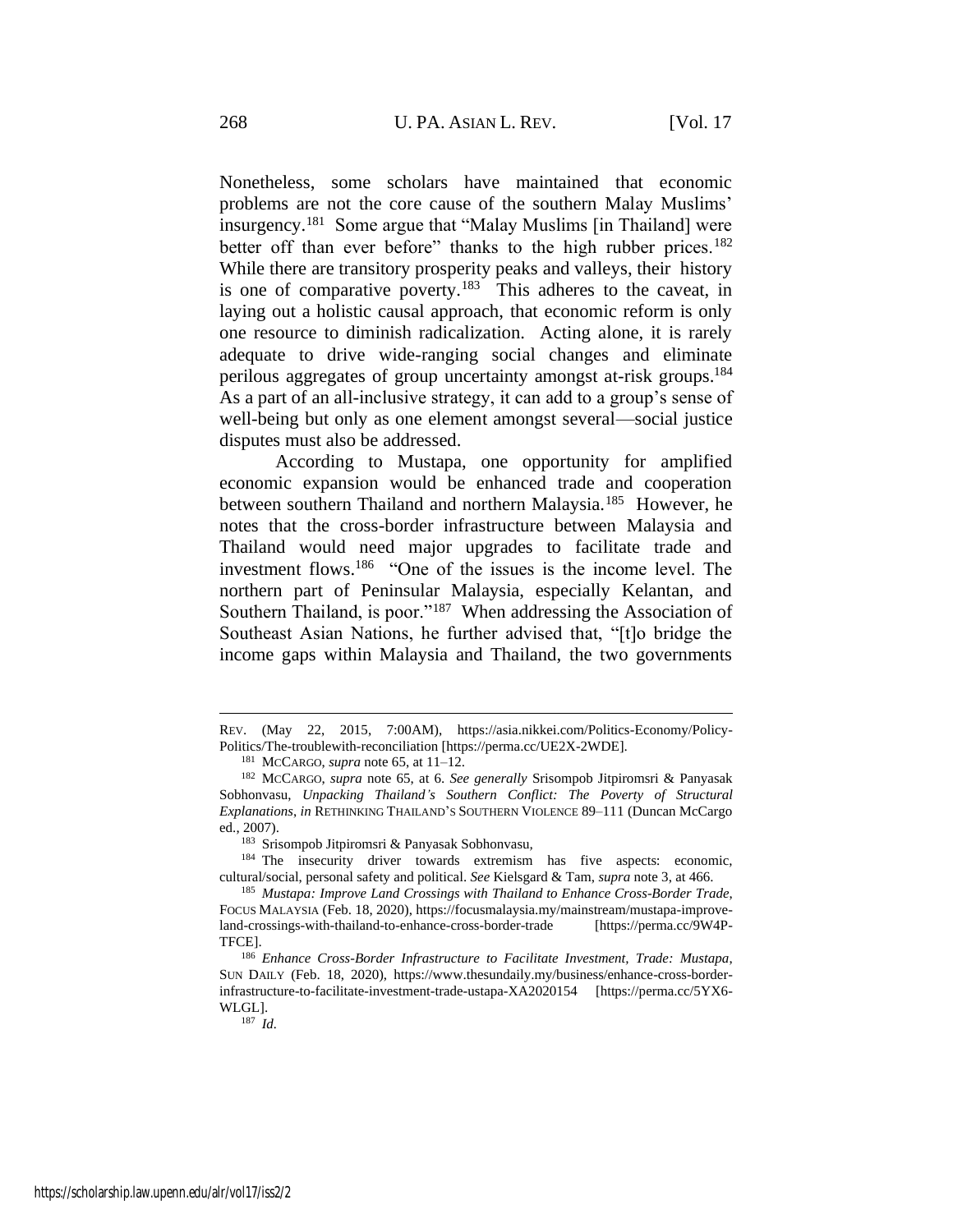Nonetheless, some scholars have maintained that economic problems are not the core cause of the southern Malay Muslims' insurgency.<sup>181</sup> Some argue that "Malay Muslims [in Thailand] were better off than ever before" thanks to the high rubber prices.<sup>182</sup> While there are transitory prosperity peaks and valleys, their history is one of comparative poverty.<sup>183</sup> This adheres to the caveat, in laying out a holistic causal approach, that economic reform is only one resource to diminish radicalization. Acting alone, it is rarely adequate to drive wide-ranging social changes and eliminate perilous aggregates of group uncertainty amongst at-risk groups.<sup>184</sup> As a part of an all-inclusive strategy, it can add to a group's sense of well-being but only as one element amongst several—social justice disputes must also be addressed.

According to Mustapa, one opportunity for amplified economic expansion would be enhanced trade and cooperation between southern Thailand and northern Malaysia.<sup>185</sup> However, he notes that the cross-border infrastructure between Malaysia and Thailand would need major upgrades to facilitate trade and investment flows.<sup>186</sup> "One of the issues is the income level. The northern part of Peninsular Malaysia, especially Kelantan, and Southern Thailand, is poor."<sup>187</sup> When addressing the Association of Southeast Asian Nations, he further advised that, "[t]o bridge the income gaps within Malaysia and Thailand, the two governments

REV. (May 22, 2015, 7:00AM), https://asia.nikkei.com/Politics-Economy/Policy-Politics/The-troublewith-reconciliation [https://perma.cc/UE2X-2WDE].

<sup>181</sup> MCCARGO, *supra* note [65,](#page-9-0) at 11–12.

<sup>182</sup> MCCARGO, *supra* note [65,](#page-9-0) at 6. *See generally* Srisompob Jitpiromsri & Panyasak Sobhonvasu, *Unpacking Thailand's Southern Conflict: The Poverty of Structural Explanations*, *in* RETHINKING THAILAND'S SOUTHERN VIOLENCE 89–111 (Duncan McCargo ed., 2007).

<sup>183</sup> Srisompob Jitpiromsri & Panyasak Sobhonvasu*,*

<sup>&</sup>lt;sup>184</sup> The insecurity driver towards extremism has five aspects: economic, cultural/social, personal safety and political. *See* Kielsgard & Tam, *supra* note [3,](#page-1-0) at 466.

<sup>185</sup> *Mustapa: Improve Land Crossings with Thailand to Enhance Cross-Border Trade*, FOCUS MALAYSIA (Feb. 18, 2020), https://focusmalaysia.my/mainstream/mustapa-improveland-crossings-with-thailand-to-enhance-cross-border-trade [https://perma.cc/9W4P-TFCE].

<sup>186</sup> *Enhance Cross-Border Infrastructure to Facilitate Investment, Trade: Mustapa*, SUN DAILY (Feb. 18, 2020), https://www.thesundaily.my/business/enhance-cross-borderinfrastructure-to-facilitate-investment-trade-ustapa-XA2020154 [https://perma.cc/5YX6- WLGL].

<sup>187</sup> *Id.*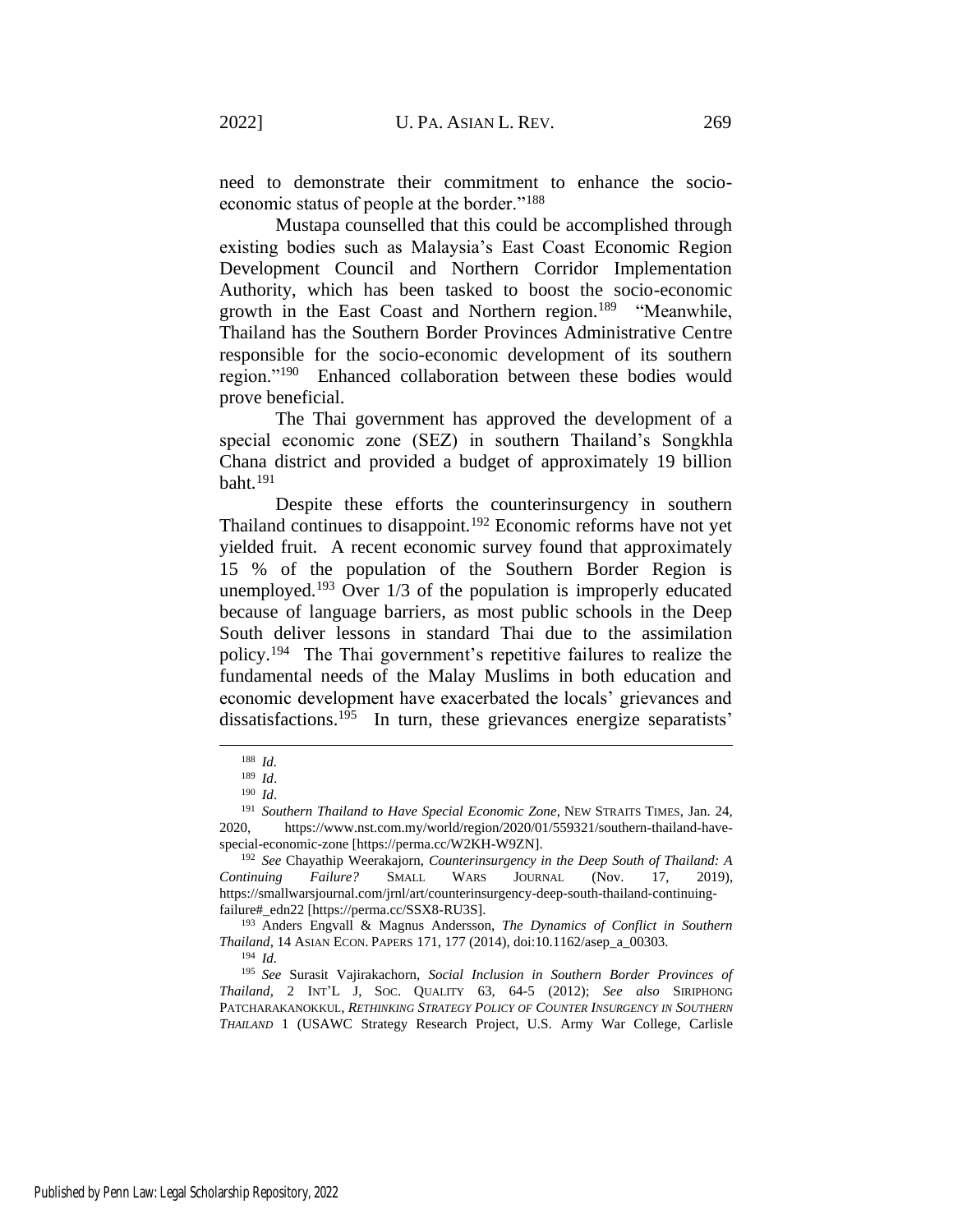need to demonstrate their commitment to enhance the socioeconomic status of people at the border."<sup>188</sup>

Mustapa counselled that this could be accomplished through existing bodies such as Malaysia's East Coast Economic Region Development Council and Northern Corridor Implementation Authority, which has been tasked to boost the socio-economic growth in the East Coast and Northern region.<sup>189</sup> "Meanwhile, Thailand has the Southern Border Provinces Administrative Centre responsible for the socio-economic development of its southern region."<sup>190</sup> Enhanced collaboration between these bodies would prove beneficial.

The Thai government has approved the development of a special economic zone (SEZ) in southern Thailand's Songkhla Chana district and provided a budget of approximately 19 billion  $b$ aht.<sup>191</sup>

Despite these efforts the counterinsurgency in southern Thailand continues to disappoint.<sup>192</sup> Economic reforms have not yet yielded fruit. A recent economic survey found that approximately 15 % of the population of the Southern Border Region is unemployed.<sup>193</sup> Over  $1/3$  of the population is improperly educated because of language barriers, as most public schools in the Deep South deliver lessons in standard Thai due to the assimilation policy.<sup>194</sup> The Thai government's repetitive failures to realize the fundamental needs of the Malay Muslims in both education and economic development have exacerbated the locals' grievances and dissatisfactions.<sup>195</sup> In turn, these grievances energize separatists'

<sup>188</sup> *Id.*

<sup>189</sup> *Id*.

<sup>190</sup> *Id*.

<sup>191</sup> *Southern Thailand to Have Special Economic Zone*, NEW STRAITS TIMES, Jan. 24, 2020, https://www.nst.com.my/world/region/2020/01/559321/southern-thailand-havespecial-economic-zone [https://perma.cc/W2KH-W9ZN].

<sup>192</sup> *See* Chayathip Weerakajorn, *Counterinsurgency in the Deep South of Thailand: A Continuing Failure?* SMALL WARS JOURNAL (Nov. 17, 2019), https://smallwarsjournal.com/jrnl/art/counterinsurgency-deep-south-thailand-continuingfailure#\_edn22 [https://perma.cc/SSX8-RU3S].

<sup>193</sup> Anders Engvall & Magnus Andersson, *The Dynamics of Conflict in Southern Thailand*, 14 ASIAN ECON. PAPERS 171, 177 (2014), doi:10.1162/asep\_a\_00303.

<sup>194</sup> *Id.*

<sup>195</sup> *See* Surasit Vajirakachorn, *Social Inclusion in Southern Border Provinces of Thailand*, 2 INT'L J, SOC. QUALITY 63, 64-5 (2012); *See also* SIRIPHONG PATCHARAKANOKKUL, *RETHINKING STRATEGY POLICY OF COUNTER INSURGENCY IN SOUTHERN THAILAND* 1 (USAWC Strategy Research Project, U.S. Army War College, Carlisle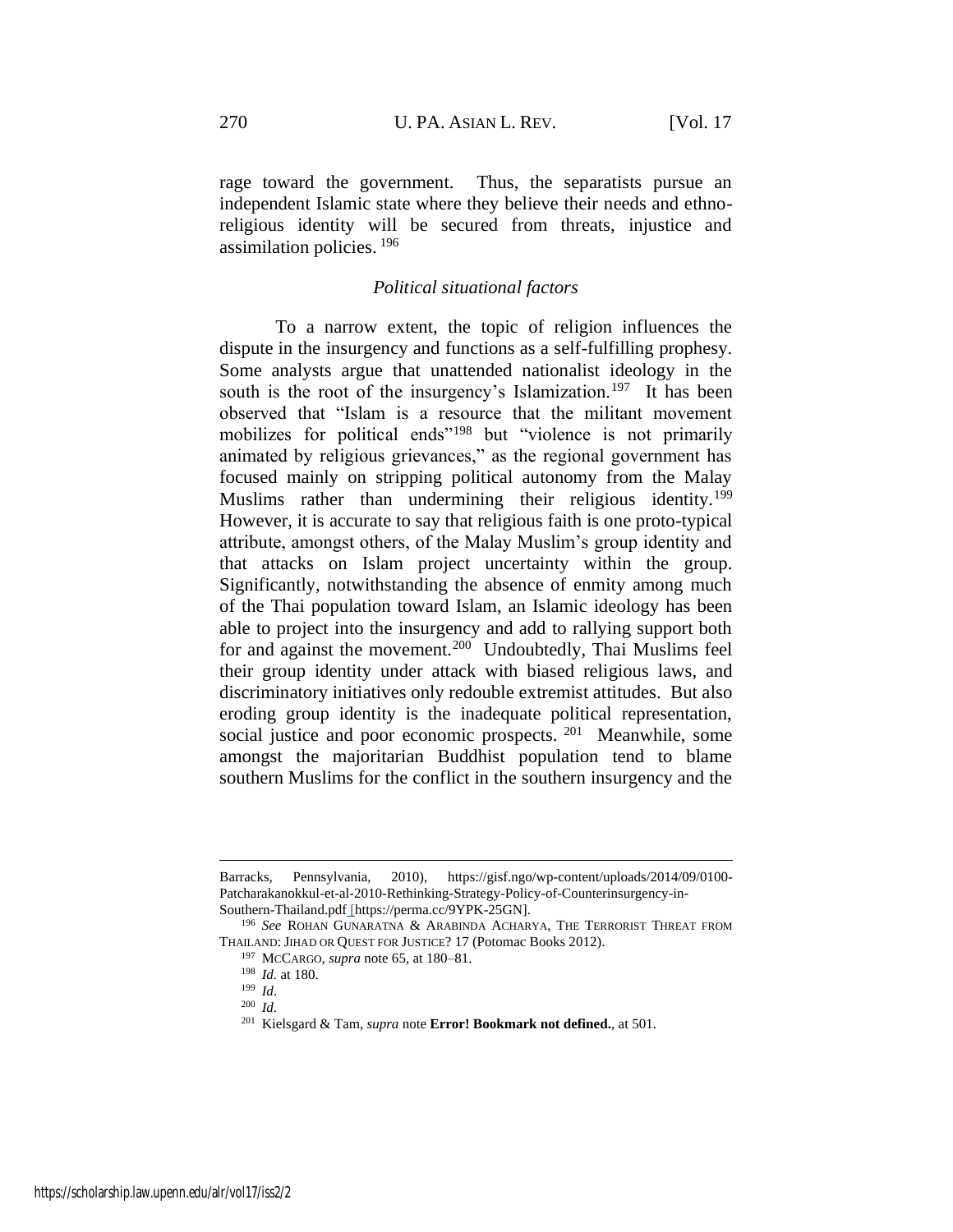rage toward the government. Thus, the separatists pursue an independent Islamic state where they believe their needs and ethnoreligious identity will be secured from threats, injustice and assimilation policies. <sup>196</sup>

### *Political situational factors*

To a narrow extent, the topic of religion influences the dispute in the insurgency and functions as a self-fulfilling prophesy. Some analysts argue that unattended nationalist ideology in the south is the root of the insurgency's Islamization.<sup>197</sup> It has been observed that "Islam is a resource that the militant movement mobilizes for political ends"<sup>198</sup> but "violence is not primarily animated by religious grievances," as the regional government has focused mainly on stripping political autonomy from the Malay Muslims rather than undermining their religious identity.<sup>199</sup> However, it is accurate to say that religious faith is one proto-typical attribute, amongst others, of the Malay Muslim's group identity and that attacks on Islam project uncertainty within the group. Significantly, notwithstanding the absence of enmity among much of the Thai population toward Islam, an Islamic ideology has been able to project into the insurgency and add to rallying support both for and against the movement.<sup>200</sup> Undoubtedly, Thai Muslims feel their group identity under attack with biased religious laws, and discriminatory initiatives only redouble extremist attitudes. But also eroding group identity is the inadequate political representation, social justice and poor economic prospects. <sup>201</sup> Meanwhile, some amongst the majoritarian Buddhist population tend to blame southern Muslims for the conflict in the southern insurgency and the

Barracks, Pennsylvania, 2010), https://gisf.ngo/wp-content/uploads/2014/09/0100- Patcharakanokkul-et-al-2010-Rethinking-Strategy-Policy-of-Counterinsurgency-in-Southern-Thailand.pdf [https://perma.cc/9YPK-25GN].

<sup>196</sup> *See* ROHAN GUNARATNA & ARABINDA ACHARYA, THE TERRORIST THREAT FROM THAILAND: JIHAD OR QUEST FOR JUSTICE? 17 (Potomac Books 2012).

<sup>197</sup> MCCARGO, *supra* note [65,](#page-9-0) at 180–81.

<sup>198</sup> *Id.* at 180.

<sup>199</sup> *Id*.

<sup>200</sup> *Id.*

<sup>201</sup> Kielsgard & Tam, *supra* note **Error! Bookmark not defined.**, at 501.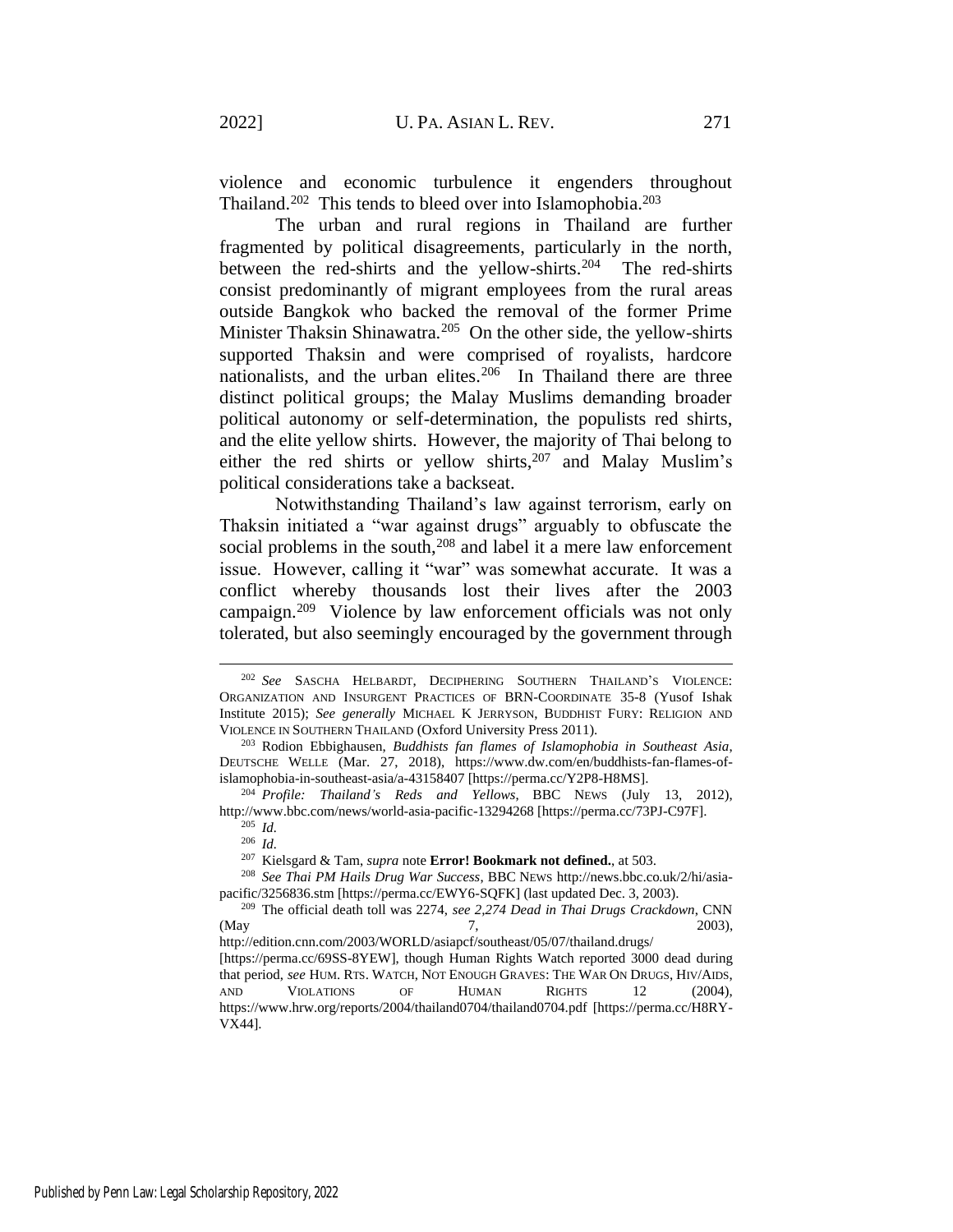violence and economic turbulence it engenders throughout Thailand.<sup>202</sup> This tends to bleed over into Islamophobia.<sup>203</sup>

The urban and rural regions in Thailand are further fragmented by political disagreements, particularly in the north, between the red-shirts and the yellow-shirts.<sup>204</sup> The red-shirts consist predominantly of migrant employees from the rural areas outside Bangkok who backed the removal of the former Prime Minister Thaksin Shinawatra.<sup>205</sup> On the other side, the yellow-shirts supported Thaksin and were comprised of royalists, hardcore nationalists, and the urban elites.<sup>206</sup> In Thailand there are three distinct political groups; the Malay Muslims demanding broader political autonomy or self-determination, the populists red shirts, and the elite yellow shirts. However, the majority of Thai belong to either the red shirts or yellow shirts,  $207$  and Malay Muslim's political considerations take a backseat.

Notwithstanding Thailand's law against terrorism, early on Thaksin initiated a "war against drugs" arguably to obfuscate the social problems in the south,<sup>208</sup> and label it a mere law enforcement issue. However, calling it "war" was somewhat accurate. It was a conflict whereby thousands lost their lives after the 2003 campaign.<sup>209</sup> Violence by law enforcement officials was not only tolerated, but also seemingly encouraged by the government through

<span id="page-28-0"></span><sup>202</sup> *See* SASCHA HELBARDT, DECIPHERING SOUTHERN THAILAND'S VIOLENCE: ORGANIZATION AND INSURGENT PRACTICES OF BRN-COORDINATE 35-8 (Yusof Ishak Institute 2015); *See generally* MICHAEL K JERRYSON, BUDDHIST FURY: RELIGION AND VIOLENCE IN SOUTHERN THAILAND (Oxford University Press 2011).

<sup>203</sup> Rodion Ebbighausen, *Buddhists fan flames of Islamophobia in Southeast Asia*, DEUTSCHE WELLE (Mar. 27, 2018), https://www.dw.com/en/buddhists-fan-flames-ofislamophobia-in-southeast-asia/a-43158407 [https://perma.cc/Y2P8-H8MS].

<sup>204</sup> *Profile: Thailand's Reds and Yellows*, BBC NEWS (July 13, 2012), http://www.bbc.com/news/world-asia-pacific-13294268 [https://perma.cc/73PJ-C97F].

<sup>205</sup> *Id.*

<sup>206</sup> *Id.*

<sup>207</sup> Kielsgard & Tam, *supra* note **Error! Bookmark not defined.**, at 503.

<sup>208</sup> *See Thai PM Hails Drug War Success*, BBC NEWS http://news.bbc.co.uk/2/hi/asiapacific/3256836.stm [https://perma.cc/EWY6-SQFK] (last updated Dec. 3, 2003).

<sup>209</sup> The official death toll was 2274, *see 2,274 Dead in Thai Drugs Crackdown*, CNN (May 7, 2003), http://edition.cnn.com/2003/WORLD/asiapcf/southeast/05/07/thailand.drugs/ [https://perma.cc/69SS-8YEW], though Human Rights Watch reported 3000 dead during that period, *see* HUM. RTS. WATCH, NOT ENOUGH GRAVES: THE WAR ON DRUGS, HIV/AIDS, AND VIOLATIONS OF HUMAN RIGHTS 12 (2004), https://www.hrw.org/reports/2004/thailand0704/thailand0704.pdf [https://perma.cc/H8RY-VX44].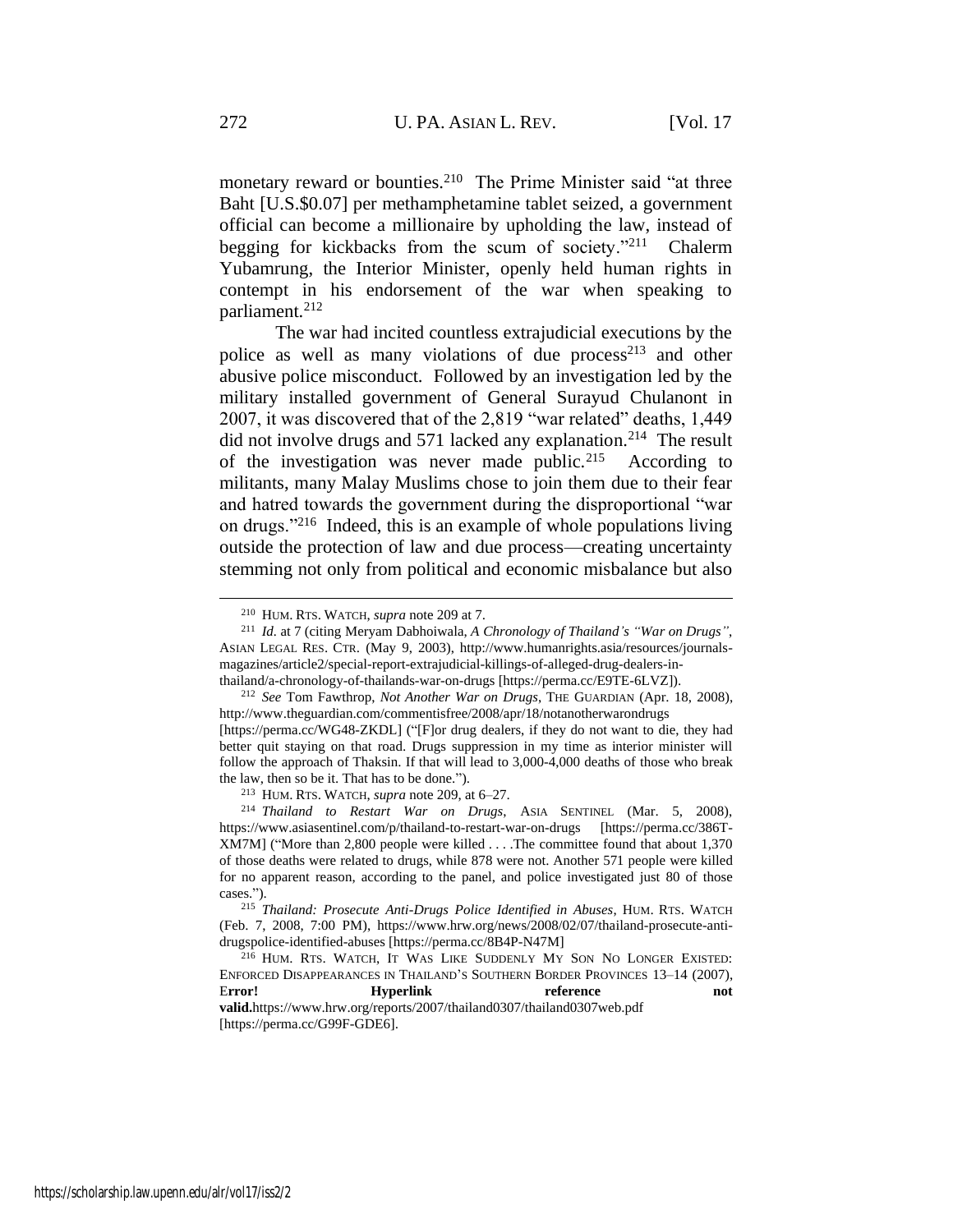monetary reward or bounties.<sup>210</sup> The Prime Minister said "at three Baht [U.S.\$0.07] per methamphetamine tablet seized, a government official can become a millionaire by upholding the law, instead of begging for kickbacks from the scum of society."<sup>211</sup> Chalerm Yubamrung, the Interior Minister, openly held human rights in contempt in his endorsement of the war when speaking to parliament.<sup>212</sup>

<span id="page-29-0"></span>The war had incited countless extrajudicial executions by the police as well as many violations of due process<sup>213</sup> and other abusive police misconduct. Followed by an investigation led by the military installed government of General Surayud Chulanont in 2007, it was discovered that of the 2,819 "war related" deaths, 1,449 did not involve drugs and 571 lacked any explanation.<sup>214</sup> The result of the investigation was never made public.<sup>215</sup> According to militants, many Malay Muslims chose to join them due to their fear and hatred towards the government during the disproportional "war on drugs."<sup>216</sup> Indeed, this is an example of whole populations living outside the protection of law and due process—creating uncertainty stemming not only from political and economic misbalance but also

<sup>212</sup> *See* Tom Fawthrop, *Not Another War on Drugs*, THE GUARDIAN (Apr. 18, 2008), http://www.theguardian.com/commentisfree/2008/apr/18/notanotherwarondrugs

[https://perma.cc/WG48-ZKDL] ("[F]or drug dealers, if they do not want to die, they had better quit staying on that road. Drugs suppression in my time as interior minister will follow the approach of Thaksin. If that will lead to 3,000-4,000 deaths of those who break the law, then so be it. That has to be done.").

<sup>213</sup> HUM. RTS. WATCH, *supra* note [209,](#page-28-0) at 6–27.

<span id="page-29-1"></span><sup>210</sup> HUM. RTS. WATCH, *supra* note [209](#page-28-0) at 7.

<sup>211</sup> *Id.* at 7 (citing Meryam Dabhoiwala, *A Chronology of Thailand's "War on Drugs"*, ASIAN LEGAL RES. CTR. (May 9, 2003), http://www.humanrights.asia/resources/journalsmagazines/article2/special-report-extrajudicial-killings-of-alleged-drug-dealers-inthailand/a-chronology-of-thailands-war-on-drugs [https://perma.cc/E9TE-6LVZ]).

<sup>214</sup> *Thailand to Restart War on Drugs*, ASIA SENTINEL (Mar. 5, 2008), https://www.asiasentinel.com/p/thailand-to-restart-war-on-drugs [https://perma.cc/386T-XM7M] ("More than 2,800 people were killed . . . .The committee found that about 1,370 of those deaths were related to drugs, while 878 were not. Another 571 people were killed for no apparent reason, according to the panel, and police investigated just 80 of those cases.").

<sup>215</sup> *Thailand: Prosecute Anti-Drugs Police Identified in Abuses*, HUM. RTS. WATCH (Feb. 7, 2008, 7:00 PM), https://www.hrw.org/news/2008/02/07/thailand-prosecute-antidrugspolice-identified-abuses [https://perma.cc/8B4P-N47M]

<sup>216</sup> HUM. RTS. WATCH, IT WAS LIKE SUDDENLY MY SON NO LONGER EXISTED: ENFORCED DISAPPEARANCES IN THAILAND'S SOUTHERN BORDER PROVINCES 13–14 (2007), E**rror! Hyperlink reference not valid.**https://www.hrw.org/reports/2007/thailand0307/thailand0307web.pdf [https://perma.cc/G99F-GDE6].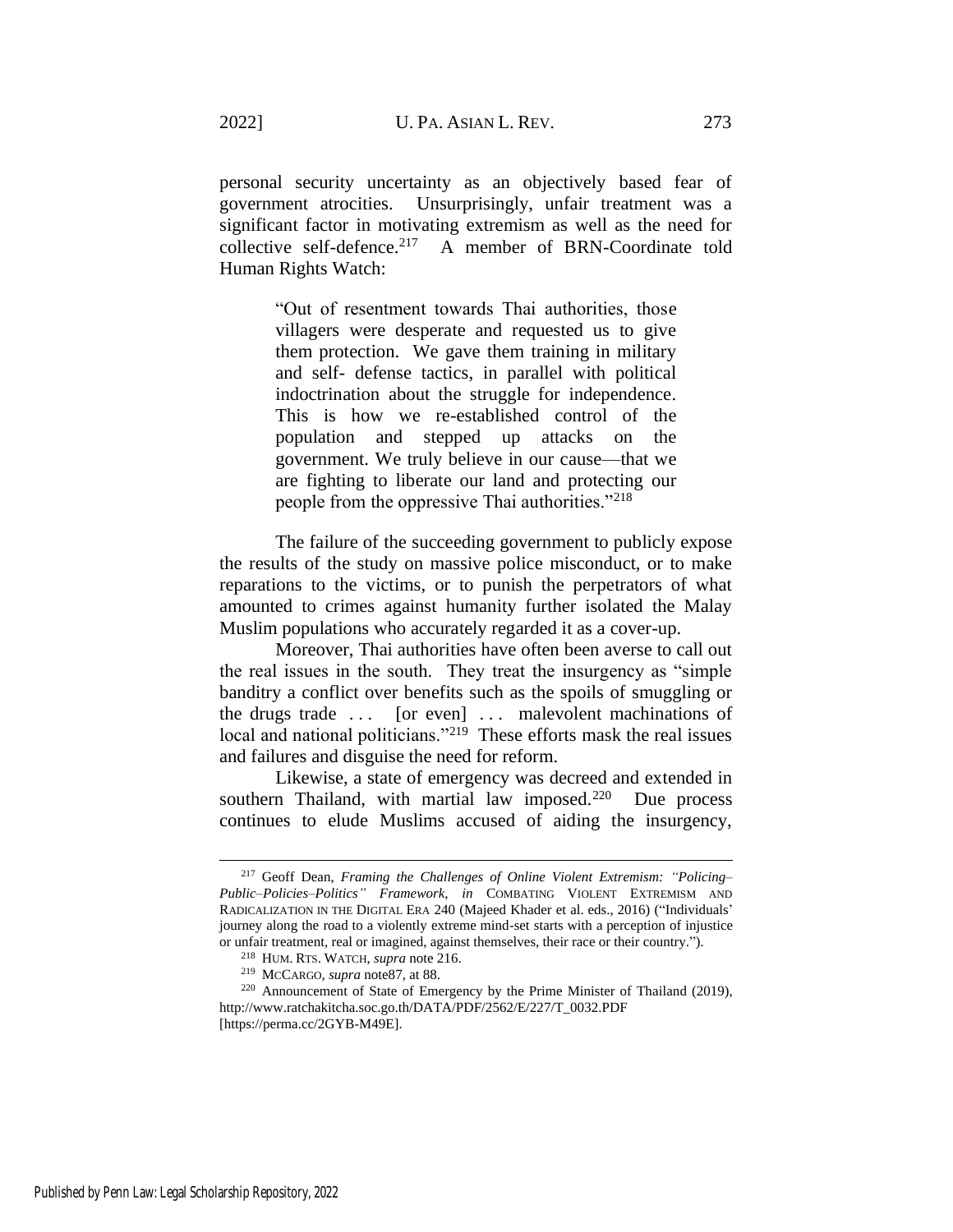personal security uncertainty as an objectively based fear of government atrocities. Unsurprisingly, unfair treatment was a significant factor in motivating extremism as well as the need for collective self-defence.<sup>217</sup> A member of BRN-Coordinate told Human Rights Watch:

> "Out of resentment towards Thai authorities, those villagers were desperate and requested us to give them protection. We gave them training in military and self- defense tactics, in parallel with political indoctrination about the struggle for independence. This is how we re-established control of the population and stepped up attacks on the government. We truly believe in our cause—that we are fighting to liberate our land and protecting our people from the oppressive Thai authorities."<sup>218</sup>

The failure of the succeeding government to publicly expose the results of the study on massive police misconduct, or to make reparations to the victims, or to punish the perpetrators of what amounted to crimes against humanity further isolated the Malay Muslim populations who accurately regarded it as a cover-up.

Moreover, Thai authorities have often been averse to call out the real issues in the south. They treat the insurgency as "simple banditry a conflict over benefits such as the spoils of smuggling or the drugs trade ... [or even] ... malevolent machinations of local and national politicians."<sup>219</sup> These efforts mask the real issues and failures and disguise the need for reform.

<span id="page-30-0"></span>Likewise, a state of emergency was decreed and extended in southern Thailand, with martial law imposed. $220$  Due process continues to elude Muslims accused of aiding the insurgency,

<sup>217</sup> Geoff Dean, *Framing the Challenges of Online Violent Extremism: "Policing– Public–Policies–Politics" Framework*, *in* COMBATING VIOLENT EXTREMISM AND RADICALIZATION IN THE DIGITAL ERA 240 (Majeed Khader et al. eds., 2016) ("Individuals' journey along the road to a violently extreme mind-set starts with a perception of injustice or unfair treatment, real or imagined, against themselves, their race or their country.").

<sup>218</sup> HUM. RTS. WATCH, *supra* note [216.](#page-29-1)

<sup>219</sup> MCCARGO, *supra* not[e87,](#page-13-0) at 88.

<sup>220</sup> Announcement of State of Emergency by the Prime Minister of Thailand (2019), http://www.ratchakitcha.soc.go.th/DATA/PDF/2562/E/227/T\_0032.PDF [https://perma.cc/2GYB-M49E].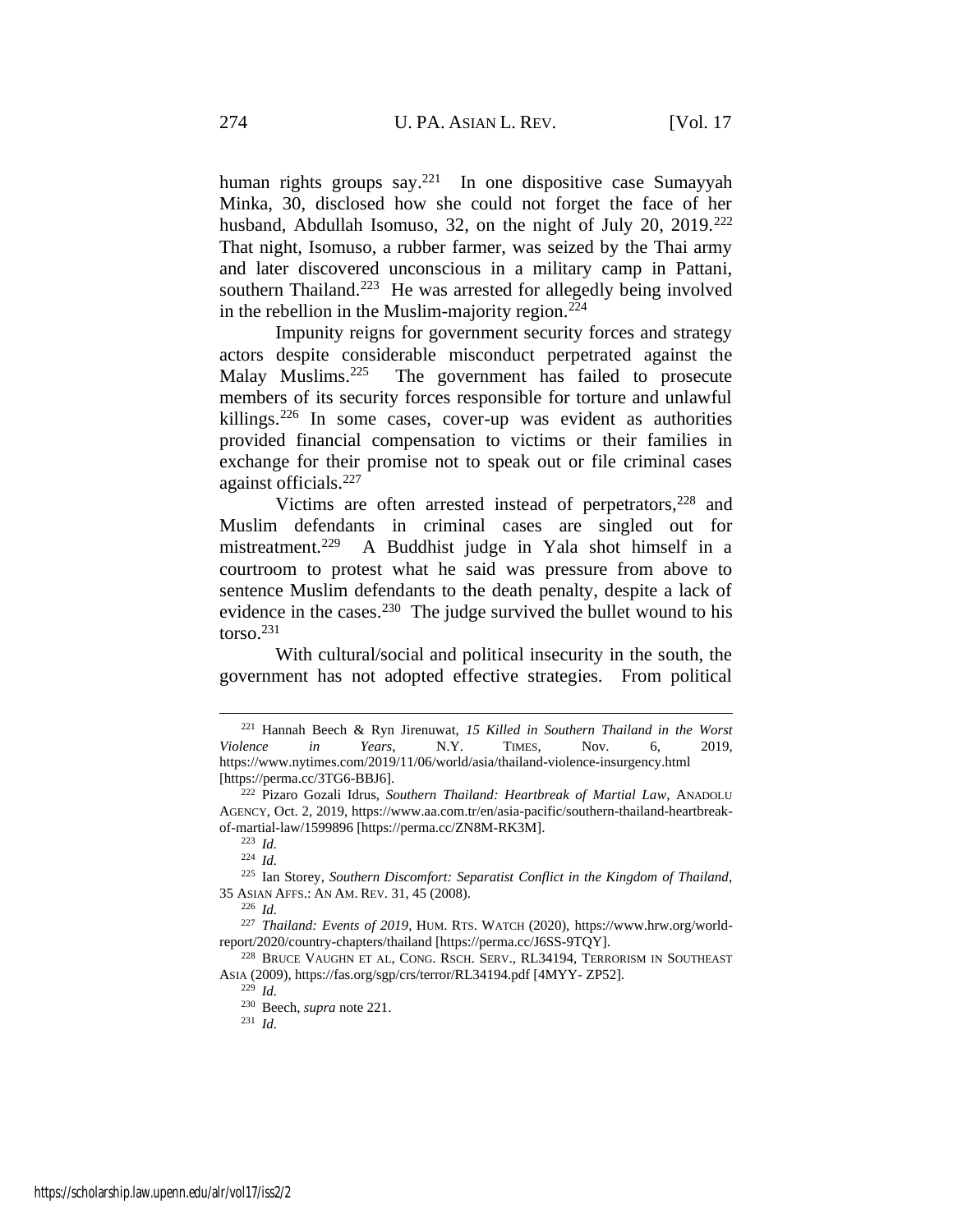<span id="page-31-1"></span><span id="page-31-0"></span>human rights groups say.<sup>221</sup> In one dispositive case Sumayyah Minka, 30, disclosed how she could not forget the face of her husband, Abdullah Isomuso, 32, on the night of July 20, 2019.<sup>222</sup> That night, Isomuso, a rubber farmer, was seized by the Thai army and later discovered unconscious in a military camp in Pattani, southern Thailand.<sup>223</sup> He was arrested for allegedly being involved in the rebellion in the Muslim-majority region. $224$ 

Impunity reigns for government security forces and strategy actors despite considerable misconduct perpetrated against the Malay Muslims.<sup>225</sup> The government has failed to prosecute members of its security forces responsible for torture and unlawful killings.<sup>226</sup> In some cases, cover-up was evident as authorities provided financial compensation to victims or their families in exchange for their promise not to speak out or file criminal cases against officials.<sup>227</sup>

Victims are often arrested instead of perpetrators,  $228$  and Muslim defendants in criminal cases are singled out for mistreatment.<sup>229</sup> A Buddhist judge in Yala shot himself in a courtroom to protest what he said was pressure from above to sentence Muslim defendants to the death penalty, despite a lack of evidence in the cases. $230$  The judge survived the bullet wound to his torso.<sup>231</sup>

With cultural/social and political insecurity in the south, the government has not adopted effective strategies. From political

<sup>226</sup> *Id.*

<sup>229</sup> *Id.*

<sup>230</sup> Beech, *supra* note [221.](#page-31-0)

<sup>231</sup> *Id.*

<sup>221</sup> Hannah Beech & Ryn Jirenuwat, *15 Killed in Southern Thailand in the Worst Violence in Years*, N.Y. TIMES, Nov. 6, 2019, https://www.nytimes.com/2019/11/06/world/asia/thailand-violence-insurgency.html [https://perma.cc/3TG6-BBJ6].

<sup>222</sup> Pizaro Gozali Idrus, *Southern Thailand: Heartbreak of Martial Law*, ANADOLU AGENCY, Oct. 2, 2019, https://www.aa.com.tr/en/asia-pacific/southern-thailand-heartbreakof-martial-law/1599896 [https://perma.cc/ZN8M-RK3M].

<sup>223</sup> *Id.*

<sup>224</sup> *Id.*

<sup>225</sup> Ian Storey, *Southern Discomfort: Separatist Conflict in the Kingdom of Thailand*, 35 ASIAN AFFS.: AN AM. REV. 31, 45 (2008).

<sup>227</sup> *Thailand: Events of 2019*, HUM. RTS. WATCH (2020), https://www.hrw.org/worldreport/2020/country-chapters/thailand [https://perma.cc/J6SS-9TQY].

<sup>228</sup> BRUCE VAUGHN ET AL, CONG. RSCH. SERV., RL34194, TERRORISM IN SOUTHEAST ASIA (2009), https://fas.org/sgp/crs/terror/RL34194.pdf [4MYY- ZP52].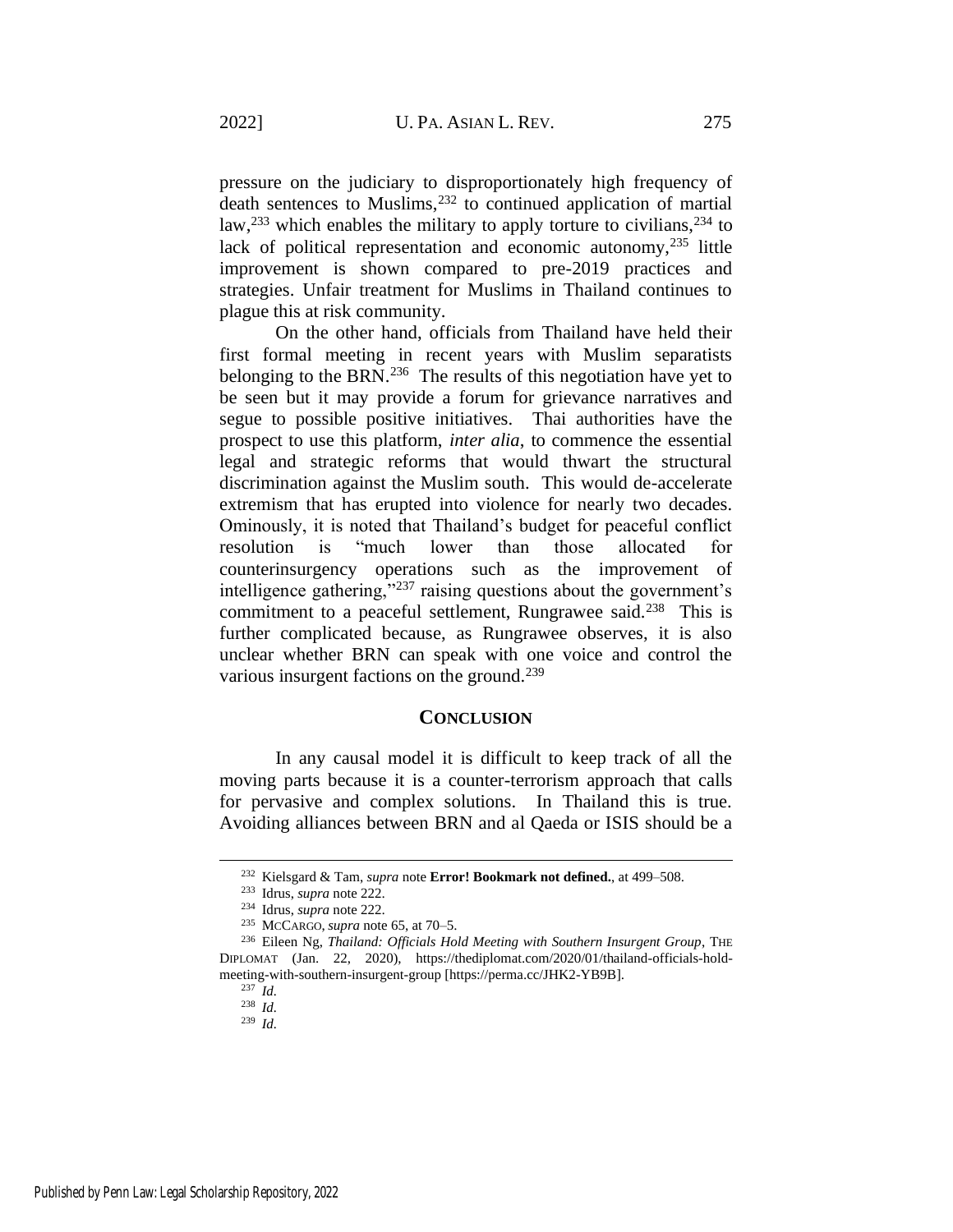pressure on the judiciary to disproportionately high frequency of death sentences to Muslims,  $232$  to continued application of martial law,<sup>233</sup> which enables the military to apply torture to civilians,<sup>234</sup> to lack of political representation and economic autonomy, $^{235}$  little improvement is shown compared to pre-2019 practices and strategies. Unfair treatment for Muslims in Thailand continues to plague this at risk community.

On the other hand, officials from Thailand have held their first formal meeting in recent years with Muslim separatists belonging to the BRN.<sup>236</sup> The results of this negotiation have yet to be seen but it may provide a forum for grievance narratives and segue to possible positive initiatives. Thai authorities have the prospect to use this platform, *inter alia*, to commence the essential legal and strategic reforms that would thwart the structural discrimination against the Muslim south. This would de-accelerate extremism that has erupted into violence for nearly two decades. Ominously, it is noted that Thailand's budget for peaceful conflict resolution is "much lower than those allocated for counterinsurgency operations such as the improvement of intelligence gathering,"<sup>237</sup> raising questions about the government's commitment to a peaceful settlement, Rungrawee said.<sup>238</sup> This is further complicated because, as Rungrawee observes, it is also unclear whether BRN can speak with one voice and control the various insurgent factions on the ground.<sup>239</sup>

# **CONCLUSION**

In any causal model it is difficult to keep track of all the moving parts because it is a counter-terrorism approach that calls for pervasive and complex solutions. In Thailand this is true. Avoiding alliances between BRN and al Qaeda or ISIS should be a

<sup>239</sup> *Id.*

<sup>232</sup> Kielsgard & Tam, *supra* note **Error! Bookmark not defined.**, at 499–508.

<sup>233</sup> Idrus, *supra* note [222.](#page-31-1)

<sup>234</sup> Idrus, *supra* note [222.](#page-31-1)

<sup>235</sup> MCCARGO, *supra* not[e 65,](#page-9-0) at 70–5.

<sup>236</sup> Eileen Ng, *Thailand: Officials Hold Meeting with Southern Insurgent Group*, THE DIPLOMAT (Jan. 22, 2020), https://thediplomat.com/2020/01/thailand-officials-holdmeeting-with-southern-insurgent-group [https://perma.cc/JHK2-YB9B].

<sup>237</sup> *Id.*

<sup>238</sup> *Id.*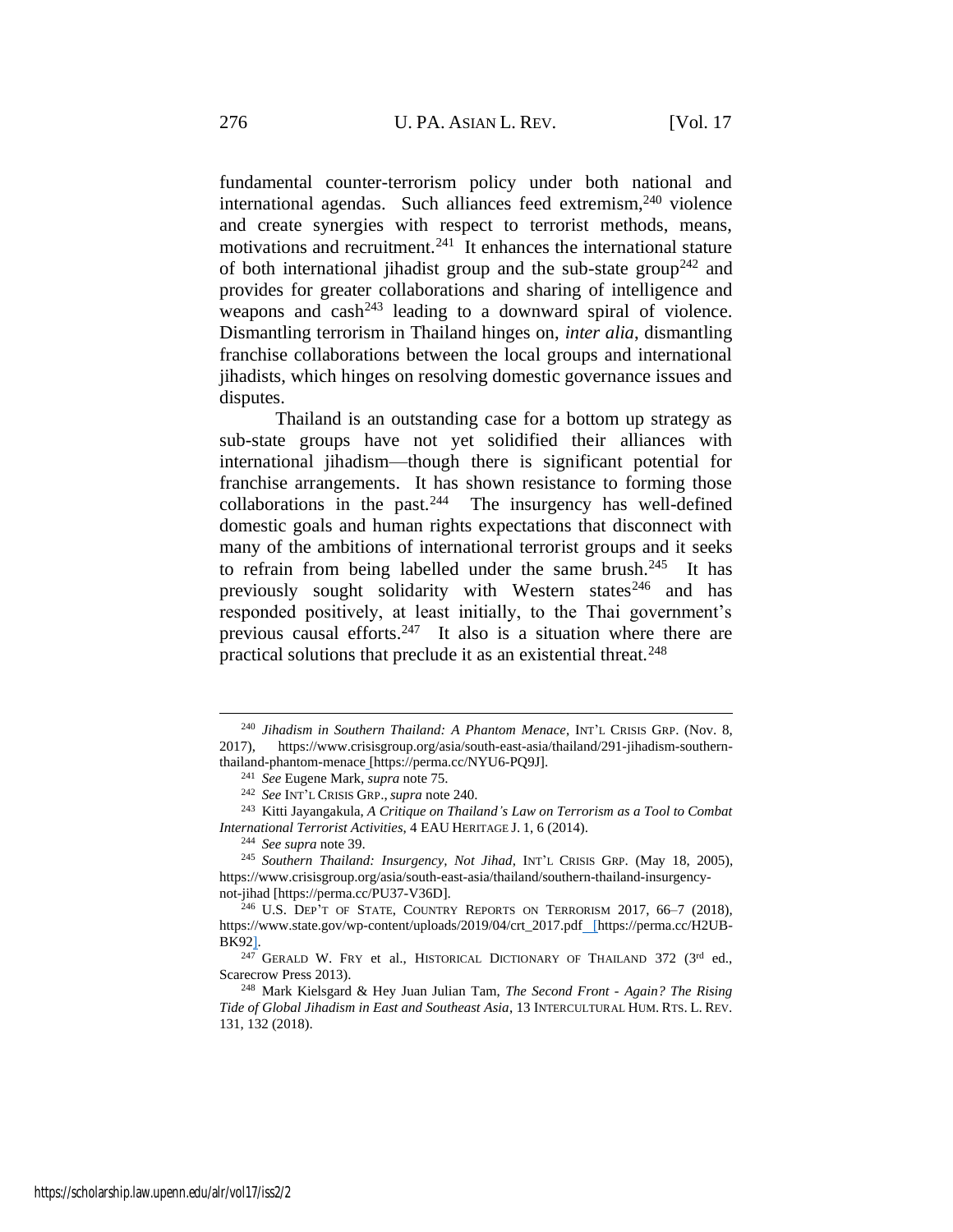<span id="page-33-0"></span>fundamental counter-terrorism policy under both national and international agendas. Such alliances feed extremism,<sup>240</sup> violence and create synergies with respect to terrorist methods, means, motivations and recruitment.<sup>241</sup> It enhances the international stature of both international jihadist group and the sub-state group<sup>242</sup> and provides for greater collaborations and sharing of intelligence and weapons and cash<sup>243</sup> leading to a downward spiral of violence. Dismantling terrorism in Thailand hinges on, *inter alia*, dismantling franchise collaborations between the local groups and international jihadists, which hinges on resolving domestic governance issues and disputes.

Thailand is an outstanding case for a bottom up strategy as sub-state groups have not yet solidified their alliances with international jihadism—though there is significant potential for franchise arrangements. It has shown resistance to forming those collaborations in the past. $244$  The insurgency has well-defined domestic goals and human rights expectations that disconnect with many of the ambitions of international terrorist groups and it seeks to refrain from being labelled under the same brush.<sup>245</sup> It has previously sought solidarity with Western states<sup>246</sup> and has responded positively, at least initially, to the Thai government's previous causal efforts.<sup>247</sup> It also is a situation where there are practical solutions that preclude it as an existential threat.<sup>248</sup>

<sup>240</sup> *Jihadism in Southern Thailand: A Phantom Menace*, INT'L CRISIS GRP. (Nov. 8, 2017), https://www.crisisgroup.org/asia/south-east-asia/thailand/291-jihadism-southernthailand-phantom-menace [https://perma.cc/NYU6-PQ9J].

<sup>241</sup> *See* Eugene Mark, *supra* note [75.](#page-11-0)

<sup>242</sup> *See* INT'L CRISIS GRP.,*supra* not[e 240.](#page-33-0)

<sup>243</sup> Kitti Jayangakula, *A Critique on Thailand's Law on Terrorism as a Tool to Combat International Terrorist Activities*, 4 EAU HERITAGE J. 1, 6 (2014).

<sup>244</sup> *See supra* not[e 39.](#page-7-0)

<sup>245</sup> *Southern Thailand: Insurgency, Not Jihad*, INT'L CRISIS GRP. (May 18, 2005), https://www.crisisgroup.org/asia/south-east-asia/thailand/southern-thailand-insurgencynot-jihad [https://perma.cc/PU37-V36D].

<sup>&</sup>lt;sup>246</sup> U.S. DEP'T OF STATE, COUNTRY REPORTS ON TERRORISM 2017, 66-7 (2018), https://www.state.gov/wp-content/uploads/2019/04/crt\_2017.pdf [https://perma.cc/H2UB-BK92].

 $247$  GERALD W. FRY et al., HISTORICAL DICTIONARY OF THAILAND 372 (3rd ed., Scarecrow Press 2013).

<sup>248</sup> Mark Kielsgard & Hey Juan Julian Tam, *The Second Front - Again? The Rising Tide of Global Jihadism in East and Southeast Asia*, 13 INTERCULTURAL HUM. RTS. L. REV. 131, 132 (2018).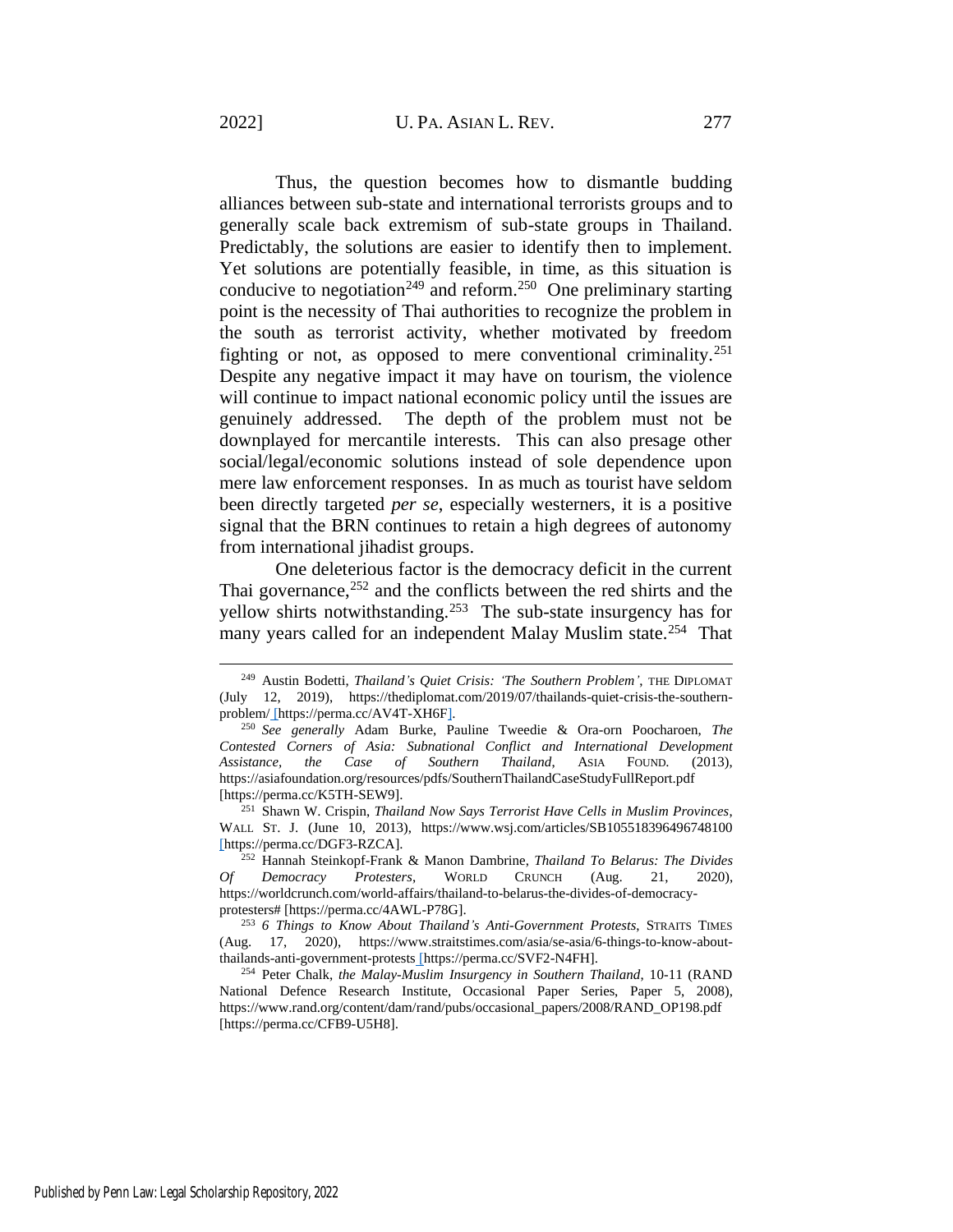Thus, the question becomes how to dismantle budding alliances between sub-state and international terrorists groups and to generally scale back extremism of sub-state groups in Thailand. Predictably, the solutions are easier to identify then to implement. Yet solutions are potentially feasible, in time, as this situation is conducive to negotiation<sup>249</sup> and reform.<sup>250</sup> One preliminary starting point is the necessity of Thai authorities to recognize the problem in the south as terrorist activity, whether motivated by freedom fighting or not, as opposed to mere conventional criminality.<sup>251</sup> Despite any negative impact it may have on tourism, the violence will continue to impact national economic policy until the issues are genuinely addressed. The depth of the problem must not be downplayed for mercantile interests. This can also presage other social/legal/economic solutions instead of sole dependence upon mere law enforcement responses. In as much as tourist have seldom been directly targeted *per se*, especially westerners, it is a positive signal that the BRN continues to retain a high degrees of autonomy from international jihadist groups.

One deleterious factor is the democracy deficit in the current Thai governance,  $252$  and the conflicts between the red shirts and the yellow shirts notwithstanding.<sup>253</sup> The sub-state insurgency has for many years called for an independent Malay Muslim state.<sup>254</sup> That

<span id="page-34-0"></span><sup>249</sup> Austin Bodetti, *Thailand's Quiet Crisis: 'The Southern Problem'*, THE DIPLOMAT (July 12, 2019), https://thediplomat.com/2019/07/thailands-quiet-crisis-the-southernproblem/ [https://perma.cc/AV4T-XH6F].

<sup>250</sup> *See generally* Adam Burke, Pauline Tweedie & Ora-orn Poocharoen, *The Contested Corners of Asia: Subnational Conflict and International Development Assistance, the Case of Southern Thailand*, ASIA FOUND. (2013), https://asiafoundation.org/resources/pdfs/SouthernThailandCaseStudyFullReport.pdf [https://perma.cc/K5TH-SEW9].

<sup>251</sup> Shawn W. Crispin, *Thailand Now Says Terrorist Have Cells in Muslim Provinces*, WALL ST. J. (June 10, 2013), https://www.wsj.com/articles/SB105518396496748100 [https://perma.cc/DGF3-RZCA].

<sup>252</sup> Hannah Steinkopf-Frank & Manon Dambrine, *Thailand To Belarus: The Divides Of Democracy Protesters*, WORLD CRUNCH (Aug. 21, 2020), https://worldcrunch.com/world-affairs/thailand-to-belarus-the-divides-of-democracyprotesters# [https://perma.cc/4AWL-P78G].

<sup>253</sup> *6 Things to Know About Thailand's Anti-Government Protests*, STRAITS TIMES (Aug. 17, 2020), https://www.straitstimes.com/asia/se-asia/6-things-to-know-aboutthailands-anti-government-protests [https://perma.cc/SVF2-N4FH].

<sup>254</sup> Peter Chalk, *the Malay-Muslim Insurgency in Southern Thailand*, 10-11 (RAND National Defence Research Institute, Occasional Paper Series, Paper 5, 2008), https://www.rand.org/content/dam/rand/pubs/occasional\_papers/2008/RAND\_OP198.pdf [https://perma.cc/CFB9-U5H8].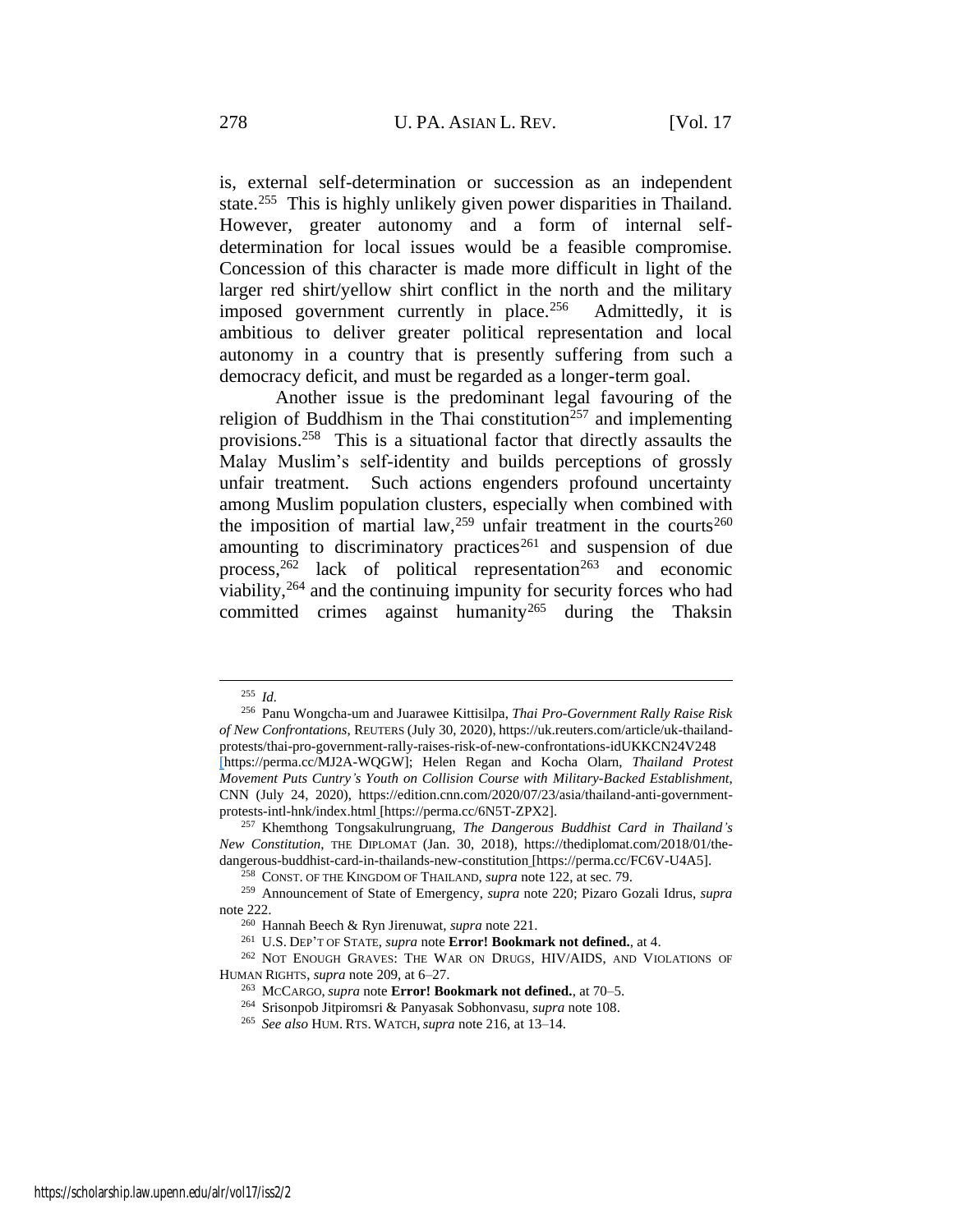is, external self-determination or succession as an independent state.<sup>255</sup> This is highly unlikely given power disparities in Thailand. However, greater autonomy and a form of internal selfdetermination for local issues would be a feasible compromise. Concession of this character is made more difficult in light of the larger red shirt/yellow shirt conflict in the north and the military imposed government currently in place.<sup>256</sup> Admittedly, it is ambitious to deliver greater political representation and local autonomy in a country that is presently suffering from such a democracy deficit, and must be regarded as a longer-term goal.

Another issue is the predominant legal favouring of the religion of Buddhism in the Thai constitution<sup>257</sup> and implementing provisions.<sup>258</sup> This is a situational factor that directly assaults the Malay Muslim's self-identity and builds perceptions of grossly unfair treatment. Such actions engenders profound uncertainty among Muslim population clusters, especially when combined with the imposition of martial law,<sup>259</sup> unfair treatment in the courts<sup>260</sup> amounting to discriminatory practices<sup>261</sup> and suspension of due process,  $262$  lack of political representation  $263$  and economic viability,<sup>264</sup> and the continuing impunity for security forces who had committed crimes against humanity<sup>265</sup> during the Thaksin

<sup>255</sup> *Id.*

<sup>256</sup> Panu Wongcha-um and Juarawee Kittisilpa, *Thai Pro-Government Rally Raise Risk of New Confrontations*, REUTERS (July 30, 2020), https://uk.reuters.com/article/uk-thailandprotests/thai-pro-government-rally-raises-risk-of-new-confrontations-idUKKCN24V248 [https://perma.cc/MJ2A-WQGW]; Helen Regan and Kocha Olarn, *Thailand Protest Movement Puts Cuntry's Youth on Collision Course with Military-Backed Establishment*, CNN (July 24, 2020), https://edition.cnn.com/2020/07/23/asia/thailand-anti-governmentprotests-intl-hnk/index.html [https://perma.cc/6N5T-ZPX2].

<sup>257</sup> Khemthong Tongsakulrungruang, *The Dangerous Buddhist Card in Thailand's New Constitution*, THE DIPLOMAT (Jan. 30, 2018), https://thediplomat.com/2018/01/thedangerous-buddhist-card-in-thailands-new-constitution [https://perma.cc/FC6V-U4A5].

<sup>258</sup> CONST. OF THE KINGDOM OF THAILAND, *supra* note [122,](#page-18-0) at sec. 79.

<sup>259</sup> Announcement of State of Emergency, *supra* note [220;](#page-30-0) Pizaro Gozali Idrus, *supra* note [222.](#page-31-1)

<sup>260</sup> Hannah Beech & Ryn Jirenuwat, *supra* note [221.](#page-31-0)

<sup>261</sup> U.S. DEP'T OF STATE, *supra* note **Error! Bookmark not defined.**, at 4.

<sup>&</sup>lt;sup>262</sup> NOT ENOUGH GRAVES: THE WAR ON DRUGS, HIV/AIDS, AND VIOLATIONS OF HUMAN RIGHTS, *supra* note [209,](#page-28-0) at 6–27.

<sup>263</sup> MCCARGO, *supra* note **Error! Bookmark not defined.**, at 70–5.

<sup>264</sup> Srisonpob Jitpiromsri & Panyasak Sobhonvasu, *supra* note [108.](#page-15-0)

<sup>265</sup> *See also* HUM. RTS. WATCH, *supra* not[e 216,](#page-29-1) at 13–14.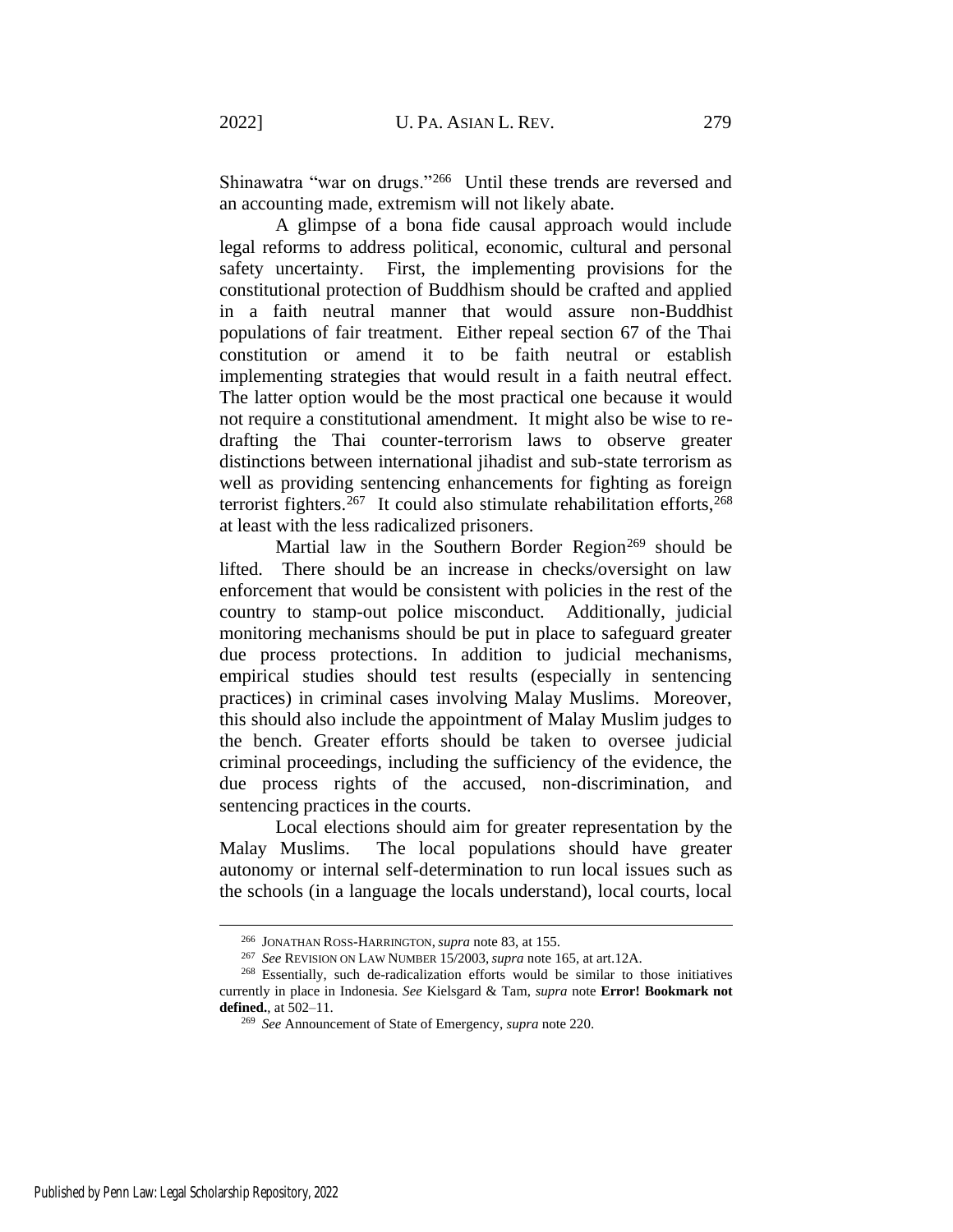Shinawatra "war on drugs."<sup>266</sup> Until these trends are reversed and an accounting made, extremism will not likely abate.

A glimpse of a bona fide causal approach would include legal reforms to address political, economic, cultural and personal safety uncertainty. First, the implementing provisions for the constitutional protection of Buddhism should be crafted and applied in a faith neutral manner that would assure non-Buddhist populations of fair treatment. Either repeal section 67 of the Thai constitution or amend it to be faith neutral or establish implementing strategies that would result in a faith neutral effect. The latter option would be the most practical one because it would not require a constitutional amendment. It might also be wise to redrafting the Thai counter-terrorism laws to observe greater distinctions between international jihadist and sub-state terrorism as well as providing sentencing enhancements for fighting as foreign terrorist fighters.<sup>267</sup> It could also stimulate rehabilitation efforts,<sup>268</sup> at least with the less radicalized prisoners.

Martial law in the Southern Border Region<sup>269</sup> should be lifted. There should be an increase in checks/oversight on law enforcement that would be consistent with policies in the rest of the country to stamp-out police misconduct. Additionally, judicial monitoring mechanisms should be put in place to safeguard greater due process protections. In addition to judicial mechanisms, empirical studies should test results (especially in sentencing practices) in criminal cases involving Malay Muslims. Moreover, this should also include the appointment of Malay Muslim judges to the bench. Greater efforts should be taken to oversee judicial criminal proceedings, including the sufficiency of the evidence, the due process rights of the accused, non-discrimination, and sentencing practices in the courts.

Local elections should aim for greater representation by the Malay Muslims. The local populations should have greater autonomy or internal self-determination to run local issues such as the schools (in a language the locals understand), local courts, local

<sup>266</sup> JONATHAN ROSS-HARRINGTON,*supra* note [83,](#page-13-1) at 155.

<sup>267</sup> *See* REVISION ON LAW NUMBER 15/2003,*supra* note [165,](#page-23-0) at art.12A.

<sup>268</sup> Essentially, such de-radicalization efforts would be similar to those initiatives currently in place in Indonesia. *See* Kielsgard & Tam, *supra* note **Error! Bookmark not defined.**, at 502–11.

<sup>269</sup> *See* Announcement of State of Emergency, *supra* note [220.](#page-30-0)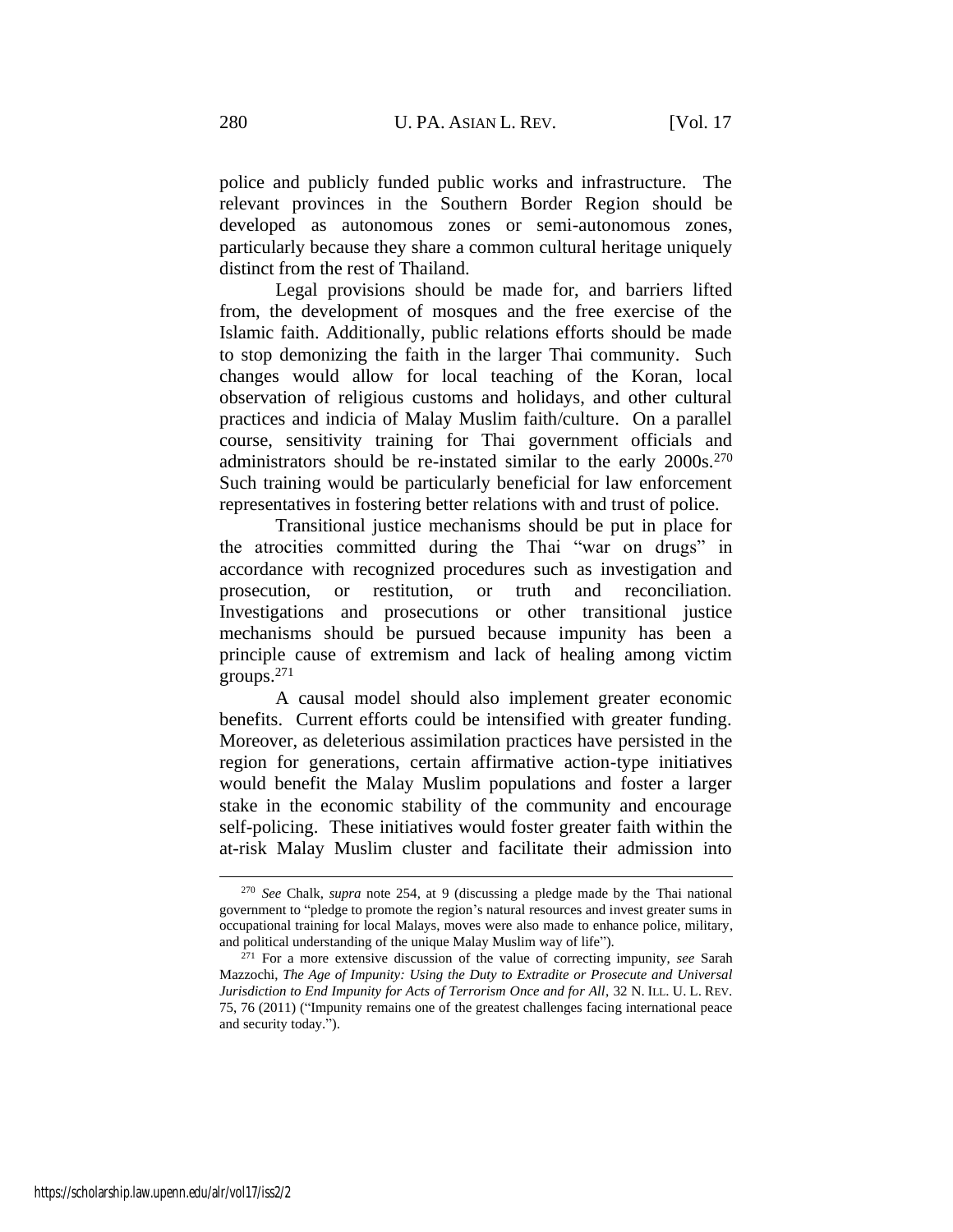police and publicly funded public works and infrastructure. The relevant provinces in the Southern Border Region should be developed as autonomous zones or semi-autonomous zones, particularly because they share a common cultural heritage uniquely distinct from the rest of Thailand.

Legal provisions should be made for, and barriers lifted from, the development of mosques and the free exercise of the Islamic faith. Additionally, public relations efforts should be made to stop demonizing the faith in the larger Thai community. Such changes would allow for local teaching of the Koran, local observation of religious customs and holidays, and other cultural practices and indicia of Malay Muslim faith/culture. On a parallel course, sensitivity training for Thai government officials and administrators should be re-instated similar to the early 2000s.<sup>270</sup> Such training would be particularly beneficial for law enforcement representatives in fostering better relations with and trust of police.

Transitional justice mechanisms should be put in place for the atrocities committed during the Thai "war on drugs" in accordance with recognized procedures such as investigation and prosecution, or restitution, or truth and reconciliation. Investigations and prosecutions or other transitional justice mechanisms should be pursued because impunity has been a principle cause of extremism and lack of healing among victim groups.<sup>271</sup>

A causal model should also implement greater economic benefits. Current efforts could be intensified with greater funding. Moreover, as deleterious assimilation practices have persisted in the region for generations, certain affirmative action-type initiatives would benefit the Malay Muslim populations and foster a larger stake in the economic stability of the community and encourage self-policing. These initiatives would foster greater faith within the at-risk Malay Muslim cluster and facilitate their admission into

<sup>270</sup> *See* Chalk, *supra* note [254,](#page-34-0) at 9 (discussing a pledge made by the Thai national government to "pledge to promote the region's natural resources and invest greater sums in occupational training for local Malays, moves were also made to enhance police, military, and political understanding of the unique Malay Muslim way of life").

<sup>271</sup> For a more extensive discussion of the value of correcting impunity, *see* Sarah Mazzochi, *The Age of Impunity: Using the Duty to Extradite or Prosecute and Universal Jurisdiction to End Impunity for Acts of Terrorism Once and for All*, 32 N. ILL. U. L. REV. 75, 76 (2011) ("Impunity remains one of the greatest challenges facing international peace and security today.").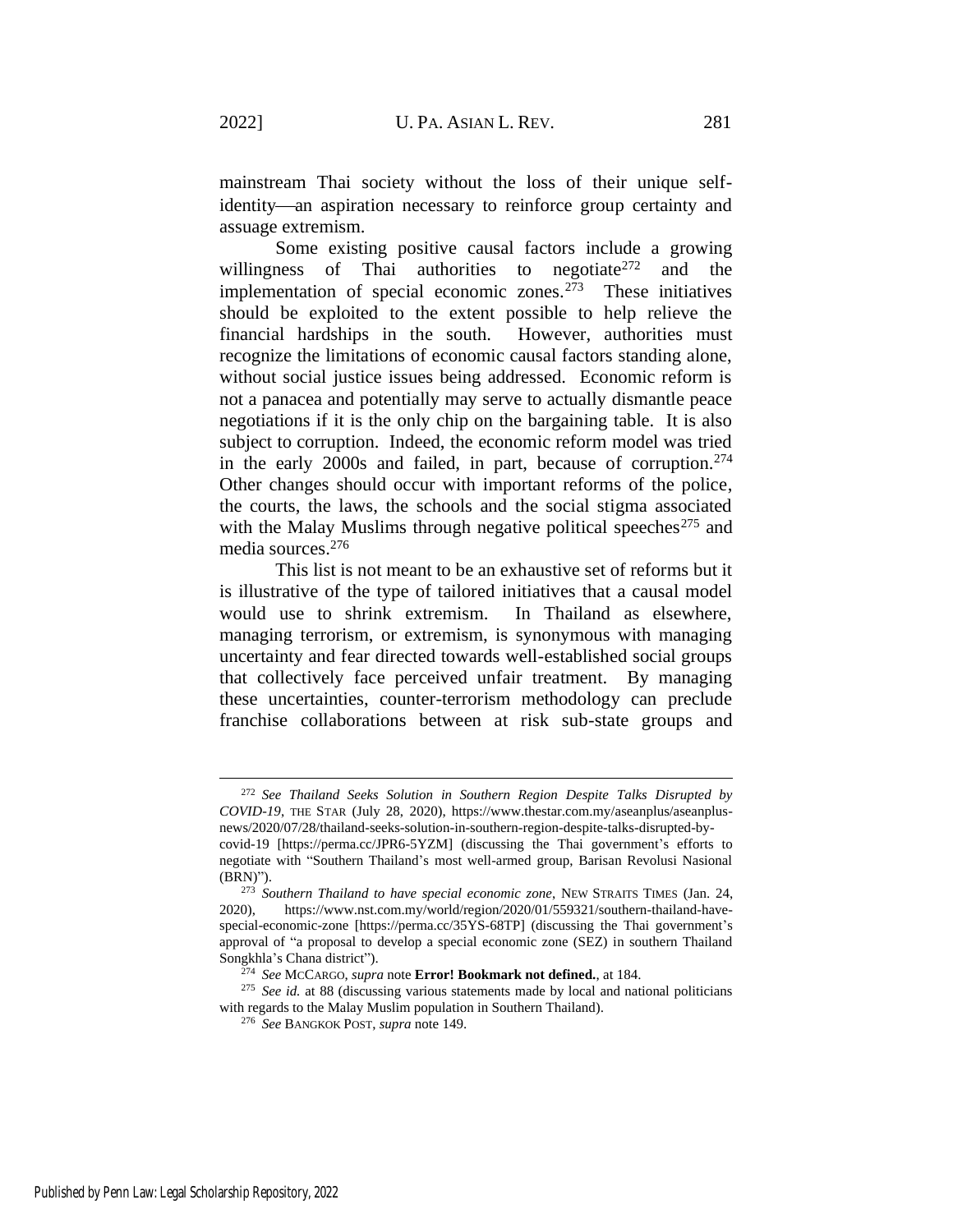mainstream Thai society without the loss of their unique selfidentity—an aspiration necessary to reinforce group certainty and assuage extremism.

Some existing positive causal factors include a growing willingness of Thai authorities to negotiate  $272$  and the implementation of special economic zones.<sup>273</sup> These initiatives should be exploited to the extent possible to help relieve the financial hardships in the south. However, authorities must recognize the limitations of economic causal factors standing alone, without social justice issues being addressed. Economic reform is not a panacea and potentially may serve to actually dismantle peace negotiations if it is the only chip on the bargaining table. It is also subject to corruption. Indeed, the economic reform model was tried in the early 2000s and failed, in part, because of corruption.<sup>274</sup> Other changes should occur with important reforms of the police, the courts, the laws, the schools and the social stigma associated with the Malay Muslims through negative political speeches<sup>275</sup> and media sources.<sup>276</sup>

This list is not meant to be an exhaustive set of reforms but it is illustrative of the type of tailored initiatives that a causal model would use to shrink extremism. In Thailand as elsewhere, managing terrorism, or extremism, is synonymous with managing uncertainty and fear directed towards well-established social groups that collectively face perceived unfair treatment. By managing these uncertainties, counter-terrorism methodology can preclude franchise collaborations between at risk sub-state groups and

<sup>272</sup> *See Thailand Seeks Solution in Southern Region Despite Talks Disrupted by COVID-19*, THE STAR (July 28, 2020), https://www.thestar.com.my/aseanplus/aseanplusnews/2020/07/28/thailand-seeks-solution-in-southern-region-despite-talks-disrupted-by-

covid-19 [https://perma.cc/JPR6-5YZM] (discussing the Thai government's efforts to negotiate with "Southern Thailand's most well-armed group, Barisan Revolusi Nasional (BRN)").

<sup>273</sup> *Southern Thailand to have special economic zone*, NEW STRAITS TIMES (Jan. 24, 2020), https://www.nst.com.my/world/region/2020/01/559321/southern-thailand-havespecial-economic-zone [https://perma.cc/35YS-68TP] (discussing the Thai government's approval of "a proposal to develop a special economic zone (SEZ) in southern Thailand Songkhla's Chana district").

<sup>274</sup> *See* MCCARGO, *supra* note **Error! Bookmark not defined.**, at 184.

<sup>275</sup> *See id.* at 88 (discussing various statements made by local and national politicians with regards to the Malay Muslim population in Southern Thailand).

<sup>276</sup> *See* BANGKOK POST, *supra* not[e 149.](#page-21-2)